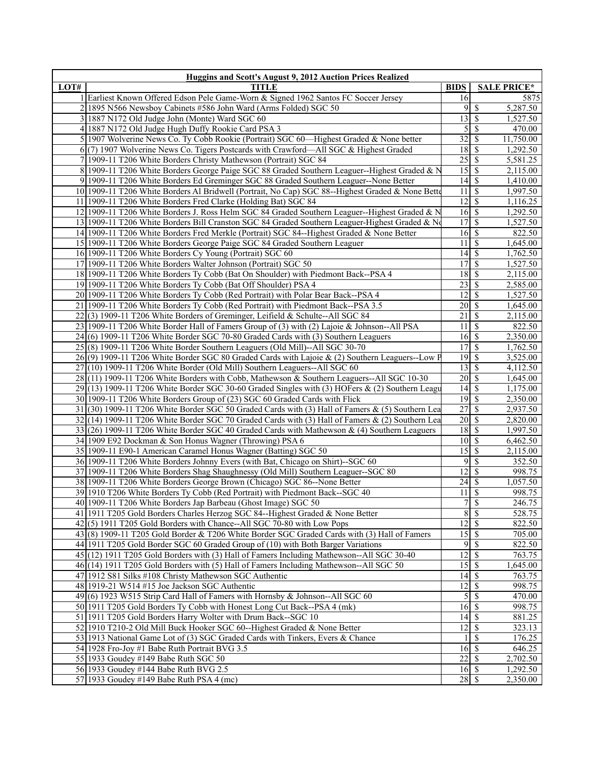| Huggins and Scott's August 9, 2012 Auction Prices Realized |                                                                                                                                                                                                    |                                    |                                |                      |
|------------------------------------------------------------|----------------------------------------------------------------------------------------------------------------------------------------------------------------------------------------------------|------------------------------------|--------------------------------|----------------------|
| LOT#                                                       | <b>TITLE</b>                                                                                                                                                                                       | <b>BIDS</b>                        |                                | <b>SALE PRICE*</b>   |
|                                                            | 1 Earliest Known Offered Edson Pele Game-Worn & Signed 1962 Santos FC Soccer Jersey                                                                                                                | 16                                 |                                | 5875                 |
|                                                            | 2 1895 N566 Newsboy Cabinets #586 John Ward (Arms Folded) SGC 50                                                                                                                                   | 9                                  | - \$                           | 5,287.50             |
|                                                            | 3 1887 N172 Old Judge John (Monte) Ward SGC 60                                                                                                                                                     | 13                                 | \$                             | 1,527.50             |
|                                                            | 4 1887 N172 Old Judge Hugh Duffy Rookie Card PSA 3                                                                                                                                                 |                                    | 5s                             | 470.00               |
|                                                            | 5 1907 Wolverine News Co. Ty Cobb Rookie (Portrait) SGC 60—Highest Graded & None better                                                                                                            | $\overline{32}$                    | $\overline{\mathcal{S}}$       | 11,750.00            |
|                                                            | $6(7)$ 1907 Wolverine News Co. Tigers Postcards with Crawford—All SGC & Highest Graded                                                                                                             | $18 \mid$ \$                       |                                | 1,292.50             |
|                                                            | 7 1909-11 T206 White Borders Christy Mathewson (Portrait) SGC 84                                                                                                                                   | $25 \mid$ \$                       |                                | 5,581.25             |
|                                                            | 8 1909-11 T206 White Borders George Paige SGC 88 Graded Southern Leaguer--Highest Graded & N                                                                                                       |                                    |                                | 2,115.00             |
|                                                            | 9 1909-11 T206 White Borders Ed Greminger SGC 88 Graded Southern Leaguer--None Better                                                                                                              | $\overline{14}$ \$                 |                                | 1,410.00             |
|                                                            | 10 1909-11 T206 White Borders Al Bridwell (Portrait, No Cap) SGC 88--Highest Graded & None Bette                                                                                                   | 11                                 | $\overline{\mathcal{S}}$       | 1,997.50             |
|                                                            | 11 1909-11 T206 White Borders Fred Clarke (Holding Bat) SGC 84                                                                                                                                     | $\overline{12}$ \$                 |                                | 1,116.25             |
|                                                            | 12 1909-11 T206 White Borders J. Ross Helm SGC 84 Graded Southern Leaguer--Highest Graded & N                                                                                                      | $16 \,$ \$                         |                                | 1,292.50             |
|                                                            | 13 1909-11 T206 White Borders Bill Cranston SGC 84 Graded Southern Leaguer-Highest Graded & No                                                                                                     | $17$ \$                            |                                | 1,527.50             |
|                                                            | 14 1909-11 T206 White Borders Fred Merkle (Portrait) SGC 84--Highest Graded & None Better                                                                                                          | 16S                                |                                | 822.50               |
|                                                            | 15 1909-11 T206 White Borders George Paige SGC 84 Graded Southern Leaguer                                                                                                                          | 11                                 | $\overline{\mathcal{S}}$       | 1,645.00             |
|                                                            | 16 1909-11 T206 White Borders Cy Young (Portrait) SGC 60                                                                                                                                           | $\overline{14}$ \$                 |                                | 1,762.50             |
|                                                            | 17 1909-11 T206 White Borders Walter Johnson (Portrait) SGC 50                                                                                                                                     | 17                                 | $\mathcal{S}$                  | 1,527.50             |
|                                                            | 18 1909-11 T206 White Borders Ty Cobb (Bat On Shoulder) with Piedmont Back--PSA 4                                                                                                                  |                                    |                                | 2,115.00             |
|                                                            | 19 1909-11 T206 White Borders Ty Cobb (Bat Off Shoulder) PSA 4                                                                                                                                     | $\overline{23}$ \$                 |                                | 2,585.00             |
|                                                            | 20 1909-11 T206 White Borders Ty Cobb (Red Portrait) with Polar Bear Back--PSA 4                                                                                                                   | $\overline{12}$                    | $\overline{\mathcal{S}}$       | 1,527.50             |
|                                                            | 21 1909-11 T206 White Borders Ty Cobb (Red Portrait) with Piedmont Back--PSA 3.5                                                                                                                   | $20 \mid \mathsf{\$}$              |                                | 1,645.00             |
|                                                            | $22(3)$ 1909-11 T206 White Borders of Greminger, Leifield & Schulte--All SGC 84                                                                                                                    | 21                                 | - \$                           | 2,115.00             |
|                                                            | 23 1909-11 T206 White Border Hall of Famers Group of (3) with (2) Lajoie & Johnson--All PSA                                                                                                        | 11                                 | l \$                           | 822.50               |
|                                                            | 24(6) 1909-11 T206 White Border SGC 70-80 Graded Cards with (3) Southern Leaguers                                                                                                                  | 16S                                |                                | 2,350.00             |
|                                                            | 25(8) 1909-11 T206 White Border Southern Leaguers (Old Mill)--All SGC 30-70                                                                                                                        | $\overline{17}$                    | $\sqrt{s}$                     | 1,762.50             |
|                                                            | 26(9) 1909-11 T206 White Border SGC 80 Graded Cards with Lajoie & (2) Southern Leaguers--Low P                                                                                                     | $19$ $\overline{\text{S}}$         |                                | 3,525.00             |
|                                                            | 27 (10) 1909-11 T206 White Border (Old Mill) Southern Leaguers--All SGC 60                                                                                                                         | $13 \mid$ \$                       |                                | 4,112.50             |
|                                                            | 28(11) 1909-11 T206 White Borders with Cobb, Mathewson & Southern Leaguers--All SGC 10-30                                                                                                          | $20 \mid$ \$<br>$\overline{14}$ \$ |                                | 1,645.00             |
|                                                            | $29(13)$ 1909-11 T206 White Border SGC 30-60 Graded Singles with (3) HOFers & (2) Southern Leagu                                                                                                   | $\overline{19}$ \$                 |                                | 1,175.00             |
|                                                            | 30 1909-11 T206 White Borders Group of (23) SGC 60 Graded Cards with Flick                                                                                                                         | 27S                                |                                | 2,350.00             |
|                                                            | 31(30) 1909-11 T206 White Border SGC 50 Graded Cards with (3) Hall of Famers & (5) Southern Lea                                                                                                    |                                    |                                | 2,937.50             |
|                                                            | $32(14)$ 1909-11 T206 White Border SGC 70 Graded Cards with (3) Hall of Famers & (2) Southern Lea<br>$33(26)$ 1909-11 T206 White Border SGC 40 Graded Cards with Mathewson & (4) Southern Leaguers | $20 \mid$ \$<br>18S                |                                | 2,820.00             |
|                                                            | 34 1909 E92 Dockman & Son Honus Wagner (Throwing) PSA 6                                                                                                                                            | 10S                                |                                | 1,997.50<br>6,462.50 |
|                                                            | 35 1909-11 E90-1 American Caramel Honus Wagner (Batting) SGC 50                                                                                                                                    | $15 \overline{\smash{\big)}\ 5}$   |                                | 2,115.00             |
|                                                            | 36 1909-11 T206 White Borders Johnny Evers (with Bat, Chicago on Shirt)--SGC 60                                                                                                                    | $\overline{9}$                     | $\overline{\mathbf{s}}$        | 352.50               |
|                                                            | 37 1909-11 T206 White Borders Shag Shaughnessy (Old Mill) Southern Leaguer--SGC 80                                                                                                                 | 12                                 | \$                             | 998.75               |
|                                                            | 38 1909-11 T206 White Borders George Brown (Chicago) SGC 86--None Better                                                                                                                           | $24 \mid$ \$                       |                                | 1,057.50             |
|                                                            | 39 1910 T206 White Borders Ty Cobb (Red Portrait) with Piedmont Back--SGC 40                                                                                                                       | $\overline{11}$                    | $\overline{\mathcal{S}}$       | 998.75               |
|                                                            | 40 1909-11 T206 White Borders Jap Barbeau (Ghost Image) SGC 50                                                                                                                                     |                                    | 7s                             | 246.75               |
|                                                            | 41   1911 T205 Gold Borders Charles Herzog SGC 84--Highest Graded & None Better                                                                                                                    | $\sqrt{8}$                         | $\sqrt{s}$                     | 528.75               |
|                                                            | $42(5)$ 1911 T205 Gold Borders with Chance--All SGC 70-80 with Low Pops                                                                                                                            | $12 \mid$ \$                       |                                | 822.50               |
|                                                            | 43(8) 1909-11 T205 Gold Border & T206 White Border SGC Graded Cards with (3) Hall of Famers                                                                                                        |                                    |                                | 705.00               |
|                                                            | 44 1911 T205 Gold Border SGC 60 Graded Group of (10) with Both Barger Variations                                                                                                                   |                                    | 95                             | 822.50               |
|                                                            | 45 (12) 1911 T205 Gold Borders with (3) Hall of Famers Including Mathewson--All SGC 30-40                                                                                                          | $\overline{12}$ \$                 |                                | 763.75               |
|                                                            | 46 (14) 1911 T205 Gold Borders with (5) Hall of Famers Including Mathewson--All SGC 50                                                                                                             | 15S                                |                                | 1,645.00             |
|                                                            | 47 1912 S81 Silks #108 Christy Mathewson SGC Authentic                                                                                                                                             | $14 \mid$ \$                       |                                | 763.75               |
|                                                            | 48 1919-21 W514 #15 Joe Jackson SGC Authentic                                                                                                                                                      | $12 \mid$ \$                       |                                | 998.75               |
|                                                            | 49(6) 1923 W515 Strip Card Hall of Famers with Hornsby & Johnson--All SGC 60                                                                                                                       |                                    | $\overline{5}$ $\overline{\$}$ | 470.00               |
|                                                            | 50 1911 T205 Gold Borders Ty Cobb with Honest Long Cut Back--PSA 4 (mk)                                                                                                                            | $16 \overline{\smash{)}\,}$        |                                | 998.75               |
|                                                            | 51 1911 T205 Gold Borders Harry Wolter with Drum Back--SGC 10                                                                                                                                      | $14 \overline{\smash{)}\,}$        |                                | 881.25               |
|                                                            | 52 1910 T210-2 Old Mill Buck Hooker SGC 60--Highest Graded & None Better                                                                                                                           | $12 \mid$ \$                       |                                | 323.13               |
|                                                            | 53 1913 National Game Lot of (3) SGC Graded Cards with Tinkers, Evers & Chance                                                                                                                     | 1                                  | l \$                           | 176.25               |
|                                                            | 54 1928 Fro-Joy #1 Babe Ruth Portrait BVG 3.5                                                                                                                                                      | $16 \overline{\smash{\big)}\,}$    |                                | 646.25               |
|                                                            | 55 1933 Goudey #149 Babe Ruth SGC 50                                                                                                                                                               | $22 \mid$ \$                       |                                | 2,702.50             |
|                                                            | 56 1933 Goudey #144 Babe Ruth BVG 2.5                                                                                                                                                              | $16 \mid S$                        |                                | 1,292.50             |
|                                                            | 57 1933 Goudey #149 Babe Ruth PSA 4 (mc)                                                                                                                                                           |                                    |                                | 2,350.00             |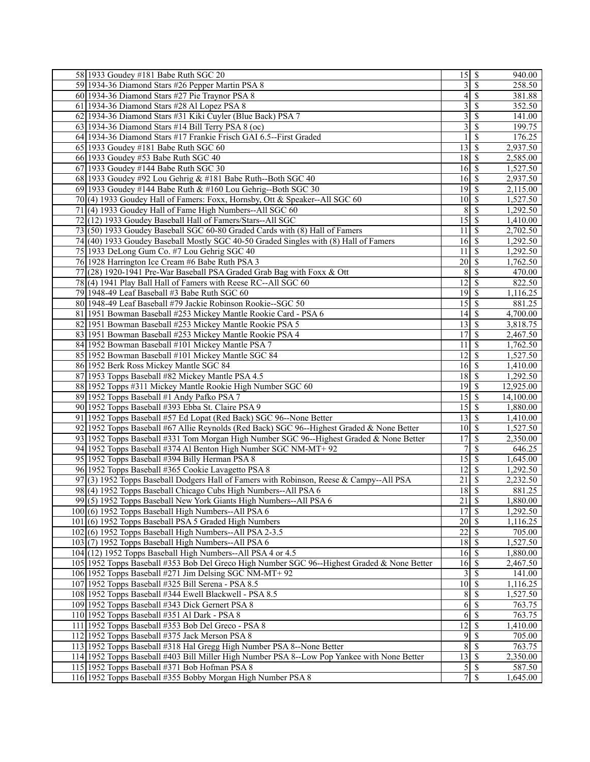| 58 1933 Goudey #181 Babe Ruth SGC 20                                                        | $15 \mid$ \$                      |                           | 940.00    |
|---------------------------------------------------------------------------------------------|-----------------------------------|---------------------------|-----------|
| 59 1934-36 Diamond Stars #26 Pepper Martin PSA 8                                            | 3                                 | <sup>S</sup>              | 258.50    |
| 60 1934-36 Diamond Stars #27 Pie Traynor PSA 8                                              | 4                                 | -S                        | 381.88    |
| 61 1934-36 Diamond Stars #28 Al Lopez PSA 8                                                 | 3                                 | -S                        | 352.50    |
| 62 1934-36 Diamond Stars #31 Kiki Cuyler (Blue Back) PSA 7                                  | $\overline{\mathbf{3}}$           | <sup>\$</sup>             | 141.00    |
| 63 1934-36 Diamond Stars #14 Bill Terry PSA 8 (oc)                                          | 3                                 | $\boldsymbol{\mathsf{S}}$ | 199.75    |
| 64 1934-36 Diamond Stars #17 Frankie Frisch GAI 6.5--First Graded                           |                                   | $\boldsymbol{\mathsf{S}}$ | 176.25    |
| 65 1933 Goudey #181 Babe Ruth SGC 60                                                        |                                   |                           | 2,937.50  |
| 66 1933 Goudey #53 Babe Ruth SGC 40                                                         | $18$ \$                           |                           |           |
|                                                                                             |                                   |                           | 2,585.00  |
| 67 1933 Goudey #144 Babe Ruth SGC 30                                                        | $16 \mid$ \$                      |                           | 1,527.50  |
| 68 1933 Goudey #92 Lou Gehrig & #181 Babe Ruth--Both SGC 40                                 | $16 \mid$ \$                      |                           | 2,937.50  |
| 69 1933 Goudey #144 Babe Ruth & #160 Lou Gehrig--Both SGC 30                                | $19$ $\sqrt{5}$                   |                           | 2,115.00  |
| 70(4) 1933 Goudey Hall of Famers: Foxx, Hornsby, Ott & Speaker--All SGC 60                  | $10 \mid S$                       |                           | 1,527.50  |
| 71 (4) 1933 Goudey Hall of Fame High Numbers--All SGC 60                                    | 8                                 | -S                        | 1,292.50  |
| 72(12) 1933 Goudey Baseball Hall of Famers/Stars--All SGC                                   | 15S                               |                           | 1,410.00  |
| 73(50) 1933 Goudey Baseball SGC 60-80 Graded Cards with (8) Hall of Famers                  | $11 \mid$ \$                      |                           | 2,702.50  |
| 74 (40) 1933 Goudey Baseball Mostly SGC 40-50 Graded Singles with (8) Hall of Famers        | $16 \mid$ \$                      |                           | 1,292.50  |
| 75 1933 DeLong Gum Co. #7 Lou Gehrig SGC 40                                                 | $11 \mid S$                       |                           | 1,292.50  |
| 76 1928 Harrington Ice Cream #6 Babe Ruth PSA 3                                             | $\overline{20}$ \$                |                           | 1,762.50  |
| $77 (28)$ 1920-1941 Pre-War Baseball PSA Graded Grab Bag with Foxx & Ott                    | $\bf 8$                           | $\sqrt{S}$                | 470.00    |
| 78(4) 1941 Play Ball Hall of Famers with Reese RC--All SGC 60                               | 12                                | - \$                      | 822.50    |
| 79 1948-49 Leaf Baseball #3 Babe Ruth SGC 60                                                | $19$ $\sqrt{5}$                   |                           | 1,116.25  |
| 80 1948-49 Leaf Baseball #79 Jackie Robinson Rookie--SGC 50                                 |                                   |                           | 881.25    |
|                                                                                             | $14 \mid$ \$                      |                           | 4,700.00  |
| 81 1951 Bowman Baseball #253 Mickey Mantle Rookie Card - PSA 6                              |                                   |                           |           |
| 82 1951 Bowman Baseball #253 Mickey Mantle Rookie PSA 5                                     | $13 \mid$ \$                      |                           | 3,818.75  |
| 83 1951 Bowman Baseball #253 Mickey Mantle Rookie PSA 4                                     |                                   |                           | 2,467.50  |
| 84 1952 Bowman Baseball #101 Mickey Mantle PSA 7                                            | $11 \mid$ \$                      |                           | 1,762.50  |
| 85 1952 Bowman Baseball #101 Mickey Mantle SGC 84                                           | $12 \mid$ \$                      |                           | 1,527.50  |
| 86 1952 Berk Ross Mickey Mantle SGC 84                                                      | $16 \mid$ \$                      |                           | 1,410.00  |
| 87 1953 Topps Baseball #82 Mickey Mantle PSA 4.5                                            |                                   |                           | 1,292.50  |
| 88 1952 Topps #311 Mickey Mantle Rookie High Number SGC 60                                  |                                   |                           | 12,925.00 |
| 89 1952 Topps Baseball #1 Andy Pafko PSA 7                                                  | $15 \overline{\smash{)}\,}$       |                           | 14,100.00 |
| 90 1952 Topps Baseball #393 Ebba St. Claire PSA 9                                           |                                   |                           | 1,880.00  |
| 91 1952 Topps Baseball #57 Ed Lopat (Red Back) SGC 96--None Better                          | $13 \mid$ \$                      |                           | 1,410.00  |
| 92 1952 Topps Baseball #67 Allie Reynolds (Red Back) SGC 96--Highest Graded & None Better   | $10 \overline{\smash{\big)} }$ \$ |                           | 1,527.50  |
| 93 1952 Topps Baseball #331 Tom Morgan High Number SGC 96--Highest Graded & None Better     |                                   |                           | 2,350.00  |
| 94 1952 Topps Baseball #374 Al Benton High Number SGC NM-MT+ 92                             | 7                                 | -S                        | 646.25    |
| 95 1952 Topps Baseball #394 Billy Herman PSA 8                                              |                                   |                           | 1,645.00  |
| 96 1952 Topps Baseball #365 Cookie Lavagetto PSA 8                                          | $12 \overline{\smash{\big)}\,}$   |                           | 1,292.50  |
| 97(3) 1952 Topps Baseball Dodgers Hall of Famers with Robinson, Reese & Campy--All PSA      | 21                                | $\vert$ \$                | 2,232.50  |
|                                                                                             |                                   |                           |           |
| 98 (4) 1952 Topps Baseball Chicago Cubs High Numbers--All PSA 6                             | 18                                | \$                        | 881.25    |
| 99 (5) 1952 Topps Baseball New York Giants High Numbers--All PSA 6                          | $\overline{21}$ \$                |                           | 1,880.00  |
| 100 (6) 1952 Topps Baseball High Numbers--All PSA 6                                         | 17S                               |                           | 1,292.50  |
| 101(6) 1952 Topps Baseball PSA 5 Graded High Numbers                                        | $20 \overline{\smash{\big)} }$    |                           | 1,116.25  |
| $102(6)$ 1952 Topps Baseball High Numbers--All PSA 2-3.5                                    | $22 \mid$ \$                      |                           | 705.00    |
| 103(7) 1952 Topps Baseball High Numbers--All PSA 6                                          | $18$ \$                           |                           | 1,527.50  |
| 104 (12) 1952 Topps Baseball High Numbers--All PSA 4 or 4.5                                 | $16 \mid$ \$                      |                           | 1,880.00  |
| 105 1952 Topps Baseball #353 Bob Del Greco High Number SGC 96--Highest Graded & None Better | $16 \mid$ \$                      |                           | 2,467.50  |
| 106 1952 Topps Baseball #271 Jim Delsing SGC NM-MT+ 92                                      | $\overline{\mathbf{3}}$           | -S                        | 141.00    |
| 107 1952 Topps Baseball #325 Bill Serena - PSA 8.5                                          | $\overline{10}$ \$                |                           | 1,116.25  |
| 108 1952 Topps Baseball #344 Ewell Blackwell - PSA 8.5                                      | 8                                 | $\mathcal{S}$             | 1,527.50  |
| 109 1952 Topps Baseball #343 Dick Gernert PSA 8                                             |                                   | $6\overline{3}$           | 763.75    |
| 110 1952 Topps Baseball #351 Al Dark - PSA 8                                                |                                   |                           | 763.75    |
| 111 1952 Topps Baseball #353 Bob Del Greco - PSA 8                                          | 12                                | - \$                      | 1,410.00  |
| 112 1952 Topps Baseball #375 Jack Merson PSA 8                                              | 9                                 | $\mathcal{S}$             | 705.00    |
|                                                                                             | $\bf 8$                           | $\mathcal{S}$             |           |
| 113 1952 Topps Baseball #318 Hal Gregg High Number PSA 8--None Better                       |                                   |                           | 763.75    |
| 114 1952 Topps Baseball #403 Bill Miller High Number PSA 8--Low Pop Yankee with None Better | $\overline{13}$ $\overline{\$}$   |                           | 2,350.00  |
| 115 1952 Topps Baseball #371 Bob Hofman PSA 8                                               | $\mathcal{S}$                     | - \$                      | 587.50    |
| 116 1952 Topps Baseball #355 Bobby Morgan High Number PSA 8                                 | $\overline{7}$                    | -\$                       | 1,645.00  |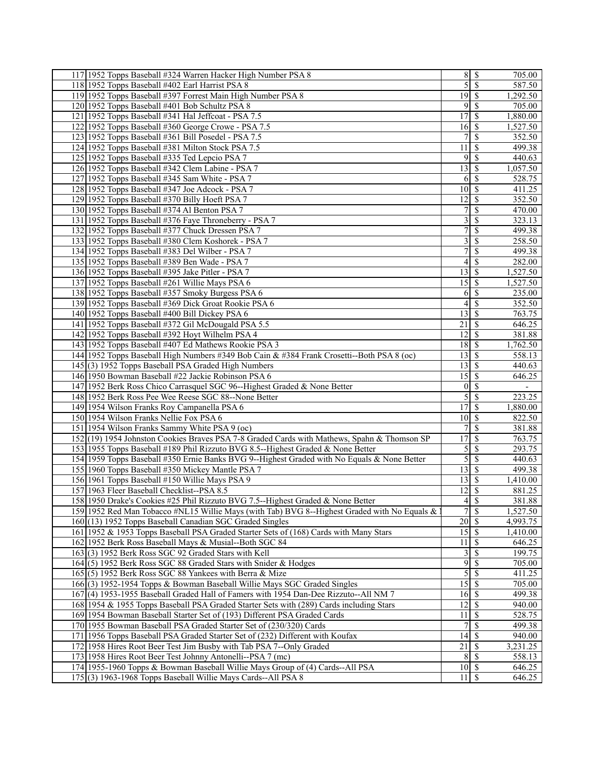| 117 1952 Topps Baseball #324 Warren Hacker High Number PSA 8                                 |                                 | $8 \mid$ \$               | 705.00   |
|----------------------------------------------------------------------------------------------|---------------------------------|---------------------------|----------|
| 118 1952 Topps Baseball #402 Earl Harrist PSA 8                                              | $\overline{5}$                  | S                         | 587.50   |
| 119 1952 Topps Baseball #397 Forrest Main High Number PSA 8                                  | $\overline{19}$ \$              |                           | 1,292.50 |
| 120 1952 Topps Baseball #401 Bob Schultz PSA 8                                               | 9                               | -S                        | 705.00   |
| 121 1952 Topps Baseball #341 Hal Jeffcoat - PSA 7.5                                          | 17                              | \$                        | 1,880.00 |
| 122 1952 Topps Baseball #360 George Crowe - PSA 7.5                                          | 16                              | l \$                      | 1,527.50 |
| 123 1952 Topps Baseball #361 Bill Posedel - PSA 7.5                                          | $\overline{7}$                  | $\boldsymbol{\mathsf{S}}$ | 352.50   |
| 124 1952 Topps Baseball #381 Milton Stock PSA 7.5                                            | 11                              | <sup>\$</sup>             | 499.38   |
| 125 1952 Topps Baseball #335 Ted Lepcio PSA 7                                                | 9                               | S                         | 440.63   |
|                                                                                              | 13                              | - \$                      |          |
| 126 1952 Topps Baseball #342 Clem Labine - PSA 7                                             |                                 |                           | 1,057.50 |
| 127 1952 Topps Baseball #345 Sam White - PSA 7                                               | 6<br>$10\overline{\smash{)}\,}$ | -\$                       | 528.75   |
| 128 1952 Topps Baseball #347 Joe Adcock - PSA 7                                              |                                 |                           | 411.25   |
| 129 1952 Topps Baseball #370 Billy Hoeft PSA 7                                               | 12                              | <sup>\$</sup>             | 352.50   |
| 130 1952 Topps Baseball #374 Al Benton PSA 7                                                 | 7                               | \$                        | 470.00   |
| 131 1952 Topps Baseball #376 Faye Throneberry - PSA 7                                        | 3                               | <sup>\$</sup>             | 323.13   |
| 132 1952 Topps Baseball #377 Chuck Dressen PSA 7                                             | 7                               | \$                        | 499.38   |
| 133 1952 Topps Baseball #380 Clem Koshorek - PSA 7                                           | 3                               | $\mathcal{S}$             | 258.50   |
| 134 1952 Topps Baseball #383 Del Wilber - PSA 7                                              | 7                               | \$                        | 499.38   |
| 135 1952 Topps Baseball #389 Ben Wade - PSA 7                                                | 4                               | S                         | 282.00   |
| 136 1952 Topps Baseball #395 Jake Pitler - PSA 7                                             | 13                              | l \$                      | 1,527.50 |
| 137 1952 Topps Baseball #261 Willie Mays PSA 6                                               | 15                              | $\mathcal{S}$             | 1,527.50 |
| 138 1952 Topps Baseball #357 Smoky Burgess PSA 6                                             | 6                               | $\boldsymbol{\mathsf{S}}$ | 235.00   |
| 139 1952 Topps Baseball #369 Dick Groat Rookie PSA 6                                         | $\overline{4}$                  | <sup>\$</sup>             | 352.50   |
| 140 1952 Topps Baseball #400 Bill Dickey PSA 6                                               | 13                              | -S                        | 763.75   |
| 141 1952 Topps Baseball #372 Gil McDougald PSA 5.5                                           | 21                              | - \$                      | 646.25   |
| 142 1952 Topps Baseball #392 Hoyt Wilhelm PSA 4                                              | 12                              | <sup>\$</sup>             | 381.88   |
| 143 1952 Topps Baseball #407 Ed Mathews Rookie PSA 3                                         | 18                              | l \$                      | 1,762.50 |
| 144 1952 Topps Baseball High Numbers #349 Bob Cain & #384 Frank Crosetti--Both PSA 8 (oc)    |                                 |                           | 558.13   |
| 145 (3) 1952 Topps Baseball PSA Graded High Numbers                                          | 13                              | -S                        | 440.63   |
| 146 1950 Bowman Baseball #22 Jackie Robinson PSA 6                                           | 15                              | - \$                      | 646.25   |
| 147 1952 Berk Ross Chico Carrasquel SGC 96--Highest Graded & None Better                     | $\boldsymbol{0}$                | $\mathcal{S}$             |          |
| 148 1952 Berk Ross Pee Wee Reese SGC 88--None Better                                         | 5                               | $\overline{\mathcal{S}}$  | 223.25   |
| 149 1954 Wilson Franks Roy Campanella PSA 6                                                  | 17                              | -\$                       | 1,880.00 |
| 150 1954 Wilson Franks Nellie Fox PSA 6                                                      | 10                              | - \$                      | 822.50   |
| 151 1954 Wilson Franks Sammy White PSA 9 (oc)                                                | $\overline{7}$                  | <sup>\$</sup>             | 381.88   |
| 152(19) 1954 Johnston Cookies Braves PSA 7-8 Graded Cards with Mathews, Spahn & Thomson SP   | 17                              |                           | 763.75   |
|                                                                                              |                                 | $\mathcal{S}$             |          |
| 153 1955 Topps Baseball #189 Phil Rizzuto BVG 8.5--Highest Graded & None Better              | 5                               | $\boldsymbol{\mathsf{S}}$ | 293.75   |
| 154 1959 Topps Baseball #350 Ernie Banks BVG 9--Highest Graded with No Equals & None Better  | 5                               | -\$                       | 440.63   |
| 155 1960 Topps Baseball #350 Mickey Mantle PSA 7                                             | 13                              | l \$                      | 499.38   |
| 156 1961 Topps Baseball #150 Willie Mays PSA 9                                               |                                 |                           | 1,410.00 |
| 157 1963 Fleer Baseball Checklist--PSA 8.5                                                   | 12                              | \$                        | 881.25   |
| 158 1950 Drake's Cookies #25 Phil Rizzuto BVG 7.5--Highest Graded & None Better              |                                 | $4 \overline{\text{S}}$   | 381.88   |
| 159 1952 Red Man Tobacco #NL15 Willie Mays (with Tab) BVG 8--Highest Graded with No Equals & | $\overline{7}$                  | $\overline{\mathcal{S}}$  | 1,527.50 |
| 160 (13) 1952 Topps Baseball Canadian SGC Graded Singles                                     | $20 \mid$ \$                    |                           | 4,993.75 |
| 161 1952 & 1953 Topps Baseball PSA Graded Starter Sets of (168) Cards with Many Stars        | 15S                             |                           | 1,410.00 |
| 162 1952 Berk Ross Baseball Mays & Musial--Both SGC 84                                       | 11                              | -S                        | 646.25   |
| $163(3) 1952$ Berk Ross SGC 92 Graded Stars with Kell                                        | $\overline{\mathbf{3}}$         | - S                       | 199.75   |
| 164(5) 1952 Berk Ross SGC 88 Graded Stars with Snider & Hodges                               | $\overline{9}$                  | <sup>\$</sup>             | 705.00   |
| 165 (5) 1952 Berk Ross SGC 88 Yankees with Berra & Mize                                      | $\mathfrak{S}$                  | -\$                       | 411.25   |
| 166(3) 1952-1954 Topps & Bowman Baseball Willie Mays SGC Graded Singles                      | 15S                             |                           | 705.00   |
| 167 (4) 1953-1955 Baseball Graded Hall of Famers with 1954 Dan-Dee Rizzuto--All NM 7         | $16 \mid$ \$                    |                           | 499.38   |
| 168 1954 & 1955 Topps Baseball PSA Graded Starter Sets with (289) Cards including Stars      | $12 \mid$ \$                    |                           | 940.00   |
| 169 1954 Bowman Baseball Starter Set of (193) Different PSA Graded Cards                     | 11                              | $\vert$ \$                | 528.75   |
| 170 1955 Bowman Baseball PSA Graded Starter Set of (230/320) Cards                           | 7                               | -S                        | 499.38   |
| 171 1956 Topps Baseball PSA Graded Starter Set of (232) Different with Koufax                | 14S                             |                           | 940.00   |
| 172 1958 Hires Root Beer Test Jim Busby with Tab PSA 7--Only Graded                          | 21                              | - \$                      | 3,231.25 |
| 173 1958 Hires Root Beer Test Johnny Antonelli--PSA 7 (mc)                                   |                                 | 8S                        | 558.13   |
| 174 1955-1960 Topps & Bowman Baseball Willie Mays Group of (4) Cards--All PSA                | $10 \overline{\smash{)}\,}$     |                           | 646.25   |
| 175 (3) 1963-1968 Topps Baseball Willie Mays Cards--All PSA 8                                | $11 \mid S$                     |                           | 646.25   |
|                                                                                              |                                 |                           |          |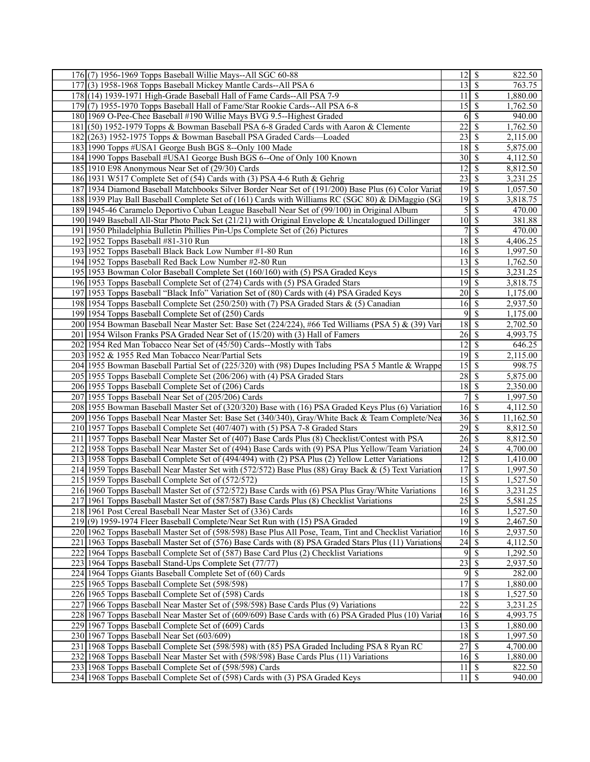| 176(7) 1956-1969 Topps Baseball Willie Mays--All SGC 60-88                                             |                    | $12 \mid$ \$                | 822.50                |
|--------------------------------------------------------------------------------------------------------|--------------------|-----------------------------|-----------------------|
| 177(3) 1958-1968 Topps Baseball Mickey Mantle Cards--All PSA 6                                         |                    |                             | 763.75                |
| 178 (14) 1939-1971 High-Grade Baseball Hall of Fame Cards--All PSA 7-9                                 |                    | $11 \mid$ \$                | 1,880.00              |
| 179(7) 1955-1970 Topps Baseball Hall of Fame/Star Rookie Cards--All PSA 6-8                            | $15$ $\sqrt{5}$    |                             | 1,762.50              |
| 180 1969 O-Pee-Chee Baseball #190 Willie Mays BVG 9.5--Highest Graded                                  | 6                  | -S                          | 940.00                |
| 181 (50) 1952-1979 Topps & Bowman Baseball PSA 6-8 Graded Cards with Aaron & Clemente                  | 22                 | <sup>\$</sup>               | 1,762.50              |
| 182 (263) 1952-1975 Topps & Bowman Baseball PSA Graded Cards—Loaded                                    | 23                 | <sup>\$</sup>               | 2,115.00              |
|                                                                                                        |                    |                             |                       |
| 183 1990 Topps #USA1 George Bush BGS 8--Only 100 Made                                                  |                    |                             | 5,875.00              |
| 184 1990 Topps Baseball #USA1 George Bush BGS 6--One of Only 100 Known                                 | $30 \mid$ \$       |                             | 4,112.50              |
| 185 1910 E98 Anonymous Near Set of (29/30) Cards                                                       | 12                 | -S                          | 8,812.50              |
| 186 1931 W517 Complete Set of (54) Cards with (3) PSA 4-6 Ruth & Gehrig                                | 23                 | - \$                        | 3,231.25              |
| 187   1934 Diamond Baseball Matchbooks Silver Border Near Set of (191/200) Base Plus (6) Color Variat  |                    |                             | 1,057.50              |
| 188 1939 Play Ball Baseball Complete Set of (161) Cards with Williams RC (SGC 80) & DiMaggio (SG       | $19$ \$            |                             | 3,818.75              |
| 189 1945-46 Caramelo Deportivo Cuban League Baseball Near Set of (99/100) in Original Album            | 5                  | -S                          | 470.00                |
| 190 1949 Baseball All-Star Photo Pack Set (21/21) with Original Envelope & Uncatalogued Dillinger      | 10                 | - \$                        | 381.88                |
| 191 1950 Philadelphia Bulletin Phillies Pin-Ups Complete Set of (26) Pictures                          | $\tau$             | <sup>\$</sup>               | 470.00                |
| 192 1952 Topps Baseball #81-310 Run                                                                    | 18                 | - \$                        | 4,406.25              |
| 193 1952 Topps Baseball Black Back Low Number #1-80 Run                                                |                    | $16 \mid$ \$                | 1,997.50              |
| 194 1952 Topps Baseball Red Back Low Number #2-80 Run                                                  | $13 \mid S$        |                             | 1,762.50              |
| 195 1953 Bowman Color Baseball Complete Set (160/160) with (5) PSA Graded Keys                         | 15                 | - \$                        | 3,231.25              |
| 196 1953 Topps Baseball Complete Set of (274) Cards with (5) PSA Graded Stars                          |                    |                             | 3,818.75              |
| 197 1953 Topps Baseball "Black Info" Variation Set of (80) Cards with (4) PSA Graded Keys              |                    |                             | 1,175.00              |
| 198 1954 Topps Baseball Complete Set (250/250) with (7) PSA Graded Stars & (5) Canadian                | $16 \mid$ \$       |                             | 2,937.50              |
| 199 1954 Topps Baseball Complete Set of (250) Cards                                                    | 9                  | -S                          | 1,175.00              |
| 200 1954 Bowman Baseball Near Master Set: Base Set (224/224), #66 Ted Williams (PSA 5) & (39) Vari     | 18                 | -S                          | 2,702.50              |
| 201 1954 Wilson Franks PSA Graded Near Set of (15/20) with (3) Hall of Famers                          | $26 \mid$ \$       |                             | 4,993.75              |
| 202 1954 Red Man Tobacco Near Set of (45/50) Cards--Mostly with Tabs                                   | 12                 | - \$                        | 646.25                |
|                                                                                                        |                    |                             |                       |
| 203 1952 & 1955 Red Man Tobacco Near/Partial Sets                                                      |                    |                             | 2,115.00              |
| 204 1955 Bowman Baseball Partial Set of (225/320) with (98) Dupes Including PSA 5 Mantle & Wrappe      | 15                 | -S                          | 998.75                |
| 205 1955 Topps Baseball Complete Set (206/206) with (4) PSA Graded Stars                               | 28                 | - \$                        | 5,875.00              |
| 206 1955 Topps Baseball Complete Set of (206) Cards                                                    | 18                 | -\$                         | 2,350.00              |
| 207 1955 Topps Baseball Near Set of (205/206) Cards                                                    | 7                  | <sup>\$</sup>               | 1,997.50              |
| 208 1955 Bowman Baseball Master Set of (320/320) Base with (16) PSA Graded Keys Plus (6) Variation     |                    | $16 \mid$ \$                | 4,112.50              |
| 209 1956 Topps Baseball Near Master Set: Base Set (340/340), Gray/White Back & Team Complete/Nea       | $36 \mid$ \$       |                             | 11,162.50             |
| 210 1957 Topps Baseball Complete Set (407/407) with (5) PSA 7-8 Graded Stars                           | 29                 | - \$                        | 8,812.50              |
| 211 1957 Topps Baseball Near Master Set of (407) Base Cards Plus (8) Checklist/Contest with PSA        | 26                 | \$                          | 8,812.50              |
| 212 1958 Topps Baseball Near Master Set of (494) Base Cards with (9) PSA Plus Yellow/Team Variation    | $24 \quad$         |                             | 4,700.00              |
| 213 1958 Topps Baseball Complete Set of (494/494) with (2) PSA Plus (2) Yellow Letter Variations       | $12 \mid$ \$       |                             | $\overline{1,}410.00$ |
| 214 1959 Topps Baseball Near Master Set with (572/572) Base Plus (88) Gray Back & (5) Text Variation   | 17                 | -S                          | 1,997.50              |
| 215 1959 Topps Baseball Complete Set of (572/572)                                                      | 15                 | - \$                        | 1,527.50              |
| 216 1960 Topps Baseball Master Set of (572/572) Base Cards with (6) PSA Plus Gray/White Variations     | $16 \quad$         |                             | 3,231.25              |
| 217 1961 Topps Baseball Master Set of (587/587) Base Cards Plus (8) Checklist Variations               | $\overline{25}$ \$ |                             | 5,581.25              |
| 218 1961 Post Cereal Baseball Near Master Set of (336) Cards                                           |                    | $16 \overline{\smash{)}\,}$ | 1,527.50              |
| 219(9) 1959-1974 Fleer Baseball Complete/Near Set Run with (15) PSA Graded                             |                    |                             | 2,467.50              |
| 220 1962 Topps Baseball Master Set of (598/598) Base Plus All Pose, Team, Tint and Checklist Variation |                    | $16 \,$ \$                  | 2,937.50              |
| 221 1963 Topps Baseball Master Set of (576) Base Cards with (8) PSA Graded Stars Plus (11) Variations  |                    |                             | 4,112.50              |
| 222 1964 Topps Baseball Complete Set of (587) Base Card Plus (2) Checklist Variations                  |                    | 95                          | 1,292.50              |
| 223 1964 Topps Baseball Stand-Ups Complete Set (77/77)                                                 | $\overline{23}$    | -S                          | 2,937.50              |
|                                                                                                        |                    |                             |                       |
| 224 1964 Topps Giants Baseball Complete Set of (60) Cards                                              | 9<br>17            | -S                          | 282.00                |
| 225 1965 Topps Baseball Complete Set (598/598)                                                         |                    | -\$                         | 1,880.00              |
| 226 1965 Topps Baseball Complete Set of (598) Cards                                                    |                    | $18$ \$                     | 1,527.50              |
| 227 1966 Topps Baseball Near Master Set of (598/598) Base Cards Plus (9) Variations                    | 22                 | \$                          | 3,231.25              |
| 228 1967 Topps Baseball Near Master Set of (609/609) Base Cards with (6) PSA Graded Plus (10) Variat   | $16 \mid$ \$       |                             | 4,993.75              |
| 229 1967 Topps Baseball Complete Set of (609) Cards                                                    | $13 \mid$ \$       |                             | 1,880.00              |
| 230 1967 Topps Baseball Near Set (603/609)                                                             | 18S                |                             | 1,997.50              |
| 231 1968 Topps Baseball Complete Set (598/598) with (85) PSA Graded Including PSA 8 Ryan RC            | 27                 | $\mathcal{S}$               | 4,700.00              |
| 232 1968 Topps Baseball Near Master Set with (598/598) Base Cards Plus (11) Variations                 |                    | $16 \,$ \$                  | 1,880.00              |
| 233 1968 Topps Baseball Complete Set of (598/598) Cards                                                |                    | $11 \mid$ \$                | 822.50                |
| 234 1968 Topps Baseball Complete Set of (598) Cards with (3) PSA Graded Keys                           |                    | $11 \mid S$                 | 940.00                |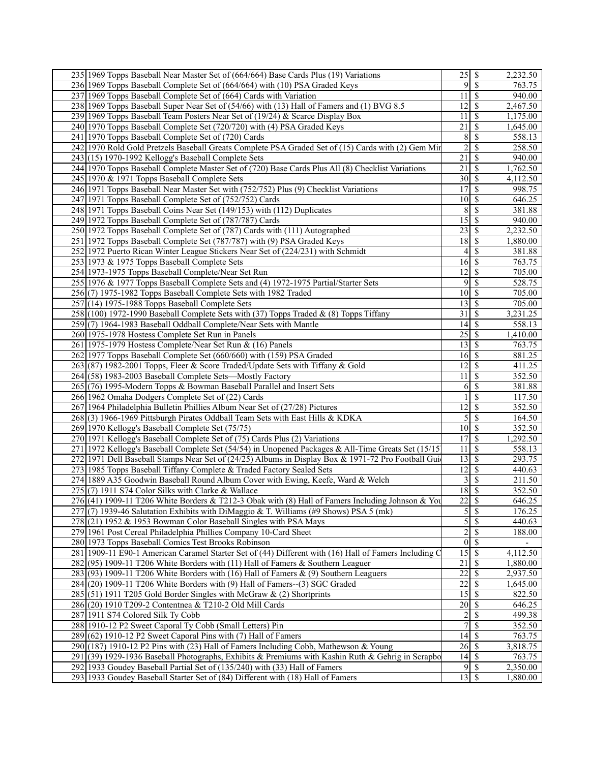| 235 1969 Topps Baseball Near Master Set of (664/664) Base Cards Plus (19) Variations                  | $25 \mid$ \$                    |                            | 2,232.50 |
|-------------------------------------------------------------------------------------------------------|---------------------------------|----------------------------|----------|
| 236 1969 Topps Baseball Complete Set of (664/664) with (10) PSA Graded Keys                           |                                 | 95                         | 763.75   |
| 237 1969 Topps Baseball Complete Set of (664) Cards with Variation                                    | 11                              | l \$                       | 940.00   |
| 238 1969 Topps Baseball Super Near Set of (54/66) with (13) Hall of Famers and (1) BVG 8.5            | 12                              | l S                        | 2,467.50 |
| 239 1969 Topps Baseball Team Posters Near Set of (19/24) & Scarce Display Box                         | 11                              | - \$                       | 1,175.00 |
| 240 1970 Topps Baseball Complete Set (720/720) with (4) PSA Graded Keys                               | 21                              | \$                         | 1,645.00 |
| 241 1970 Topps Baseball Complete Set of (720) Cards                                                   | $\,$ 8 $\,$                     | - \$                       | 558.13   |
| 242 1970 Rold Gold Pretzels Baseball Greats Complete PSA Graded Set of (15) Cards with (2) Gem Mir    | $\overline{2}$                  | $\mathcal{S}$              | 258.50   |
|                                                                                                       | 21                              |                            |          |
| 243 (15) 1970-1992 Kellogg's Baseball Complete Sets                                                   |                                 | - \$                       | 940.00   |
| 244 1970 Topps Baseball Complete Master Set of (720) Base Cards Plus All (8) Checklist Variations     | 21                              | \$                         | 1,762.50 |
| 245 1970 & 1971 Topps Baseball Complete Sets                                                          | $30 \mid$ \$                    |                            | 4,112.50 |
| 246 1971 Topps Baseball Near Master Set with (752/752) Plus (9) Checklist Variations                  |                                 |                            | 998.75   |
| 247 1971 Topps Baseball Complete Set of (752/752) Cards                                               | $10 \mid$ \$                    |                            | 646.25   |
| 248 1971 Topps Baseball Coins Near Set (149/153) with (112) Duplicates                                | 8                               | l \$                       | 381.88   |
| 249 1972 Topps Baseball Complete Set of (787/787) Cards                                               | 15                              | \$                         | 940.00   |
| 250 1972 Topps Baseball Complete Set of (787) Cards with (111) Autographed                            |                                 |                            | 2,232.50 |
| 251 1972 Topps Baseball Complete Set (787/787) with (9) PSA Graded Keys                               | $18$ \$                         |                            | 1,880.00 |
| 252 1972 Puerto Rican Winter League Stickers Near Set of (224/231) with Schmidt                       | $\overline{4}$                  | l \$                       | 381.88   |
| 253 1973 & 1975 Topps Baseball Complete Sets                                                          | $16 \mid$ \$                    |                            | 763.75   |
| 254 1973-1975 Topps Baseball Complete/Near Set Run                                                    | 12                              | \$                         | 705.00   |
| 255 1976 & 1977 Topps Baseball Complete Sets and (4) 1972-1975 Partial/Starter Sets                   | 9                               | $\mathcal{S}$              | 528.75   |
| 256(7) 1975-1982 Topps Baseball Complete Sets with 1982 Traded                                        | $10 \mid$ \$                    |                            | 705.00   |
| $257(14)$ 1975-1988 Topps Baseball Complete Sets                                                      | $13 \mid$ \$                    |                            | 705.00   |
| $258(100)$ 1972-1990 Baseball Complete Sets with (37) Topps Traded & (8) Topps Tiffany                | 31                              | -S                         | 3,231.25 |
| 259(7) 1964-1983 Baseball Oddball Complete/Near Sets with Mantle                                      | $14 \mid S$                     |                            | 558.13   |
| 260 1975-1978 Hostess Complete Set Run in Panels                                                      |                                 |                            | 1,410.00 |
|                                                                                                       | $13 \mid$ \$                    |                            |          |
| 261 1975-1979 Hostess Complete/Near Set Run & (16) Panels                                             |                                 |                            | 763.75   |
| 262 1977 Topps Baseball Complete Set (660/660) with (159) PSA Graded                                  | $16 \,$ \$                      |                            | 881.25   |
| 263 (87) 1982-2001 Topps, Fleer & Score Traded/Update Sets with Tiffany & Gold                        | 12                              | - \$                       | 411.25   |
| 264 (58) 1983-2003 Baseball Complete Sets—Mostly Factory                                              | 11                              | - \$                       | 352.50   |
| 265 (76) 1995-Modern Topps & Bowman Baseball Parallel and Insert Sets                                 |                                 | $6 \overline{\smash{)}\,}$ | 381.88   |
| 266 1962 Omaha Dodgers Complete Set of (22) Cards                                                     |                                 | $\overline{\mathcal{S}}$   | 117.50   |
| 267 1964 Philadelphia Bulletin Phillies Album Near Set of (27/28) Pictures                            | 12                              | - \$                       | 352.50   |
| 268(3) 1966-1969 Pittsburgh Pirates Oddball Team Sets with East Hills & KDKA                          | 5                               | -\$                        | 164.50   |
| 269 1970 Kellogg's Baseball Complete Set (75/75)                                                      | $10 \mid$ \$                    |                            | 352.50   |
| 270 1971 Kellogg's Baseball Complete Set of (75) Cards Plus (2) Variations                            | 17                              | $\overline{\mathcal{S}}$   | 1,292.50 |
| 271 1972 Kellogg's Baseball Complete Set (54/54) in Unopened Packages & All-Time Greats Set (15/15    | 11                              | l \$                       | 558.13   |
| 272 1971 Dell Baseball Stamps Near Set of (24/25) Albums in Display Box & 1971-72 Pro Football Gui    | $13 \mid$ \$                    |                            | 293.75   |
| 273 1985 Topps Baseball Tiffany Complete & Traded Factory Sealed Sets                                 | 12                              | - \$                       | 440.63   |
| 274 1889 A35 Goodwin Baseball Round Album Cover with Ewing, Keefe, Ward & Welch                       | $\mathfrak{Z}$                  | - \$                       | 211.50   |
| $275(7)$ 1911 S74 Color Silks with Clarke & Wallace                                                   | 18                              | $\mathsf{S}$               | 352.50   |
| 276(41) 1909-11 T206 White Borders & T212-3 Obak with (8) Hall of Famers Including Johnson & You      | $\overline{22}$ \$              |                            | 646.25   |
| $277(7)$ 1939-46 Salutation Exhibits with DiMaggio & T. Williams (#9 Shows) PSA 5 (mk)                | $\overline{5}$                  | $\overline{\mathcal{S}}$   | 176.25   |
| $278(21)$ 1952 & 1953 Bowman Color Baseball Singles with PSA Mays                                     | 5                               | - \$                       | 440.63   |
| 279 1961 Post Cereal Philadelphia Phillies Company 10-Card Sheet                                      | $\overline{2}$                  | - \$                       | 188.00   |
| 280 1973 Topps Baseball Comics Test Brooks Robinson                                                   |                                 | $0 \overline{\smash{)}\,}$ |          |
| 281 1909-11 E90-1 American Caramel Starter Set of (44) Different with (16) Hall of Famers Including C | $\overline{15}$ \$              |                            | 4,112.50 |
|                                                                                                       |                                 |                            |          |
| 282(95) 1909-11 T206 White Borders with (11) Hall of Famers & Southern Leaguer                        | $21 \overline{\smash{\big)}\,}$ |                            | 1,880.00 |
| $283(93)$ 1909-11 T206 White Borders with (16) Hall of Famers & (9) Southern Leaguers                 | $22 \mid$ \$                    |                            | 2,937.50 |
| 284 (20) 1909-11 T206 White Borders with (9) Hall of Famers--(3) SGC Graded                           | 22                              | l \$                       | 1,645.00 |
| 285 (51) 1911 T205 Gold Border Singles with McGraw & (2) Shortprints                                  | 15                              | l \$                       | 822.50   |
| 286 (20) 1910 T209-2 Contentnea & T210-2 Old Mill Cards                                               | $20 \mid$ \$                    |                            | 646.25   |
| 287 1911 S74 Colored Silk Ty Cobb                                                                     | $\overline{2}$                  | - \$                       | 499.38   |
| 288 1910-12 P2 Sweet Caporal Ty Cobb (Small Letters) Pin                                              | $\overline{7}$                  | $\overline{\mathcal{S}}$   | 352.50   |
| $289(62)$ 1910-12 P2 Sweet Caporal Pins with (7) Hall of Famers                                       | $14 \mid$ \$                    |                            | 763.75   |
| 290 (187) 1910-12 P2 Pins with (23) Hall of Famers Including Cobb, Mathewson & Young                  | $26 \mid$ \$                    |                            | 3,818.75 |
| 291 (39) 1929-1936 Baseball Photographs, Exhibits & Premiums with Kashin Ruth & Gehrig in Scrapbo     | $14 \overline{\smash{)}\,}$     |                            | 763.75   |
| 292 1933 Goudey Baseball Partial Set of (135/240) with (33) Hall of Famers                            | $\overline{9}$                  | \$                         | 2,350.00 |
| 293 1933 Goudey Baseball Starter Set of (84) Different with (18) Hall of Famers                       | $13 \mid$ \$                    |                            | 1,880.00 |
|                                                                                                       |                                 |                            |          |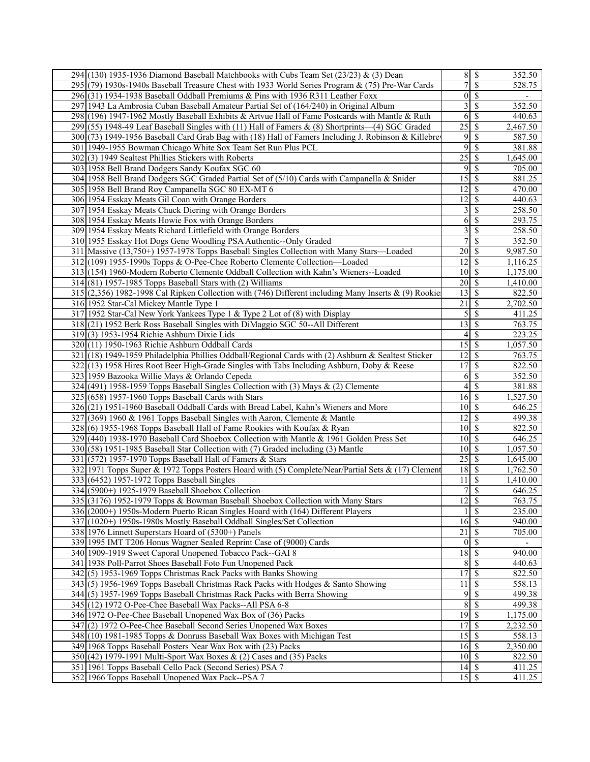| $294(130)$ 1935-1936 Diamond Baseball Matchbooks with Cubs Team Set (23/23) & (3) Dean                 | 8 <sup>1</sup>                    | $\vert$ \$                | 352.50                   |
|--------------------------------------------------------------------------------------------------------|-----------------------------------|---------------------------|--------------------------|
| 295 (79) 1930s-1940s Baseball Treasure Chest with 1933 World Series Program & (75) Pre-War Cards       | $\tau$                            | $\boldsymbol{\mathsf{S}}$ | 528.75                   |
| 296 (31) 1934-1938 Baseball Oddball Premiums & Pins with 1936 R311 Leather Foxx                        | 0                                 | <sup>\$</sup>             | $\overline{\phantom{a}}$ |
| 297 1943 La Ambrosia Cuban Baseball Amateur Partial Set of (164/240) in Original Album                 | 3                                 | <sup>\$</sup>             | 352.50                   |
| 298 (196) 1947-1962 Mostly Baseball Exhibits & Artvue Hall of Fame Postcards with Mantle & Ruth        | 6                                 | \$                        | 440.63                   |
| 299(55) 1948-49 Leaf Baseball Singles with (11) Hall of Famers & (8) Shortprints—(4) SGC Graded        | 25                                | $\boldsymbol{\mathsf{S}}$ | 2,467.50                 |
| 300 (73) 1949-1956 Baseball Card Grab Bag with (18) Hall of Famers Including J. Robinson & Killebre    | 9                                 | $\boldsymbol{\mathsf{S}}$ | 587.50                   |
| 301 1949-1955 Bowman Chicago White Sox Team Set Run Plus PCL                                           | 9                                 | <sup>\$</sup>             | 381.88                   |
|                                                                                                        | 25                                |                           |                          |
| $302(3)$ 1949 Sealtest Phillies Stickers with Roberts                                                  | 9                                 | -S                        | 1,645.00                 |
| 303 1958 Bell Brand Dodgers Sandy Koufax SGC 60                                                        |                                   | -S                        | 705.00                   |
| 304 1958 Bell Brand Dodgers SGC Graded Partial Set of (5/10) Cards with Campanella & Snider            | 15                                | \$                        | 881.25                   |
| 305 1958 Bell Brand Roy Campanella SGC 80 EX-MT 6                                                      | 12                                | $\mathcal{S}$             | 470.00                   |
| 306 1954 Esskay Meats Gil Coan with Orange Borders                                                     | 12                                | -S                        | 440.63                   |
| 307 1954 Esskay Meats Chuck Diering with Orange Borders                                                | 3                                 | S                         | 258.50                   |
| 308 1954 Esskay Meats Howie Fox with Orange Borders                                                    | 6                                 | -S                        | 293.75                   |
| 309 1954 Esskay Meats Richard Littlefield with Orange Borders                                          | 3                                 | $\boldsymbol{\mathsf{S}}$ | 258.50                   |
| 310 1955 Esskay Hot Dogs Gene Woodling PSA Authentic--Only Graded                                      | 7                                 | $\boldsymbol{\mathsf{S}}$ | 352.50                   |
| 311 Massive (13,750+) 1957-1978 Topps Baseball Singles Collection with Many Stars—Loaded               | 20                                | \$                        | 9,987.50                 |
| 312 (109) 1955-1990s Topps & O-Pee-Chee Roberto Clemente Collection—Loaded                             | $12 \mid$ \$                      |                           | 1,116.25                 |
| 313 (154) 1960-Modern Roberto Clemente Oddball Collection with Kahn's Wieners--Loaded                  | $10 \vert S$                      |                           | 1,175.00                 |
| $314(81)$ 1957-1985 Topps Baseball Stars with (2) Williams                                             |                                   |                           | 1,410.00                 |
| $315$ (2,356) 1982-1998 Cal Ripken Collection with (746) Different including Many Inserts & (9) Rookie | $\overline{13}$                   | \$                        | 822.50                   |
| 316 1952 Star-Cal Mickey Mantle Type 1                                                                 | $\overline{21}$                   | $\mathcal{S}$             | 2,702.50                 |
| 317 1952 Star-Cal New York Yankees Type 1 & Type 2 Lot of (8) with Display                             | 5                                 | -S                        | 411.25                   |
| 318 (21) 1952 Berk Ross Baseball Singles with DiMaggio SGC 50--All Different                           | 13                                | -S                        | 763.75                   |
| $319(3) 1953-1954$ Richie Ashburn Dixie Lids                                                           | $\overline{4}$                    | <sup>\$</sup>             | 223.25                   |
| $320(11)$ 1950-1963 Richie Ashburn Oddball Cards                                                       | $\overline{15}$                   | $\overline{\mathcal{S}}$  | 1,057.50                 |
| 321 (18) 1949-1959 Philadelphia Phillies Oddball/Regional Cards with (2) Ashburn & Sealtest Sticker    | 12                                | - \$                      | 763.75                   |
|                                                                                                        |                                   |                           |                          |
| $322(13)$ 1958 Hires Root Beer High-Grade Singles with Tabs Including Ashburn, Doby & Reese            | 17                                | -S                        | 822.50                   |
| 323 1959 Bazooka Willie Mays & Orlando Cepeda                                                          | 6                                 | -S                        | 352.50                   |
| 324 (491) 1958-1959 Topps Baseball Singles Collection with (3) Mays & (2) Clemente                     | $\overline{4}$                    | $\mathcal{S}$             | 381.88                   |
| $325 (658)$ 1957-1960 Topps Baseball Cards with Stars                                                  | $\overline{16}$ \$                |                           | 1,527.50                 |
| 326 (21) 1951-1960 Baseball Oddball Cards with Bread Label, Kahn's Wieners and More                    | $10 \mid S$                       |                           | 646.25                   |
| 327 (369) 1960 & 1961 Topps Baseball Singles with Aaron, Clemente & Mantle                             | $12 \mid$ \$                      |                           | 499.38                   |
| 328(6) 1955-1968 Topps Baseball Hall of Fame Rookies with Koufax & Ryan                                | $10 \mid S$                       |                           | 822.50                   |
| 329 (440) 1938-1970 Baseball Card Shoebox Collection with Mantle & 1961 Golden Press Set               | $10 \mid$ \$                      |                           | 646.25                   |
| 330 (58) 1951-1985 Baseball Star Collection with (7) Graded including (3) Mantle                       | $\overline{10}$ \$                |                           | 1,057.50                 |
| 331 (572) 1957-1970 Topps Baseball Hall of Famers & Stars                                              | $\overline{25}$ \$                |                           | 1,645.00                 |
| 332 1971 Topps Super & 1972 Topps Posters Hoard with (5) Complete/Near/Partial Sets & (17) Clement     |                                   |                           | 1,762.50                 |
| 333 (6452) 1957-1972 Topps Baseball Singles                                                            | 11                                | -S                        | 1,410.00                 |
| 334 (5900+) 1925-1979 Baseball Shoebox Collection                                                      | $\tau$                            | $\boldsymbol{\mathsf{S}}$ | 646.25                   |
| 335 (3176) 1952-1979 Topps & Bowman Baseball Shoebox Collection with Many Stars                        | $12 \overline{\smash{\big)} }$ \$ |                           | 763.75                   |
| 336 (2000+) 1950s-Modern Puerto Rican Singles Hoard with (164) Different Players                       |                                   | $\overline{\mathcal{S}}$  | 235.00                   |
| 337 (1020+) 1950s-1980s Mostly Baseball Oddball Singles/Set Collection                                 | $16 \mid S$                       |                           | 940.00                   |
| 338 1976 Linnett Superstars Hoard of (5300+) Panels                                                    | 21                                | - \$                      | 705.00                   |
| 339 1995 IMT T206 Honus Wagner Sealed Reprint Case of (9000) Cards                                     | $\overline{0}$                    | $\mathcal{S}$             |                          |
| 340 1909-1919 Sweet Caporal Unopened Tobacco Pack--GAI 8                                               | $\overline{18}$                   | -\$                       | 940.00                   |
| 341   1938 Poll-Parrot Shoes Baseball Foto Fun Unopened Pack                                           | 8                                 | -S                        | $\overline{440.63}$      |
|                                                                                                        | 17                                |                           | 822.50                   |
| 342(5) 1953-1969 Topps Christmas Rack Packs with Banks Showing                                         | 11                                |                           |                          |
| 343 (5) 1956-1969 Topps Baseball Christmas Rack Packs with Hodges & Santo Showing                      |                                   | -8                        | 558.13                   |
| 344(5) 1957-1969 Topps Baseball Christmas Rack Packs with Berra Showing                                | 9                                 | <sup>\$</sup>             | 499.38                   |
| 345 (12) 1972 O-Pee-Chee Baseball Wax Packs--All PSA 6-8                                               | 8                                 | <sup>\$</sup>             | 499.38                   |
| 346 1972 O-Pee-Chee Baseball Unopened Wax Box of (36) Packs                                            | $\overline{19}$ \$                |                           | 1,175.00                 |
| 347 (2) 1972 O-Pee-Chee Baseball Second Series Unopened Wax Boxes                                      | $17 \mid$ \$                      |                           | 2,232.50                 |
| 348 (10) 1981-1985 Topps & Donruss Baseball Wax Boxes with Michigan Test                               | $15$ \$                           |                           | 558.13                   |
| 349 1968 Topps Baseball Posters Near Wax Box with (23) Packs                                           | $16 \mid$ \$                      |                           | 2,350.00                 |
| 350 (42) 1979-1991 Multi-Sport Wax Boxes & (2) Cases and (35) Packs                                    | $10 \mid$ \$                      |                           | 822.50                   |
| 351 1961 Topps Baseball Cello Pack (Second Series) PSA 7                                               | $14 \mid$ \$                      |                           | 411.25                   |
| 352 1966 Topps Baseball Unopened Wax Pack--PSA 7                                                       | $15 \mid$ \$                      |                           | 411.25                   |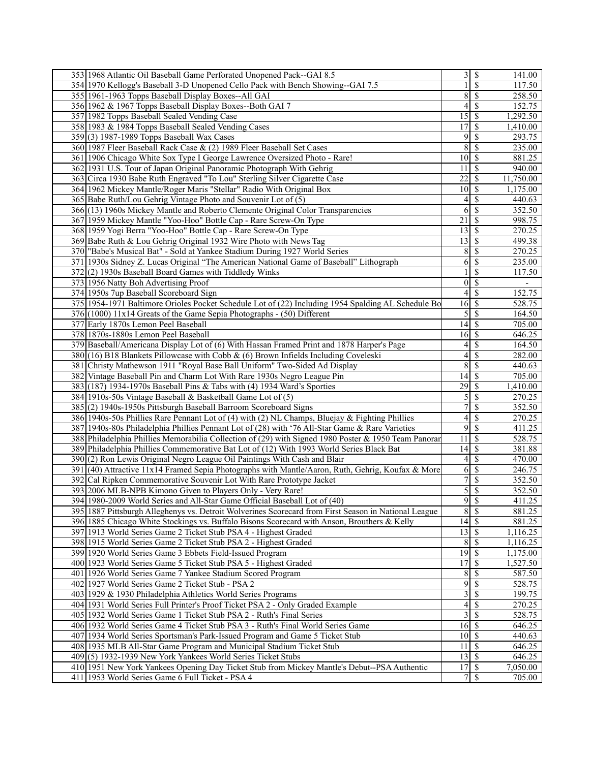| 353 1968 Atlantic Oil Baseball Game Perforated Unopened Pack--GAI 8.5                                |                                 |                           | 141.00              |
|------------------------------------------------------------------------------------------------------|---------------------------------|---------------------------|---------------------|
| 354 1970 Kellogg's Baseball 3-D Unopened Cello Pack with Bench Showing--GAI 7.5                      |                                 | <sup>\$</sup>             | 117.50              |
| 355 1961-1963 Topps Baseball Display Boxes--All GAI                                                  | 8                               | \$                        | 258.50              |
| 356 1962 & 1967 Topps Baseball Display Boxes--Both GAI 7                                             | 4                               | - \$                      | 152.75              |
| 357 1982 Topps Baseball Sealed Vending Case                                                          | 15                              | $\overline{\mathbf{s}}$   | 1,292.50            |
| 358 1983 & 1984 Topps Baseball Sealed Vending Cases                                                  | 17                              | $\mathcal{S}$             | 1,410.00            |
| $359(3)$ 1987-1989 Topps Baseball Wax Cases                                                          | 9                               | $\overline{\mathcal{S}}$  | 293.75              |
| 360 1987 Fleer Baseball Rack Case & (2) 1989 Fleer Baseball Set Cases                                | 8                               | <sup>\$</sup>             | 235.00              |
| 361 1906 Chicago White Sox Type I George Lawrence Oversized Photo - Rare!                            | $\overline{10}$ \$              |                           | 881.25              |
| 362 1931 U.S. Tour of Japan Original Panoramic Photograph With Gehrig                                | 11                              | - S                       | 940.00              |
| 363 Circa 1930 Babe Ruth Engraved "To Lou" Sterling Silver Cigarette Case                            | 22                              | \$                        | 11,750.00           |
| 364 1962 Mickey Mantle/Roger Maris "Stellar" Radio With Original Box                                 | $10\overline{\smash{)}\,}$      |                           | 1,175.00            |
| 365 Babe Ruth/Lou Gehrig Vintage Photo and Souvenir Lot of (5)                                       | 4                               | S                         | 440.63              |
| 366 (13) 1960s Mickey Mantle and Roberto Clemente Original Color Transparencies                      | 6                               | - \$                      | 352.50              |
| 367 1959 Mickey Mantle "Yoo-Hoo" Bottle Cap - Rare Screw-On Type                                     | 21                              | $\sqrt{S}$                | 998.75              |
| 368 1959 Yogi Berra "Yoo-Hoo" Bottle Cap - Rare Screw-On Type                                        | 13                              | \$                        | 270.25              |
| 369 Babe Ruth & Lou Gehrig Original 1932 Wire Photo with News Tag                                    | $13\overline{3}$                |                           | 499.38              |
| 370   "Babe's Musical Bat" - Sold at Yankee Stadium During 1927 World Series                         | 8                               | -S                        | 270.25              |
| 371 1930s Sidney Z. Lucas Original "The American National Game of Baseball" Lithograph               | 6                               | \$                        | 235.00              |
| 372(2) 1930s Baseball Board Games with Tiddledy Winks                                                | 1                               | \$                        | 117.50              |
| 373 1956 Natty Boh Advertising Proof                                                                 | $\boldsymbol{0}$                | $\boldsymbol{\mathsf{S}}$ |                     |
| 374 1950s 7up Baseball Scoreboard Sign                                                               | $\overline{4}$                  | $\overline{\mathcal{S}}$  | 152.75              |
| 375 1954-1971 Baltimore Orioles Pocket Schedule Lot of (22) Including 1954 Spalding AL Schedule Bo   | $16 \mid$ \$                    |                           | 528.75              |
| 376 (1000) 11x14 Greats of the Game Sepia Photographs - (50) Different                               | $\overline{5}$                  | l \$                      | 164.50              |
| 377 Early 1870s Lemon Peel Baseball                                                                  | $14 \overline{\smash{3}}$       |                           | 705.00              |
| 378 1870s-1880s Lemon Peel Baseball                                                                  | $16$ \$                         |                           | 646.25              |
| 379 Baseball/Americana Display Lot of (6) With Hassan Framed Print and 1878 Harper's Page            |                                 | 4S                        | 164.50              |
| $380(16)$ B18 Blankets Pillowcase with Cobb & (6) Brown Infields Including Coveleski                 | 4                               | \$                        | 282.00              |
| 381 Christy Mathewson 1911 "Royal Base Ball Uniform" Two-Sided Ad Display                            | 8                               | -\$                       | 440.63              |
| 382 Vintage Baseball Pin and Charm Lot With Rare 1930s Negro League Pin                              | $14 \overline{\smash{3}}$       |                           | 705.00              |
| 383 (187) 1934-1970s Baseball Pins & Tabs with (4) 1934 Ward's Sporties                              | 29                              | $\mathcal{S}$             | 1,410.00            |
| 384 1910s-50s Vintage Baseball & Basketball Game Lot of (5)                                          | $\overline{5}$                  | $\overline{\mathcal{S}}$  | 270.25              |
| 385 (2) 1940s-1950s Pittsburgh Baseball Barroom Scoreboard Signs                                     | 7                               | \$                        | 352.50              |
| 386 1940s-50s Phillies Rare Pennant Lot of (4) with (2) NL Champs, Bluejay & Fighting Phillies       | 4                               | \$                        | 270.25              |
| 387 1940s-80s Philadelphia Phillies Pennant Lot of (28) with '76 All-Star Game & Rare Varieties      | 9                               | $\mathcal{S}$             | $\overline{411.25}$ |
| 388 Philadelphia Phillies Memorabilia Collection of (29) with Signed 1980 Poster & 1950 Team Panorar | 11                              | $\mathcal{S}$             | 528.75              |
| 389 Philadelphia Phillies Commemorative Bat Lot of (12) With 1993 World Series Black Bat             | $14\overline{3}$                |                           | 381.88              |
| 390 (2) Ron Lewis Original Negro League Oil Paintings With Cash and Blair                            | 4                               | <sup>\$</sup>             | 470.00              |
| 391 (40) Attractive 11x14 Framed Sepia Photographs with Mantle/Aaron, Ruth, Gehrig, Koufax & More    | 6                               | $\mathcal{S}$             | 246.75              |
| 392 Cal Ripken Commemorative Souvenir Lot With Rare Prototype Jacket                                 | 7                               | \$                        | 352.50              |
| 393 2006 MLB-NPB Kimono Given to Players Only - Very Rare!                                           | 5                               | \$                        | 352.50              |
| 394 1980-2009 World Series and All-Star Game Official Baseball Lot of (40)                           |                                 | $9 \overline{\text{S}}$   | 411.25              |
| 395 1887 Pittsburgh Alleghenys vs. Detroit Wolverines Scorecard from First Season in National League |                                 | 8S                        | 881.25              |
| 396 1885 Chicago White Stockings vs. Buffalo Bisons Scorecard with Anson, Brouthers & Kelly          | $14 \mid$ \$                    |                           | 881.25              |
| 397 1913 World Series Game 2 Ticket Stub PSA 4 - Highest Graded                                      | $13 \mid$ \$                    |                           | 1,116.25            |
| 398 1915 World Series Game 2 Ticket Stub PSA 2 - Highest Graded                                      |                                 | $8 \mid$ \$               | 1,116.25            |
| 399 1920 World Series Game 3 Ebbets Field-Issued Program                                             | $\overline{19}$ \$              |                           | 1,175.00            |
| 400 1923 World Series Game 5 Ticket Stub PSA 5 - Highest Graded                                      | 17                              | - \$                      | 1,527.50            |
| 401 1926 World Series Game 7 Yankee Stadium Scored Program                                           |                                 | $8 \mid$ \$               | 587.50              |
| 402 1927 World Series Game 2 Ticket Stub - PSA 2                                                     |                                 | $9 \overline{\sqrt{\ }}$  | 528.75              |
| 403 1929 & 1930 Philadelphia Athletics World Series Programs                                         |                                 | $3$ \ $\sqrt{3}$          | 199.75              |
| 404 1931 World Series Full Printer's Proof Ticket PSA 2 - Only Graded Example                        |                                 | $4 \overline{\text{S}}$   | 270.25              |
| 405 1932 World Series Game 1 Ticket Stub PSA 2 - Ruth's Final Series                                 |                                 | $3$ \ $\sqrt{3}$          | 528.75              |
| 406 1932 World Series Game 4 Ticket Stub PSA 3 - Ruth's Final World Series Game                      | $16 \overline{\smash{\big)}\ }$ |                           | 646.25              |
| 407 1934 World Series Sportsman's Park-Issued Program and Game 5 Ticket Stub                         | $10 \mid S$                     |                           | 440.63              |
| 408 1935 MLB All-Star Game Program and Municipal Stadium Ticket Stub                                 | 11                              | l S                       | 646.25              |
| 409(5) 1932-1939 New York Yankees World Series Ticket Stubs                                          | $13 \mid$ \$                    |                           | 646.25              |
| 410 1951 New York Yankees Opening Day Ticket Stub from Mickey Mantle's Debut--PSA Authentic          |                                 |                           | 7,050.00            |
| 411 1953 World Series Game 6 Full Ticket - PSA 4                                                     |                                 |                           | 705.00              |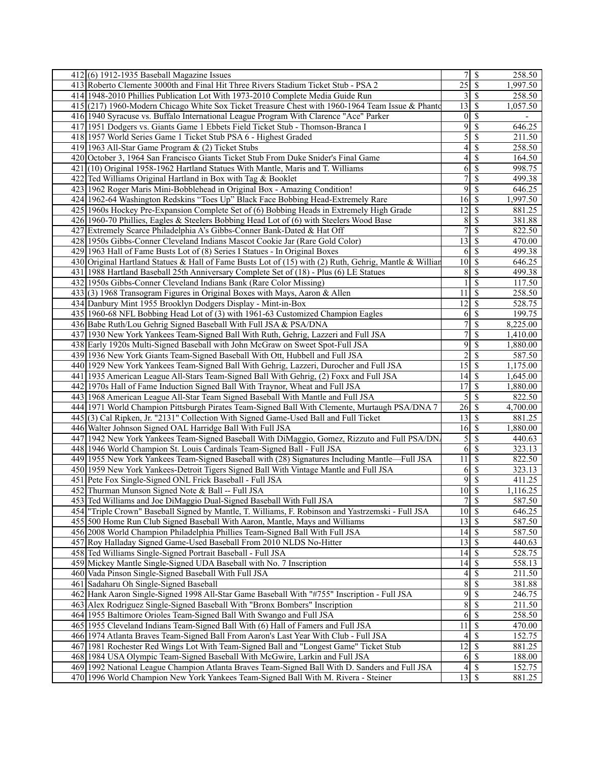| $412(6)$ 1912-1935 Baseball Magazine Issues                                                            |                              |                          | 258.50   |
|--------------------------------------------------------------------------------------------------------|------------------------------|--------------------------|----------|
| 413 Roberto Clemente 3000th and Final Hit Three Rivers Stadium Ticket Stub - PSA 2                     | $\overline{25}$              | $\overline{\mathcal{S}}$ | 1,997.50 |
| 414 1948-2010 Phillies Publication Lot With 1973-2010 Complete Media Guide Run                         |                              | $3\overline{3}$          | 258.50   |
| 415 (217) 1960-Modern Chicago White Sox Ticket Treasure Chest with 1960-1964 Team Issue & Phanto       | 13                           | l \$                     | 1,057.50 |
| 416 1940 Syracuse vs. Buffalo International League Program With Clarence "Ace" Parker                  | $\boldsymbol{0}$             | - \$                     |          |
| 417 1951 Dodgers vs. Giants Game 1 Ebbets Field Ticket Stub - Thomson-Branca I                         | 9                            | $\mathbb{S}$             | 646.25   |
|                                                                                                        |                              |                          |          |
| 418 1957 World Series Game 1 Ticket Stub PSA 6 - Highest Graded                                        | 5                            | \$                       | 211.50   |
| 419   1963 All-Star Game Program $\&$ (2) Ticket Stubs                                                 | 4                            | $\mathbb{S}$             | 258.50   |
| 420 October 3, 1964 San Francisco Giants Ticket Stub From Duke Snider's Final Game                     | 4                            | \$                       | 164.50   |
| 421 (10) Original 1958-1962 Hartland Statues With Mantle, Maris and T. Williams                        | 6                            | \$                       | 998.75   |
| 422 Ted Williams Original Hartland in Box with Tag & Booklet                                           | $\overline{7}$               | \$                       | 499.38   |
| 423 1962 Roger Maris Mini-Bobblehead in Original Box - Amazing Condition!                              | 9                            | $\mathbb{S}$             | 646.25   |
| 424 1962-64 Washington Redskins "Toes Up" Black Face Bobbing Head-Extremely Rare                       | $16 \overline{\smash{)}\,}$  |                          | 1,997.50 |
| 425 1960s Hockey Pre-Expansion Complete Set of (6) Bobbing Heads in Extremely High Grade               | 12                           | l \$                     | 881.25   |
| 426 1960-70 Phillies, Eagles & Steelers Bobbing Head Lot of (6) with Steelers Wood Base                | 8                            | - \$                     | 381.88   |
| 427 Extremely Scarce Philadelphia A's Gibbs-Conner Bank-Dated & Hat Off                                | $\overline{7}$               | $\mathbb{S}$             | 822.50   |
| 428 1950s Gibbs-Conner Cleveland Indians Mascot Cookie Jar (Rare Gold Color)                           | $\overline{13}$              | \$                       | 470.00   |
| 429 1963 Hall of Fame Busts Lot of (8) Series I Statues - In Original Boxes                            | 6                            | $\overline{\mathcal{S}}$ | 499.38   |
| 430 Original Hartland Statues & Hall of Fame Busts Lot of (15) with (2) Ruth, Gehrig, Mantle & Willian | $10 \mid$ \$                 |                          | 646.25   |
| 431 1988 Hartland Baseball 25th Anniversary Complete Set of (18) - Plus (6) LE Statues                 | 8                            | - \$                     | 499.38   |
| 432 1950s Gibbs-Conner Cleveland Indians Bank (Rare Color Missing)                                     |                              | $\mathbb{S}$             | 117.50   |
| $433(3)$ 1968 Transogram Figures in Original Boxes with Mays, Aaron & Allen                            | 11                           | \$                       | 258.50   |
|                                                                                                        | 12                           | \$                       | 528.75   |
| 434 Danbury Mint 1955 Brooklyn Dodgers Display - Mint-in-Box                                           |                              |                          |          |
| 435 1960-68 NFL Bobbing Head Lot of (3) with 1961-63 Customized Champion Eagles                        | 6                            | \$                       | 199.75   |
| 436 Babe Ruth/Lou Gehrig Signed Baseball With Full JSA & PSA/DNA                                       | 7                            | \$                       | 8,225.00 |
| 437 1930 New York Yankees Team-Signed Ball With Ruth, Gehrig, Lazzeri and Full JSA                     | $\overline{7}$               | \$                       | 1,410.00 |
| 438 Early 1920s Multi-Signed Baseball with John McGraw on Sweet Spot-Full JSA                          | 9                            | \$                       | 1,880.00 |
| 439 1936 New York Giants Team-Signed Baseball With Ott, Hubbell and Full JSA                           | 2                            | $\overline{\mathcal{S}}$ | 587.50   |
| 440 1929 New York Yankees Team-Signed Ball With Gehrig, Lazzeri, Durocher and Full JSA                 | 15                           | - \$                     | 1,175.00 |
| 441 1935 American League All-Stars Team-Signed Ball With Gehrig, (2) Foxx and Full JSA                 | $14 \mid$ \$                 |                          | 1,645.00 |
| 442 1970s Hall of Fame Induction Signed Ball With Traynor, Wheat and Full JSA                          | 17                           | $\overline{\mathcal{S}}$ | 1,880.00 |
| 443 1968 American League All-Star Team Signed Baseball With Mantle and Full JSA                        | 5                            | <sup>\$</sup>            | 822.50   |
| 444 1971 World Champion Pittsburgh Pirates Team-Signed Ball With Clemente, Murtaugh PSA/DNA 7          | $26 \mid$ \$                 |                          | 4,700.00 |
| 445 (3) Cal Ripken, Jr. "2131" Collection With Signed Game-Used Ball and Full Ticket                   | $13 \mid$ \$                 |                          | 881.25   |
| 446 Walter Johnson Signed OAL Harridge Ball With Full JSA                                              | $16 \,$ \$                   |                          | 1,880.00 |
| 447 1942 New York Yankees Team-Signed Baseball With DiMaggio, Gomez, Rizzuto and Full PSA/DN.          | 5                            | $\mathcal{S}$            | 440.63   |
| 448 1946 World Champion St. Louis Cardinals Team-Signed Ball - Full JSA                                | 6                            | $\overline{\mathcal{S}}$ | 323.13   |
| 449 1955 New York Yankees Team-Signed Baseball with (28) Signatures Including Mantle—Full JSA          | 11                           | $\mathcal{S}$            | 822.50   |
| 450 1959 New York Yankees-Detroit Tigers Signed Ball With Vintage Mantle and Full JSA                  | 6                            | - \$                     | 323.13   |
|                                                                                                        | 9                            |                          | 411.25   |
| 451 Pete Fox Single-Signed ONL Frick Baseball - Full JSA                                               |                              | - \$                     |          |
| 452 Thurman Munson Signed Note & Ball -- Full JSA                                                      | $10\overline{\smash{)}\,$ \$ |                          | 1,116.25 |
| 453 Ted Williams and Joe DiMaggio Dual-Signed Baseball With Full JSA                                   |                              | 7S                       | 587.50   |
| 454 Triple Crown" Baseball Signed by Mantle, T. Williams, F. Robinson and Yastrzemski - Full JSA       | $10 \mid S$                  |                          | 646.25   |
| 455 500 Home Run Club Signed Baseball With Aaron, Mantle, Mays and Williams                            | $13 \mid$ \$                 |                          | 587.50   |
| 456 2008 World Champion Philadelphia Phillies Team-Signed Ball With Full JSA                           | $14 \mid$ \$                 |                          | 587.50   |
| 457 Roy Halladay Signed Game-Used Baseball From 2010 NLDS No-Hitter                                    | 13                           | - \$                     | 440.63   |
| 458 Ted Williams Single-Signed Portrait Baseball - Full JSA                                            | 14                           | - \$                     | 528.75   |
| 459 Mickey Mantle Single-Signed UDA Baseball with No. 7 Inscription                                    | $14 \mid$ \$                 |                          | 558.13   |
| 460 Vada Pinson Single-Signed Baseball With Full JSA                                                   | 4                            | -S                       | 211.50   |
| 461 Sadaharu Oh Single-Signed Baseball                                                                 | $\,$ $\,$                    | - \$                     | 381.88   |
| 462 Hank Aaron Single-Signed 1998 All-Star Game Baseball With "#755" Inscription - Full JSA            | $\overline{9}$               | $\mathsf{S}$             | 246.75   |
| 463 Alex Rodriguez Single-Signed Baseball With "Bronx Bombers" Inscription                             | 8                            | $\mathcal{S}$            | 211.50   |
| 464 1955 Baltimore Orioles Team-Signed Ball With Swango and Full JSA                                   |                              | $6 \mid$ \$              | 258.50   |
| 465 1955 Cleveland Indians Team-Signed Ball With (6) Hall of Famers and Full JSA                       | 11                           | $\mathcal{S}$            | 470.00   |
| 466 1974 Atlanta Braves Team-Signed Ball From Aaron's Last Year With Club - Full JSA                   |                              |                          | 152.75   |
| 467 1981 Rochester Red Wings Lot With Team-Signed Ball and "Longest Game" Ticket Stub                  | 12                           | $\mathsf{S}$             | 881.25   |
| 468 1984 USA Olympic Team-Signed Baseball With McGwire, Larkin and Full JSA                            |                              | $6\overline{3}$          | 188.00   |
|                                                                                                        |                              |                          | 152.75   |
| 469 1992 National League Champion Atlanta Braves Team-Signed Ball With D. Sanders and Full JSA         |                              |                          |          |
| 470 1996 World Champion New York Yankees Team-Signed Ball With M. Rivera - Steiner                     |                              |                          | 881.25   |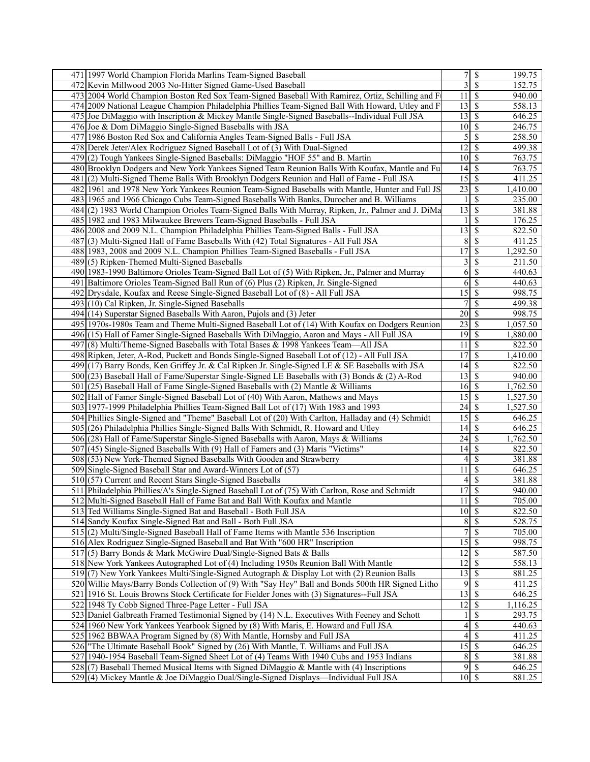| 471 1997 World Champion Florida Marlins Team-Signed Baseball                                                                                                                    | $\tau$                          | \$                        | 199.75               |
|---------------------------------------------------------------------------------------------------------------------------------------------------------------------------------|---------------------------------|---------------------------|----------------------|
| 472 Kevin Millwood 2003 No-Hitter Signed Game-Used Baseball                                                                                                                     | $\overline{\overline{3}}$       | $\mathcal{S}$             | 152.75               |
| 473 2004 World Champion Boston Red Sox Team-Signed Baseball With Ramirez, Ortiz, Schilling and F                                                                                | 11                              | $\mathcal{S}$             | 940.00               |
| 474 2009 National League Champion Philadelphia Phillies Team-Signed Ball With Howard, Utley and F                                                                               | 13                              | -S                        | 558.13               |
| 475 Joe DiMaggio with Inscription & Mickey Mantle Single-Signed Baseballs--Individual Full JSA                                                                                  | 13                              | - \$                      | 646.25               |
| 476 Joe & Dom DiMaggio Single-Signed Baseballs with JSA                                                                                                                         | 10                              | $\mathcal{S}$             | 246.75               |
| 477 1986 Boston Red Sox and California Angles Team-Signed Balls - Full JSA                                                                                                      | 5                               | $\mathcal{S}$             | 258.50               |
| 478 Derek Jeter/Alex Rodriguez Signed Baseball Lot of (3) With Dual-Signed                                                                                                      | 12                              | \$                        | 499.38               |
|                                                                                                                                                                                 | 10                              | -S                        | 763.75               |
| 479(2) Tough Yankees Single-Signed Baseballs: DiMaggio "HOF 55" and B. Martin<br>480 Brooklyn Dodgers and New York Yankees Signed Team Reunion Balls With Koufax, Mantle and Fu |                                 |                           | 763.75               |
|                                                                                                                                                                                 | 14                              | - \$                      |                      |
| 481 (2) Multi-Signed Theme Balls With Brooklyn Dodgers Reunion and Hall of Fame - Full JSA                                                                                      | 15                              | <sup>\$</sup>             | 411.25               |
| 482 1961 and 1978 New York Yankees Reunion Team-Signed Baseballs with Mantle, Hunter and Full JS                                                                                | $\overline{23}$                 | $\mathcal{S}$             | 1,410.00             |
| 483 1965 and 1966 Chicago Cubs Team-Signed Baseballs With Banks, Durocher and B. Williams                                                                                       |                                 | \$                        | 235.00               |
| 484(2) 1983 World Champion Orioles Team-Signed Balls With Murray, Ripken, Jr., Palmer and J. DiMa                                                                               | 13                              | \$                        | 381.88               |
| 485 1982 and 1983 Milwaukee Brewers Team-Signed Baseballs - Full JSA                                                                                                            |                                 | \$                        | 176.25               |
| 486 2008 and 2009 N.L. Champion Philadelphia Phillies Team-Signed Balls - Full JSA                                                                                              | 13                              | \$                        | 822.50               |
| 487(3) Multi-Signed Hall of Fame Baseballs With (42) Total Signatures - All Full JSA                                                                                            | 8                               | $\mathcal{S}$             | 411.25               |
| 488 1983, 2008 and 2009 N.L. Champion Phillies Team-Signed Baseballs - Full JSA                                                                                                 | 17                              | \$                        | ,292.50              |
| 489(5) Ripken-Themed Multi-Signed Baseballs                                                                                                                                     | 3                               | \$                        | 211.50               |
| 490 1983-1990 Baltimore Orioles Team-Signed Ball Lot of (5) With Ripken, Jr., Palmer and Murray                                                                                 | 6                               | \$                        | 440.63               |
| 491 Baltimore Orioles Team-Signed Ball Run of (6) Plus (2) Ripken, Jr. Single-Signed                                                                                            | 6                               | $\boldsymbol{\mathsf{S}}$ | 440.63               |
| 492 Drysdale, Koufax and Reese Single-Signed Baseball Lot of (8) - All Full JSA                                                                                                 | $\overline{15}$                 | $\mathcal{S}$             | 998.75               |
| $493(10)$ Cal Ripken, Jr. Single-Signed Baseballs                                                                                                                               |                                 | \$                        | 499.38               |
| 494 (14) Superstar Signed Baseballs With Aaron, Pujols and (3) Jeter                                                                                                            | 20                              | -S                        | 998.75               |
| 495 1970s-1980s Team and Theme Multi-Signed Baseball Lot of (14) With Koufax on Dodgers Reunion                                                                                 | 23                              | -S                        | 1,057.50             |
| 496 (15) Hall of Famer Single-Signed Baseballs With DiMaggio, Aaron and Mays - All Full JSA                                                                                     | 19                              | $\mathcal{S}$             | 1,880.00             |
| $497$ (8) Multi/Theme-Signed Baseballs with Total Bases & 1998 Yankees Team—All JSA                                                                                             | 11                              | $\mathcal{S}$             | 822.50               |
| 498 Ripken, Jeter, A-Rod, Puckett and Bonds Single-Signed Baseball Lot of (12) - All Full JSA                                                                                   | 17                              | $\boldsymbol{\mathsf{S}}$ | 1,410.00             |
| 499 $(17)$ Barry Bonds, Ken Griffey Jr. & Cal Ripken Jr. Single-Signed LE & SE Baseballs with JSA                                                                               | 14                              | -S                        | 822.50               |
| 500 (23) Baseball Hall of Fame/Superstar Single-Signed LE Baseballs with (3) Bonds & (2) A-Rod                                                                                  | 13                              | -\$                       | 940.00               |
| 501 (25) Baseball Hall of Fame Single-Signed Baseballs with (2) Mantle & Williams                                                                                               | $16 \,$ \$                      |                           | 1,762.50             |
| 502 Hall of Famer Single-Signed Baseball Lot of (40) With Aaron, Mathews and Mays                                                                                               | 15                              | $\overline{\mathcal{S}}$  | 1,527.50             |
| 503 1977-1999 Philadelphia Phillies Team-Signed Ball Lot of (17) With 1983 and 1993                                                                                             | 24                              | S                         | 1,527.50             |
|                                                                                                                                                                                 | 15                              |                           |                      |
| 504 Phillies Single-Signed and "Theme" Baseball Lot of (20) With Carlton, Halladay and (4) Schmidt                                                                              |                                 | <sup>\$</sup>             | 646.25               |
| 505 (26) Philadelphia Phillies Single-Signed Balls With Schmidt, R. Howard and Utley                                                                                            | 14                              | -\$                       | 646.25               |
| 506 (28) Hall of Fame/Superstar Single-Signed Baseballs with Aaron, Mays & Williams                                                                                             | 24                              | $\mathcal{S}$             | 1,762.50             |
| 507 (45) Single-Signed Baseballs With (9) Hall of Famers and (3) Maris "Victims"                                                                                                | 14                              | $\mathcal{S}$             | 822.50               |
| 508 (53) New York-Themed Signed Baseballs With Gooden and Strawberry                                                                                                            | 4                               | \$                        | 381.88               |
| 509 Single-Signed Baseball Star and Award-Winners Lot of (57)                                                                                                                   | 11                              | \$                        | 646.25               |
| 510 (57) Current and Recent Stars Single-Signed Baseballs                                                                                                                       | 4                               | -S                        | 381.88               |
| 511 Philadelphia Phillies/A's Single-Signed Baseball Lot of (75) With Carlton, Rose and Schmidt                                                                                 | 17                              | \$                        | 940.00               |
| 512 Multi-Signed Baseball Hall of Fame Bat and Ball With Koufax and Mantle                                                                                                      | $11 \overline{\smash{\big)}\,}$ |                           | 705.00               |
| 513 Ted Williams Single-Signed Bat and Baseball - Both Full JSA                                                                                                                 | $10\overline{\smash{)}\,5}$     |                           | 822.50               |
| 514 Sandy Koufax Single-Signed Bat and Ball - Both Full JSA                                                                                                                     |                                 | $8 \mid S$                | 528.75               |
| 515(2) Multi/Single-Signed Baseball Hall of Fame Items with Mantle 536 Inscription                                                                                              | $\overline{7}$                  | $\mathcal{S}$             | 705.00               |
| 516 Alex Rodriguez Single-Signed Baseball and Bat With "600 HR" Inscription                                                                                                     | $\overline{15}$                 | $\mathcal{S}$             | 998.75               |
| 517(5) Barry Bonds & Mark McGwire Dual/Single-Signed Bats & Balls                                                                                                               | $\overline{12}$                 | $\overline{\mathcal{S}}$  | 587.50               |
| 518 New York Yankees Autographed Lot of (4) Including 1950s Reunion Ball With Mantle                                                                                            | $12 \mid$ \$                    |                           | 558.13               |
| 519(7) New York Yankees Multi/Single-Signed Autograph & Display Lot with (2) Reunion Balls                                                                                      | 13                              | - \$                      | 881.25               |
| 520 Willie Mays/Barry Bonds Collection of (9) With "Say Hey" Ball and Bonds 500th HR Signed Litho                                                                               | 9                               | - \$                      | 411.25               |
| 521 1916 St. Louis Browns Stock Certificate for Fielder Jones with (3) Signatures--Full JSA                                                                                     | 13                              | $\mathcal{S}$             | 646.25               |
| 522 1948 Ty Cobb Signed Three-Page Letter - Full JSA                                                                                                                            | $\overline{12}$                 | $\overline{\mathcal{S}}$  | 1,116.25             |
| 523 Daniel Galbreath Framed Testimonial Signed by (14) N.L. Executives With Feeney and Schott                                                                                   |                                 | \$                        | 293.75               |
| 524 1960 New York Yankees Yearbook Signed by (8) With Maris, E. Howard and Full JSA                                                                                             | 4                               | $\mathbb{S}$              | 440.63               |
| 525 1962 BBWAA Program Signed by (8) With Mantle, Hornsby and Full JSA                                                                                                          | $\overline{4}$                  | $\mathcal{S}$             | 411.25               |
| 526 The Ultimate Baseball Book" Signed by (26) With Mantle, T. Williams and Full JSA                                                                                            | 15                              | $\mathcal{S}$             | $\overline{6}$ 46.25 |
| 527 1940-1954 Baseball Team-Signed Sheet Lot of (4) Teams With 1940 Cubs and 1953 Indians                                                                                       | 8                               | $\sqrt{s}$                | 381.88               |
| $528(7)$ Baseball Themed Musical Items with Signed DiMaggio & Mantle with (4) Inscriptions                                                                                      | 9                               | -\$                       | 646.25               |
| 529(4) Mickey Mantle & Joe DiMaggio Dual/Single-Signed Displays—Individual Full JSA                                                                                             | $10 \mid S$                     |                           | 881.25               |
|                                                                                                                                                                                 |                                 |                           |                      |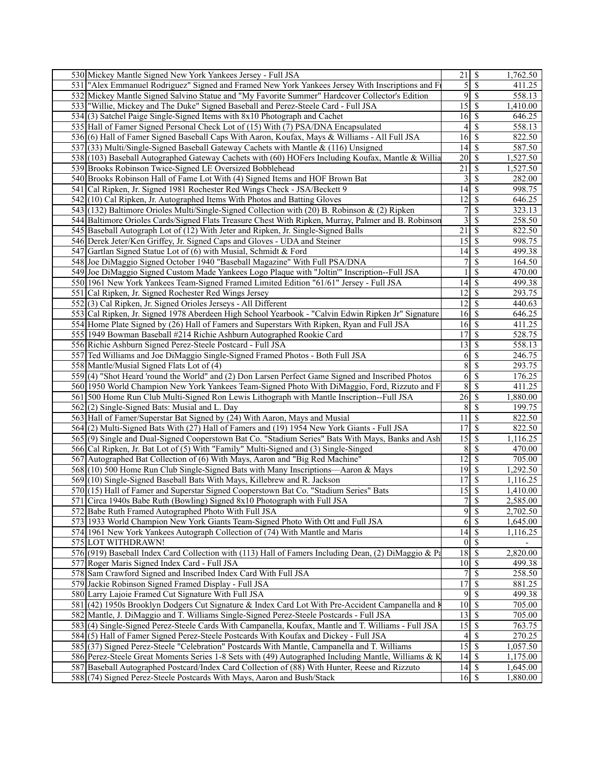| 530 Mickey Mantle Signed New York Yankees Jersey - Full JSA                                          | 21                             | \$                         | 1,762.50            |
|------------------------------------------------------------------------------------------------------|--------------------------------|----------------------------|---------------------|
| 531 Alex Emmanuel Rodriguez" Signed and Framed New York Yankees Jersey With Inscriptions and F       | 5                              | \$                         | 411.25              |
| 532 Mickey Mantle Signed Salvino Statue and "My Favorite Summer" Hardcover Collector's Edition       |                                | $9$ \$                     | 558.13              |
| 533 Willie, Mickey and The Duke" Signed Baseball and Perez-Steele Card - Full JSA                    |                                |                            | 1,410.00            |
| 534(3) Satchel Paige Single-Signed Items with 8x10 Photograph and Cachet                             | $16 \mid$ \$                   |                            | 646.25              |
| 535 Hall of Famer Signed Personal Check Lot of (15) With (7) PSA/DNA Encapsulated                    |                                |                            | 558.13              |
|                                                                                                      |                                |                            |                     |
| 536(6) Hall of Famer Signed Baseball Caps With Aaron, Koufax, Mays & Williams - All Full JSA         | $16 \mid$ \$                   |                            | 822.50              |
| 537(33) Multi/Single-Signed Baseball Gateway Cachets with Mantle $\&$ (116) Unsigned                 |                                |                            | 587.50              |
| 538 (103) Baseball Autographed Gateway Cachets with (60) HOFers Including Koufax, Mantle & Willia    |                                |                            | 1,527.50            |
| 539 Brooks Robinson Twice-Signed LE Oversized Bobblehead                                             | 21                             | - \$                       | 1,527.50            |
| 540 Brooks Robinson Hall of Fame Lot With (4) Signed Items and HOF Brown Bat                         | $\overline{\mathbf{3}}$        | $\mathcal{S}$              | 282.00              |
| 541 Cal Ripken, Jr. Signed 1981 Rochester Red Wings Check - JSA/Beckett 9                            | 14                             | \$                         | 998.75              |
| 542(10) Cal Ripken, Jr. Autographed Items With Photos and Batting Gloves                             | $12 \mid$ \$                   |                            | 646.25              |
| 543 $(132)$ Baltimore Orioles Multi/Single-Signed Collection with (20) B. Robinson & (2) Ripken      | 7                              | \$                         | 323.13              |
| 544 Baltimore Orioles Cards/Signed Flats Treasure Chest With Ripken, Murray, Palmer and B. Robinson  | 3                              | \$                         | 258.50              |
| 545 Baseball Autograph Lot of (12) With Jeter and Ripken, Jr. Single-Signed Balls                    | 21                             | $\mathcal{S}$              | 822.50              |
| 546 Derek Jeter/Ken Griffey, Jr. Signed Caps and Gloves - UDA and Steiner                            | 15                             | -\$                        | 998.75              |
| 547 Gartlan Signed Statue Lot of (6) with Musial, Schmidt & Ford                                     |                                |                            | 499.38              |
|                                                                                                      |                                |                            |                     |
| 548 Joe DiMaggio Signed October 1940 "Baseball Magazine" With Full PSA/DNA                           | 7                              | \$                         | 164.50              |
| 549 Joe DiMaggio Signed Custom Made Yankees Logo Plaque with "Joltin" Inscription--Full JSA          |                                | \$                         | 470.00              |
| 550 1961 New York Yankees Team-Signed Framed Limited Edition "61/61" Jersey - Full JSA               | $14$ \$                        |                            | 499.38              |
| 551 Cal Ripken, Jr. Signed Rochester Red Wings Jersey                                                | 12                             | $\mathcal{S}$              | 293.75              |
| 552(3) Cal Ripken, Jr. Signed Orioles Jerseys - All Different                                        | $12 \mid$ \$                   |                            | 440.63              |
| 553 Cal Ripken, Jr. Signed 1978 Aberdeen High School Yearbook - "Calvin Edwin Ripken Jr" Signature   | $16 \mid$ \$                   |                            | 646.25              |
| 554 Home Plate Signed by (26) Hall of Famers and Superstars With Ripken, Ryan and Full JSA           | $16 \mid$ \$                   |                            | 411.25              |
| 555 1949 Bowman Baseball #214 Richie Ashburn Autographed Rookie Card                                 | 17                             | $\mathsf{S}$               | 528.75              |
| 556 Richie Ashburn Signed Perez-Steele Postcard - Full JSA                                           | 13                             | \$                         | 558.13              |
| 557 Ted Williams and Joe DiMaggio Single-Signed Framed Photos - Both Full JSA                        | 6                              | \$                         | 246.75              |
| 558 Mantle/Musial Signed Flats Lot of (4)                                                            | 8                              | \$                         | 293.75              |
| 559(4) "Shot Heard 'round the World" and (2) Don Larsen Perfect Game Signed and Inscribed Photos     | 6                              | \$                         | 176.25              |
| 560 1950 World Champion New York Yankees Team-Signed Photo With DiMaggio, Ford, Rizzuto and F        | $\bf 8$                        | $\mathcal{S}$              | 411.25              |
| 561 500 Home Run Club Multi-Signed Ron Lewis Lithograph with Mantle Inscription--Full JSA            | $26\overline{3}$               |                            | 1,880.00            |
|                                                                                                      |                                | \$                         |                     |
| 562(2) Single-Signed Bats: Musial and L. Day                                                         | 8                              |                            | 199.75              |
| 563 Hall of Famer/Superstar Bat Signed by (24) With Aaron, Mays and Musial                           | 11                             | -\$                        | 822.50              |
| 564(2) Multi-Signed Bats With (27) Hall of Famers and (19) 1954 New York Giants - Full JSA           | 17                             | l S                        | 822.50              |
| 565(9) Single and Dual-Signed Cooperstown Bat Co. "Stadium Series" Bats With Mays, Banks and Ash     |                                |                            | 1,116.25            |
| 566 Cal Ripken, Jr. Bat Lot of (5) With "Family" Multi-Signed and (3) Single-Singed                  | 8                              | $\mathcal{S}$              | 470.00              |
| 567 Autographed Bat Collection of (6) With Mays, Aaron and "Big Red Machine"                         | $12\overline{3}$               |                            | 705.00              |
| 568 (10) 500 Home Run Club Single-Signed Bats with Many Inscriptions—Aaron & Mays                    | 19                             | l \$                       | 1,292.50            |
| 569(10) Single-Signed Baseball Bats With Mays, Killebrew and R. Jackson                              | 17                             | - \$                       | 1,116.25            |
| 570 (15) Hall of Famer and Superstar Signed Cooperstown Bat Co. "Stadium Series" Bats                | 15                             | \$                         | 1,410.00            |
| 571 Circa 1940s Babe Ruth (Bowling) Signed 8x10 Photograph with Full JSA                             |                                | 7S                         | 2,585.00            |
| 572 Babe Ruth Framed Autographed Photo With Full JSA                                                 | $\overline{9}$                 | $\overline{\mathbf{s}}$    | 2,702.50            |
| 573 1933 World Champion New York Giants Team-Signed Photo With Ott and Full JSA                      |                                | $6 \overline{\smash{)}\,}$ | 1,645.00            |
| 574 1961 New York Yankees Autograph Collection of (74) With Mantle and Maris                         | 14S                            |                            | 1,116.25            |
| 575 LOT WITHDRAWN!                                                                                   |                                | $0 \mid S$                 |                     |
| 576 (919) Baseball Index Card Collection with (113) Hall of Famers Including Dean, (2) DiMaggio & Pa | 18S                            |                            | 2,820.00            |
|                                                                                                      | $10 \mid \mathsf{S}$           |                            | 499.38              |
| 577 Roger Maris Signed Index Card - Full JSA                                                         |                                |                            |                     |
| 578 Sam Crawford Signed and Inscribed Index Card With Full JSA                                       | 7                              | $\mathsf{S}$               | 258.50              |
| 579 Jackie Robinson Signed Framed Display - Full JSA                                                 | 17S                            |                            | 881.25              |
| 580 Larry Lajoie Framed Cut Signature With Full JSA                                                  |                                |                            | 499.38              |
| 581 (42) 1950s Brooklyn Dodgers Cut Signature & Index Card Lot With Pre-Accident Campanella and K    | $\overline{10}$ \$             |                            | 705.00              |
| 582 Mantle, J. DiMaggio and T. Williams Single-Signed Perez-Steele Postcards - Full JSA              | $\overline{13}$ $\overline{5}$ |                            | 705.00              |
| 583 (4) Single-Signed Perez-Steele Cards With Campanella, Koufax, Mantle and T. Williams - Full JSA  |                                |                            | 763.75              |
| 584 (5) Hall of Famer Signed Perez-Steele Postcards With Koufax and Dickey - Full JSA                |                                |                            | $\overline{270.25}$ |
| 585 (37) Signed Perez-Steele "Celebration" Postcards With Mantle, Campanella and T. Williams         | $15\overline{\smash{)}\,}$     |                            | 1,057.50            |
| 586 Perez-Steele Great Moments Series 1-8 Sets with (49) Autographed Including Mantle, Williams & K  | $14 \mid$ \$                   |                            | 1,175.00            |
| 587 Baseball Autographed Postcard/Index Card Collection of (88) With Hunter, Reese and Rizzuto       | $14 \mid$ \$                   |                            | 1,645.00            |
| 588 (74) Signed Perez-Steele Postcards With Mays, Aaron and Bush/Stack                               | $16 \mid$ \$                   |                            | 1,880.00            |
|                                                                                                      |                                |                            |                     |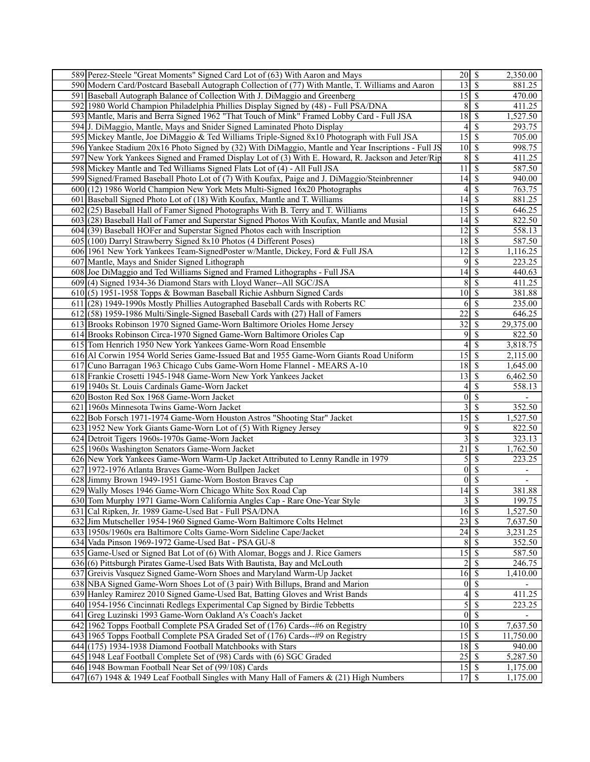| 589 Perez-Steele "Great Moments" Signed Card Lot of (63) With Aaron and Mays                                                                                    | $20 \mid$ \$                    |                           | 2,350.00                 |
|-----------------------------------------------------------------------------------------------------------------------------------------------------------------|---------------------------------|---------------------------|--------------------------|
| 590 Modern Card/Postcard Baseball Autograph Collection of (77) With Mantle, T. Williams and Aaron                                                               | $\overline{13}$ \$              |                           | 881.25                   |
| 591 Baseball Autograph Balance of Collection With J. DiMaggio and Greenberg                                                                                     | $15$ \$                         |                           | 470.00                   |
| 592 1980 World Champion Philadelphia Phillies Display Signed by (48) - Full PSA/DNA                                                                             | 8                               | - \$                      | 411.25                   |
| 593 Mantle, Maris and Berra Signed 1962 "That Touch of Mink" Framed Lobby Card - Full JSA                                                                       | 18                              | l \$                      | 1,527.50                 |
| 594 J. DiMaggio, Mantle, Mays and Snider Signed Laminated Photo Display                                                                                         | 4                               | $\mathcal{S}$             | 293.75                   |
| 595 Mickey Mantle, Joe DiMaggio & Ted Williams Triple-Signed 8x10 Photograph with Full JSA                                                                      | $\overline{15}$                 | $\overline{\mathcal{S}}$  | 705.00                   |
| 596 Yankee Stadium 20x16 Photo Signed by (32) With DiMaggio, Mantle and Year Inscriptions - Full JS                                                             | $10 \mid$ \$                    |                           | 998.75                   |
| 597 New York Yankees Signed and Framed Display Lot of (3) With E. Howard, R. Jackson and Jeter/Rip                                                              | $\,8\,$                         | - \$                      | 411.25                   |
| 598 Mickey Mantle and Ted Williams Signed Flats Lot of (4) - All Full JSA                                                                                       | 11                              | \$                        | 587.50                   |
| 599 Signed/Framed Baseball Photo Lot of (7) With Koufax, Paige and J. DiMaggio/Steinbrenner                                                                     | 14                              | \$                        | 940.00                   |
| 600 (12) 1986 World Champion New York Mets Multi-Signed 16x20 Photographs                                                                                       | 4                               | $\overline{\mathcal{S}}$  | 763.75                   |
| 601 Baseball Signed Photo Lot of (18) With Koufax, Mantle and T. Williams                                                                                       | 14                              | $\mathsf{S}$              | 881.25                   |
| 602 (25) Baseball Hall of Famer Signed Photographs With B. Terry and T. Williams                                                                                | 15                              | - \$                      | 646.25                   |
| 603 (28) Baseball Hall of Famer and Superstar Signed Photos With Koufax, Mantle and Musial                                                                      | $14 \,$ \$                      |                           | 822.50                   |
| 604 (39) Baseball HOFer and Superstar Signed Photos each with Inscription                                                                                       | 12                              | \$                        | 558.13                   |
| 605 (100) Darryl Strawberry Signed 8x10 Photos (4 Different Poses)                                                                                              |                                 |                           | 587.50                   |
|                                                                                                                                                                 | 12                              | <sup>\$</sup>             |                          |
| 606 1961 New York Yankees Team-SignedPoster w/Mantle, Dickey, Ford & Full JSA                                                                                   | 9                               | S                         | 1,116.25                 |
| 607 Mantle, Mays and Snider Signed Lithograph<br>608 Joe DiMaggio and Ted Williams Signed and Framed Lithographs - Full JSA                                     |                                 |                           | 223.25                   |
| 609(4) Signed 1934-36 Diamond Stars with Lloyd Waner--All SGC/JSA                                                                                               | 14<br>8                         | - \$<br>$\mathcal{S}$     | 440.63                   |
|                                                                                                                                                                 | $\overline{10}$ \$              |                           | 411.25<br>381.88         |
| 610(5) 1951-1958 Topps & Bowman Baseball Richie Ashburn Signed Cards                                                                                            |                                 | <sup>\$</sup>             | 235.00                   |
| 611 (28) 1949-1990s Mostly Phillies Autographed Baseball Cards with Roberts RC<br>612(58) 1959-1986 Multi/Single-Signed Baseball Cards with (27) Hall of Famers | 6<br>22                         |                           |                          |
|                                                                                                                                                                 | 32                              | -S                        | 646.25                   |
| 613 Brooks Robinson 1970 Signed Game-Worn Baltimore Orioles Home Jersey                                                                                         | 9                               | -S<br>\$                  | 29,375.00                |
| 614 Brooks Robinson Circa-1970 Signed Game-Worn Baltimore Orioles Cap<br>615 Tom Henrich 1950 New York Yankees Game-Worn Road Ensemble                          | $\overline{4}$                  | $\overline{\mathcal{S}}$  | 822.50<br>3,818.75       |
|                                                                                                                                                                 | 15                              | \$                        |                          |
| 616 Al Corwin 1954 World Series Game-Issued Bat and 1955 Game-Worn Giants Road Uniform                                                                          |                                 |                           | 2,115.00                 |
| 617 Cuno Barragan 1963 Chicago Cubs Game-Worn Home Flannel - MEARS A-10                                                                                         | 13                              | - \$                      | 1,645.00<br>6,462.50     |
| 618 Frankie Crosetti 1945-1948 Game-Worn New York Yankees Jacket<br>619 1940s St. Louis Cardinals Game-Worn Jacket                                              | 4                               | $\boldsymbol{\mathsf{S}}$ | 558.13                   |
| 620 Boston Red Sox 1968 Game-Worn Jacket                                                                                                                        | $\boldsymbol{0}$                | $\boldsymbol{\mathsf{S}}$ |                          |
| 621 1960s Minnesota Twins Game-Worn Jacket                                                                                                                      | 3                               | \$                        | 352.50                   |
| 622 Bob Forsch 1971-1974 Game-Worn Houston Astros "Shooting Star" Jacket                                                                                        | 15                              | \$                        | $\overline{1,}527.50$    |
| 623 1952 New York Giants Game-Worn Lot of (5) With Rigney Jersey                                                                                                | 9                               | -S                        | 822.50                   |
| 624 Detroit Tigers 1960s-1970s Game-Worn Jacket                                                                                                                 | 3                               | $\boldsymbol{\mathsf{S}}$ | 323.13                   |
| 625 1960s Washington Senators Game-Worn Jacket                                                                                                                  | 21                              | $\mathcal{S}$             | 1,762.50                 |
| 626 New York Yankees Game-Worn Warm-Up Jacket Attributed to Lenny Randle in 1979                                                                                | 5                               | <sup>\$</sup>             | 223.25                   |
| 627 1972-1976 Atlanta Braves Game-Worn Bullpen Jacket                                                                                                           | 0                               | \$                        | $\overline{\phantom{a}}$ |
| 628 Jimmy Brown 1949-1951 Game-Worn Boston Braves Cap                                                                                                           | $\boldsymbol{0}$                | $\mathcal{S}$             |                          |
| 629 Wally Moses 1946 Game-Worn Chicago White Sox Road Cap                                                                                                       | 14                              | $\boldsymbol{\mathsf{S}}$ | 381.88                   |
| 630 Tom Murphy 1971 Game-Worn California Angles Cap - Rare One-Year Style                                                                                       |                                 | $3 \overline{\smash{)}8}$ | 199.75                   |
| 631 Cal Ripken, Jr. 1989 Game-Used Bat - Full PSA/DNA                                                                                                           | 16S                             |                           | 1,527.50                 |
| 632 Jim Mutscheller 1954-1960 Signed Game-Worn Baltimore Colts Helmet                                                                                           | $23 \mid$ \$                    |                           | 7,637.50                 |
| 633 1950s/1960s era Baltimore Colts Game-Worn Sideline Cape/Jacket                                                                                              | 24S                             |                           | 3,231.25                 |
| 634 Vada Pinson 1969-1972 Game-Used Bat - PSA GU-8                                                                                                              | 8                               | l \$                      | 352.50                   |
| 635 Game-Used or Signed Bat Lot of (6) With Alomar, Boggs and J. Rice Gamers                                                                                    | $\overline{15}$ $\overline{\$}$ |                           | 587.50                   |
| 636(6) Pittsburgh Pirates Game-Used Bats With Bautista, Bay and McLouth                                                                                         |                                 | <sup>S</sup>              | 246.75                   |
| 637 Greivis Vasquez Signed Game-Worn Shoes and Maryland Warm-Up Jacket                                                                                          | $16 \mid$ \$                    |                           | 1,410.00                 |
| 638 NBA Signed Game-Worn Shoes Lot of (3 pair) With Billups, Brand and Marion                                                                                   | 0                               | S                         |                          |
| 639 Hanley Ramirez 2010 Signed Game-Used Bat, Batting Gloves and Wrist Bands                                                                                    | $\overline{4}$                  | $\mathcal{S}$             | 411.25                   |
| 640 1954-1956 Cincinnati Redlegs Experimental Cap Signed by Birdie Tebbetts                                                                                     | $\overline{5}$                  | $\sqrt{s}$                | 223.25                   |
| 641 Greg Luzinski 1993 Game-Worn Oakland A's Coach's Jacket                                                                                                     |                                 | $0\sqrt{s}$               |                          |
| 642 1962 Topps Football Complete PSA Graded Set of (176) Cards--#6 on Registry                                                                                  | $10 \mid S$                     |                           | 7,637.50                 |
| 643 1965 Topps Football Complete PSA Graded Set of (176) Cards--#9 on Registry                                                                                  | 15S                             |                           | 11,750.00                |
| 644 (175) 1934-1938 Diamond Football Matchbooks with Stars                                                                                                      |                                 |                           | 940.00                   |
| 645 1948 Leaf Football Complete Set of (98) Cards with (6) SGC Graded                                                                                           | $25 \mid$ \$                    |                           | 5,287.50                 |
| 646 1948 Bowman Football Near Set of (99/108) Cards                                                                                                             |                                 |                           | 1,175.00                 |
| 647 (67) 1948 & 1949 Leaf Football Singles with Many Hall of Famers & (21) High Numbers                                                                         | $17 \mid S$                     |                           | 1,175.00                 |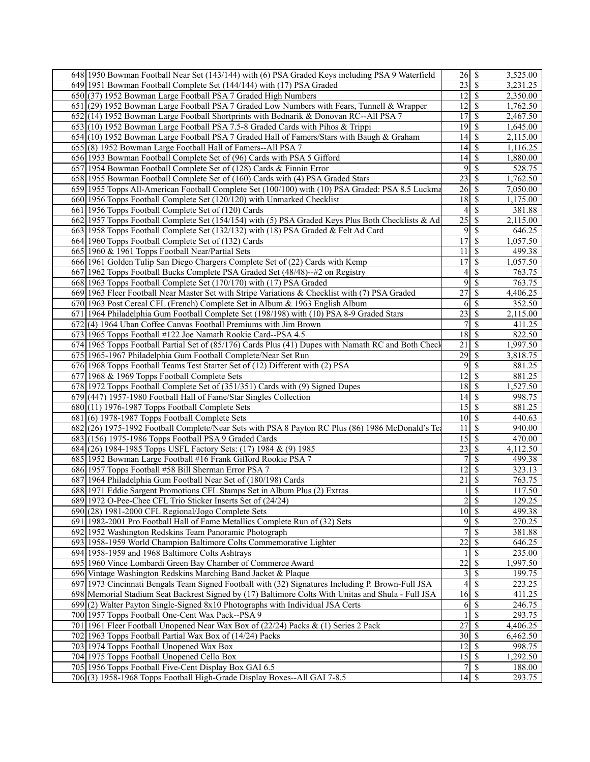| 648 1950 Bowman Football Near Set (143/144) with (6) PSA Graded Keys including PSA 9 Waterfield     | $26 \mid$ \$                    |                          | 3,525.00 |
|-----------------------------------------------------------------------------------------------------|---------------------------------|--------------------------|----------|
| 649 1951 Bowman Football Complete Set (144/144) with (17) PSA Graded                                | $23\overline{3}$                |                          | 3,231.25 |
| 650 (37) 1952 Bowman Large Football PSA 7 Graded High Numbers                                       | $12 \mid$ \$                    |                          | 2,350.00 |
| 651 (29) 1952 Bowman Large Football PSA 7 Graded Low Numbers with Fears, Tunnell & Wrapper          | $12$ $\bar{s}$                  |                          | 1,762.50 |
| 652 (14) 1952 Bowman Large Football Shortprints with Bednarik & Donovan RC--All PSA 7               | 17                              | - \$                     | 2,467.50 |
| 653 (10) 1952 Bowman Large Football PSA 7.5-8 Graded Cards with Pihos & Trippi                      | 19                              | - \$                     | 1,645.00 |
| 654 (10) 1952 Bowman Large Football PSA 7 Graded Hall of Famers/Stars with Baugh & Graham           | $\overline{14}$ \$              |                          | 2,115.00 |
| 655 (8) 1952 Bowman Large Football Hall of Famers--All PSA 7                                        | $14 \mid$ \$                    |                          | 1,116.25 |
| 656 1953 Bowman Football Complete Set of (96) Cards with PSA 5 Gifford                              | 14                              | - \$                     | 1,880.00 |
| 657 1954 Bowman Football Complete Set of (128) Cards & Finnin Error                                 | 9                               | \$                       | 528.75   |
| 658 1955 Bowman Football Complete Set of (160) Cards with (4) PSA Graded Stars                      | 23                              | $\mathcal{S}$            | 1,762.50 |
| 659 1955 Topps All-American Football Complete Set (100/100) with (10) PSA Graded: PSA 8.5 Luckma    | $26 \,$ \$                      |                          | 7,050.00 |
| 660 1956 Topps Football Complete Set (120/120) with Unmarked Checklist                              |                                 |                          | 1,175.00 |
| 661 1956 Topps Football Complete Set of (120) Cards                                                 | 4                               | S                        | 381.88   |
|                                                                                                     | 25                              |                          |          |
| 662 1957 Topps Football Complete Set (154/154) with (5) PSA Graded Keys Plus Both Checklists & Ad   |                                 | - \$                     | 2,115.00 |
| 663 1958 Topps Football Complete Set (132/132) with (18) PSA Graded & Felt Ad Card                  | 9                               | <sup>\$</sup>            | 646.25   |
| 664 1960 Topps Football Complete Set of (132) Cards                                                 | $\overline{17}$                 | $\overline{\mathcal{S}}$ | 1,057.50 |
| 665 1960 & 1961 Topps Football Near/Partial Sets                                                    | 11                              | <sup>\$</sup>            | 499.38   |
| 666 1961 Golden Tulip San Diego Chargers Complete Set of (22) Cards with Kemp                       | 17                              | \$                       | 1,057.50 |
| 667 1962 Topps Football Bucks Complete PSA Graded Set (48/48)--#2 on Registry                       | 4                               | -S                       | 763.75   |
| 668 1963 Topps Football Complete Set (170/170) with (17) PSA Graded                                 | 9                               | \$                       | 763.75   |
| 669 1963 Fleer Football Near Master Set with Stripe Variations & Checklist with (7) PSA Graded      | $\overline{27}$                 | $\overline{\mathcal{S}}$ | 4,406.25 |
| 670 1963 Post Cereal CFL (French) Complete Set in Album & 1963 English Album                        | 6                               | <sup>\$</sup>            | 352.50   |
| 671 1964 Philadelphia Gum Football Complete Set (198/198) with (10) PSA 8-9 Graded Stars            | 23                              | \$                       | 2,115.00 |
| 672(4) 1964 Uban Coffee Canvas Football Premiums with Jim Brown                                     | $\overline{7}$                  | <sup>\$</sup>            | 411.25   |
| 673 1965 Topps Football #122 Joe Namath Rookie Card--PSA 4.5                                        | 18                              | -\$                      | 822.50   |
| 674 1965 Topps Football Partial Set of (85/176) Cards Plus (41) Dupes with Namath RC and Both Check | $\overline{21}$                 | $\overline{\mathcal{S}}$ | 1,997.50 |
| 675 1965-1967 Philadelphia Gum Football Complete/Near Set Run                                       | 29                              | l \$                     | 3,818.75 |
| 676 1968 Topps Football Teams Test Starter Set of (12) Different with (2) PSA                       | 9                               | -S                       | 881.25   |
| 677 1968 & 1969 Topps Football Complete Sets                                                        | 12                              | $\mathcal{S}$            | 881.25   |
| 678 1972 Topps Football Complete Set of (351/351) Cards with (9) Signed Dupes                       | 18                              | l \$                     | 1,527.50 |
| 679 (447) 1957-1980 Football Hall of Fame/Star Singles Collection                                   | $\overline{14}$ \$              |                          | 998.75   |
| $680(11)$ 1976-1987 Topps Football Complete Sets                                                    |                                 |                          | 881.25   |
| $681(6)$ 1978-1987 Topps Football Complete Sets                                                     | $10 \mid S$                     |                          | 440.63   |
| 682 (26) 1975-1992 Football Complete/Near Sets with PSA 8 Payton RC Plus (86) 1986 McDonald's Tea   | 11                              | - \$                     | 940.00   |
| 683 (156) 1975-1986 Topps Football PSA 9 Graded Cards                                               | 15                              | $\mathcal{S}$            | 470.00   |
| 684 (26) 1984-1985 Topps USFL Factory Sets: (17) 1984 & (9) 1985                                    | 23                              | $\overline{\mathcal{S}}$ | 4,112.50 |
| 685 1952 Bowman Large Football #16 Frank Gifford Rookie PSA 7                                       |                                 | <sup>\$</sup>            | 499.38   |
| 686 1957 Topps Football #58 Bill Sherman Error PSA 7                                                | 12                              | -S                       | 323.13   |
| 687 1964 Philadelphia Gum Football Near Set of (180/198) Cards                                      | $\overline{21}$                 | -S                       | 763.75   |
| 688 1971 Eddie Sargent Promotions CFL Stamps Set in Album Plus (2) Extras                           |                                 | $\mathbb{S}$             | 117.50   |
| 689 1972 O-Pee-Chee CFL Trio Sticker Inserts Set of (24/24)                                         |                                 | $2 \overline{3}$         | 129.25   |
| 690 (28) 1981-2000 CFL Regional/Jogo Complete Sets                                                  | $\overline{10}$ \$              |                          | 499.38   |
| 691 1982-2001 Pro Football Hall of Fame Metallics Complete Run of (32) Sets                         |                                 | 9S                       | 270.25   |
| 692 1952 Washington Redskins Team Panoramic Photograph                                              | $\overline{7}$                  | - \$                     | 381.88   |
| 693 1958-1959 World Champion Baltimore Colts Commemorative Lighter                                  | 22                              | <sup>\$</sup>            | 646.25   |
| 694 1958-1959 and 1968 Baltimore Colts Ashtrays                                                     |                                 | <sup>S</sup>             | 235.00   |
|                                                                                                     |                                 |                          |          |
| 695 1960 Vince Lombardi Green Bay Chamber of Commerce Award                                         | $\overline{22}$                 | -S                       | 1,997.50 |
| 696 Vintage Washington Redskins Marching Band Jacket & Plaque                                       | 3                               | -S                       | 199.75   |
| 697 1973 Cincinnati Bengals Team Signed Football with (32) Signatures Including P. Brown-Full JSA   | 4                               | S                        | 223.25   |
| 698 Memorial Stadium Seat Backrest Signed by (17) Baltimore Colts With Unitas and Shula - Full JSA  | $16$ \$                         |                          | 411.25   |
| 699(2) Walter Payton Single-Signed 8x10 Photographs with Individual JSA Certs                       | 6                               | $\overline{\mathbb{S}}$  | 246.75   |
| 700 1957 Topps Football One-Cent Wax Pack--PSA 9                                                    |                                 | $\mathcal{S}$            | 293.75   |
| 701 1961 Fleer Football Unopened Near Wax Box of (22/24) Packs & (1) Series 2 Pack                  | 27                              | -\$                      | 4,406.25 |
| 702 1963 Topps Football Partial Wax Box of (14/24) Packs                                            | 30S                             |                          | 6,462.50 |
| 703 1974 Topps Football Unopened Wax Box                                                            | 12                              | - S                      | 998.75   |
| 704 1975 Topps Football Unopened Cello Box                                                          | $\overline{15}$ $\overline{\$}$ |                          | 1,292.50 |
| 705 1956 Topps Football Five-Cent Display Box GAI 6.5                                               |                                 | -S                       | 188.00   |
| 706(3) 1958-1968 Topps Football High-Grade Display Boxes--All GAI 7-8.5                             | $14 \mid$ \$                    |                          | 293.75   |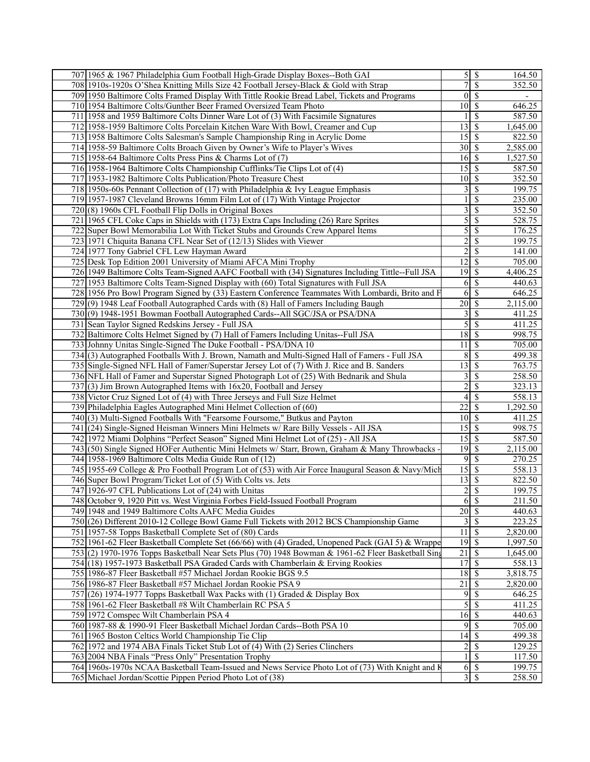| 707 1965 & 1967 Philadelphia Gum Football High-Grade Display Boxes--Both GAI                       |                                 |                            | 164.50                   |
|----------------------------------------------------------------------------------------------------|---------------------------------|----------------------------|--------------------------|
| 708 1910s-1920s O'Shea Knitting Mills Size 42 Football Jersey-Black & Gold with Strap              | $\overline{7}$                  | $\boldsymbol{\mathsf{S}}$  | 352.50                   |
| 709 1950 Baltimore Colts Framed Display With Tittle Rookie Bread Label, Tickets and Programs       | $\overline{0}$                  | $\mathcal{S}$              | $\overline{\phantom{a}}$ |
| 710 1954 Baltimore Colts/Gunther Beer Framed Oversized Team Photo                                  | 10 <sup>1</sup>                 | - \$                       | 646.25                   |
| 711 1958 and 1959 Baltimore Colts Dinner Ware Lot of (3) With Facsimile Signatures                 |                                 | \$                         | 587.50                   |
| 712 1958-1959 Baltimore Colts Porcelain Kitchen Ware With Bowl, Creamer and Cup                    | 13                              |                            | 1,645.00                 |
|                                                                                                    |                                 | $\boldsymbol{\mathsf{S}}$  |                          |
| 713 1958 Baltimore Colts Salesman's Sample Championship Ring in Acrylic Dome                       | 15                              | $\overline{\mathcal{S}}$   | 822.50                   |
| 714 1958-59 Baltimore Colts Broach Given by Owner's Wife to Player's Wives                         |                                 |                            | 2,585.00                 |
| 715 1958-64 Baltimore Colts Press Pins & Charms Lot of (7)                                         | $16 \mid S$                     |                            | 1,527.50                 |
| 716 1958-1964 Baltimore Colts Championship Cufflinks/Tie Clips Lot of (4)                          | 15                              | - \$                       | 587.50                   |
| 717 1953-1982 Baltimore Colts Publication/Photo Treasure Chest                                     | 10 <sup>1</sup>                 | \$                         | 352.50                   |
| 718 1950s-60s Pennant Collection of (17) with Philadelphia & Ivy League Emphasis                   | $\mathfrak{Z}$                  | $\boldsymbol{\mathsf{S}}$  | 199.75                   |
| 719 1957-1987 Cleveland Browns 16mm Film Lot of (17) With Vintage Projector                        |                                 | \$                         | 235.00                   |
| 720 (8) 1960s CFL Football Flip Dolls in Original Boxes                                            | 3                               | \$                         | 352.50                   |
| 721 1965 CFL Coke Caps in Shields with (173) Extra Caps Including (26) Rare Sprites                | 5                               | \$                         | 528.75                   |
| 722 Super Bowl Memorabilia Lot With Ticket Stubs and Grounds Crew Apparel Items                    | 5                               | $\boldsymbol{\mathsf{S}}$  | 176.25                   |
| 723 1971 Chiquita Banana CFL Near Set of (12/13) Slides with Viewer                                | $\overline{c}$                  | $\boldsymbol{\mathsf{S}}$  | 199.75                   |
| 724 1977 Tony Gabriel CFL Lew Hayman Award                                                         | $\overline{c}$                  | $\mathcal{S}$              | 141.00                   |
|                                                                                                    | 12                              | -\$                        | 705.00                   |
| 725 Desk Top Edition 2001 University of Miami AFCA Mini Trophy                                     |                                 |                            |                          |
| 726 1949 Baltimore Colts Team-Signed AAFC Football with (34) Signatures Including Tittle--Full JSA | 19S                             |                            | 4,406.25                 |
| 727 1953 Baltimore Colts Team-Signed Display with (60) Total Signatures with Full JSA              | 6                               | <sup>\$</sup>              | 440.63                   |
| 728 1956 Pro Bowl Program Signed by (33) Eastern Conference Teammates With Lombardi, Brito and F   | 6                               | $\overline{\mathcal{S}}$   | 646.25                   |
| 729(9) 1948 Leaf Football Autographed Cards with (8) Hall of Famers Including Baugh                | $\overline{20}$                 | - \$                       | 2,115.00                 |
| 730 (9) 1948-1951 Bowman Football Autographed Cards--All SGC/JSA or PSA/DNA                        | 3                               | -S                         | 411.25                   |
| 731 Sean Taylor Signed Redskins Jersey - Full JSA                                                  | 5                               | \$                         | 411.25                   |
| 732 Baltimore Colts Helmet Signed by (7) Hall of Famers Including Unitas--Full JSA                 | 18                              | $\mathcal{S}$              | 998.75                   |
| 733 Johnny Unitas Single-Signed The Duke Football - PSA/DNA 10                                     | 11                              | $\mathcal{S}$              | 705.00                   |
| 734(3) Autographed Footballs With J. Brown, Namath and Multi-Signed Hall of Famers - Full JSA      | 8                               | $\boldsymbol{\mathsf{S}}$  | 499.38                   |
| 735 Single-Signed NFL Hall of Famer/Superstar Jersey Lot of (7) With J. Rice and B. Sanders        | 13                              | -S                         | 763.75                   |
| 736 NFL Hall of Famer and Superstar Signed Photograph Lot of (25) With Bednarik and Shula          | 3                               | \$                         | 258.50                   |
| $737(3)$ Jim Brown Autographed Items with 16x20, Football and Jersey                               | $\overline{c}$                  | $\boldsymbol{\mathsf{S}}$  | 323.13                   |
| 738 Victor Cruz Signed Lot of (4) with Three Jerseys and Full Size Helmet                          | 4                               | $\boldsymbol{\mathsf{S}}$  | 558.13                   |
|                                                                                                    | 22                              | <sup>\$</sup>              |                          |
| 739 Philadelphia Eagles Autographed Mini Helmet Collection of (60)                                 |                                 |                            | 1,292.50                 |
| 740(3) Multi-Signed Footballs With "Fearsome Foursome," Butkus and Payton                          | $10 \mid$ \$                    |                            | 411.25                   |
| 741 (24) Single-Signed Heisman Winners Mini Helmets w/ Rare Billy Vessels - All JSA                | 15                              | - \$                       | 998.75                   |
| 742 1972 Miami Dolphins "Perfect Season" Signed Mini Helmet Lot of (25) - All JSA                  | 15                              | - \$                       | 587.50                   |
| 743 (50) Single Signed HOFer Authentic Mini Helmets w/ Starr, Brown, Graham & Many Throwbacks      | $\overline{19}$ \$              |                            | 2,115.00                 |
| 744 1958-1969 Baltimore Colts Media Guide Run of (12)                                              | 9                               | <sup>S</sup>               | 270.25                   |
| 745 1955-69 College & Pro Football Program Lot of (53) with Air Force Inaugural Season & Navy/Mich | 15                              | - \$                       | 558.13                   |
| 746 Super Bowl Program/Ticket Lot of (5) With Colts vs. Jets                                       | 13                              | -S                         | 822.50                   |
| 747 1926-97 CFL Publications Lot of (24) with Unitas                                               | $\overline{c}$                  | $\boldsymbol{\mathsf{S}}$  | 199.75                   |
| 748 October 9, 1920 Pitt vs. West Virginia Forbes Field-Issued Football Program                    |                                 | $6 \overline{\smash{)}\,}$ | 211.50                   |
| 749 1948 and 1949 Baltimore Colts AAFC Media Guides                                                | $\overline{20}$                 | $\overline{\mathcal{S}}$   | 440.63                   |
| 750 (26) Different 2010-12 College Bowl Game Full Tickets with 2012 BCS Championship Game          |                                 | $3\overline{3}$            | 223.25                   |
| 751 1957-58 Topps Basketball Complete Set of (80) Cards                                            | 11                              | $\vert$ \$                 | 2,820.00                 |
| 752 1961-62 Fleer Basketball Complete Set (66/66) with (4) Graded, Unopened Pack (GAI 5) & Wrappe  | $19$ $\sqrt{ }$                 |                            | 1,997.50                 |
| 753(2) 1970-1976 Topps Basketball Near Sets Plus (70) 1948 Bowman & 1961-62 Fleer Basketball Sing  | $21 \overline{\smash{\big)}\,}$ |                            | 1,645.00                 |
|                                                                                                    |                                 |                            |                          |
| 754 (18) 1957-1973 Basketball PSA Graded Cards with Chamberlain & Erving Rookies                   |                                 |                            | 558.13                   |
| 755 1986-87 Fleer Basketball #57 Michael Jordan Rookie BGS 9.5                                     |                                 |                            | 3,818.75                 |
| 756 1986-87 Fleer Basketball #57 Michael Jordan Rookie PSA 9                                       | 21                              | -S                         | 2,820.00                 |
| 757 (26) 1974-1977 Topps Basketball Wax Packs with (1) Graded & Display Box                        | 9                               | <sup>\$</sup>              | 646.25                   |
| 758 1961-62 Fleer Basketball #8 Wilt Chamberlain RC PSA 5                                          | 5                               | $\mathcal{S}$              | 411.25                   |
| 759 1972 Comspec Wilt Chamberlain PSA 4                                                            | $16 \mid$ \$                    |                            | 440.63                   |
| 760 1987-88 & 1990-91 Fleer Basketball Michael Jordan Cards--Both PSA 10                           | 9                               | -S                         | 705.00                   |
| 761 1965 Boston Celtics World Championship Tie Clip                                                | 14                              | - \$                       | 499.38                   |
| 762 1972 and 1974 ABA Finals Ticket Stub Lot of (4) With (2) Series Clinchers                      | $\overline{2}$                  | <sup>\$</sup>              | 129.25                   |
| 763 2004 NBA Finals "Press Only" Presentation Trophy                                               | $\mathbf{1}$                    | $\overline{\mathcal{S}}$   | 117.50                   |
| 764 1960s-1970s NCAA Basketball Team-Issued and News Service Photo Lot of (73) With Knight and K   |                                 | $6 \mid S$                 | 199.75                   |
| 765 Michael Jordan/Scottie Pippen Period Photo Lot of (38)                                         | $3\vert$                        | -\$                        | 258.50                   |
|                                                                                                    |                                 |                            |                          |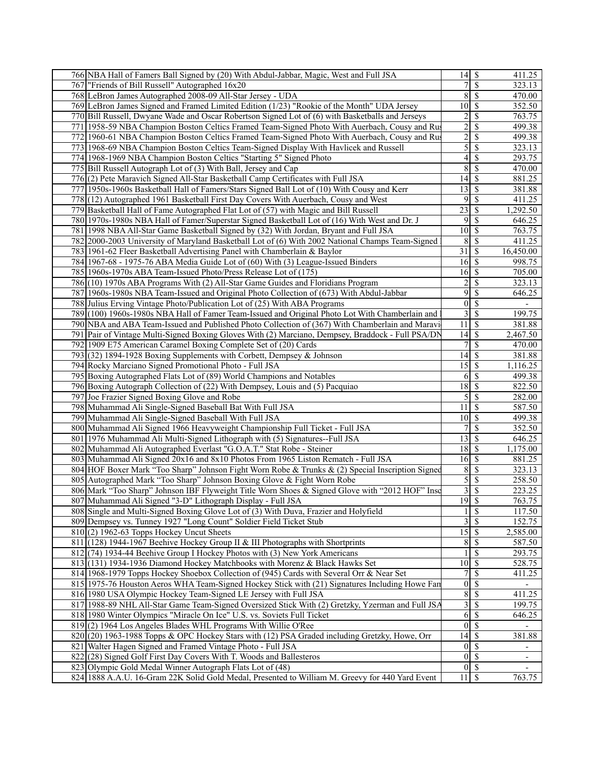| 766 NBA Hall of Famers Ball Signed by (20) With Abdul-Jabbar, Magic, West and Full JSA<br>\$<br>767   "Friends of Bill Russell" Autographed 16x20<br>$\,$ $\,$<br>-\$<br>768 LeBron James Autographed 2008-09 All-Star Jersey - UDA<br>$10 \mid$ \$<br>769 LeBron James Signed and Framed Limited Edition (1/23) "Rookie of the Month" UDA Jersey<br>$\overline{\mathbf{c}}$<br><sup>\$</sup><br>770 Bill Russell, Dwyane Wade and Oscar Robertson Signed Lot of (6) with Basketballs and Jerseys<br>$\overline{2}$<br>\$<br>771 1958-59 NBA Champion Boston Celtics Framed Team-Signed Photo With Auerbach, Cousy and Rus<br>$\overline{\mathbf{c}}$<br>\$<br>772 1960-61 NBA Champion Boston Celtics Framed Team-Signed Photo With Auerbach, Cousy and Rus<br>5<br>$\overline{\mathcal{S}}$<br>773 1968-69 NBA Champion Boston Celtics Team-Signed Display With Havlicek and Russell<br>\$<br>774 1968-1969 NBA Champion Boston Celtics "Starting 5" Signed Photo<br>4<br>8<br>$\mathcal{S}$<br>775 Bill Russell Autograph Lot of (3) With Ball, Jersey and Cap | 411.25<br>323.13<br>470.00<br>352.50<br>763.75<br>499.38<br>499.38<br>323.13<br>293.75<br>470.00<br>881.25<br>381.88<br>411.25<br>,292.50<br>646.25<br>763.75 |
|-------------------------------------------------------------------------------------------------------------------------------------------------------------------------------------------------------------------------------------------------------------------------------------------------------------------------------------------------------------------------------------------------------------------------------------------------------------------------------------------------------------------------------------------------------------------------------------------------------------------------------------------------------------------------------------------------------------------------------------------------------------------------------------------------------------------------------------------------------------------------------------------------------------------------------------------------------------------------------------------------------------------------------------------------------------------|---------------------------------------------------------------------------------------------------------------------------------------------------------------|
|                                                                                                                                                                                                                                                                                                                                                                                                                                                                                                                                                                                                                                                                                                                                                                                                                                                                                                                                                                                                                                                                   |                                                                                                                                                               |
|                                                                                                                                                                                                                                                                                                                                                                                                                                                                                                                                                                                                                                                                                                                                                                                                                                                                                                                                                                                                                                                                   |                                                                                                                                                               |
|                                                                                                                                                                                                                                                                                                                                                                                                                                                                                                                                                                                                                                                                                                                                                                                                                                                                                                                                                                                                                                                                   |                                                                                                                                                               |
|                                                                                                                                                                                                                                                                                                                                                                                                                                                                                                                                                                                                                                                                                                                                                                                                                                                                                                                                                                                                                                                                   |                                                                                                                                                               |
|                                                                                                                                                                                                                                                                                                                                                                                                                                                                                                                                                                                                                                                                                                                                                                                                                                                                                                                                                                                                                                                                   |                                                                                                                                                               |
|                                                                                                                                                                                                                                                                                                                                                                                                                                                                                                                                                                                                                                                                                                                                                                                                                                                                                                                                                                                                                                                                   |                                                                                                                                                               |
|                                                                                                                                                                                                                                                                                                                                                                                                                                                                                                                                                                                                                                                                                                                                                                                                                                                                                                                                                                                                                                                                   |                                                                                                                                                               |
|                                                                                                                                                                                                                                                                                                                                                                                                                                                                                                                                                                                                                                                                                                                                                                                                                                                                                                                                                                                                                                                                   |                                                                                                                                                               |
|                                                                                                                                                                                                                                                                                                                                                                                                                                                                                                                                                                                                                                                                                                                                                                                                                                                                                                                                                                                                                                                                   |                                                                                                                                                               |
|                                                                                                                                                                                                                                                                                                                                                                                                                                                                                                                                                                                                                                                                                                                                                                                                                                                                                                                                                                                                                                                                   |                                                                                                                                                               |
| $14 \mid$ \$<br>776(2) Pete Maravich Signed All-Star Basketball Camp Certificates with Full JSA                                                                                                                                                                                                                                                                                                                                                                                                                                                                                                                                                                                                                                                                                                                                                                                                                                                                                                                                                                   |                                                                                                                                                               |
| 13<br>$\mathcal{S}$<br>777 1950s-1960s Basketball Hall of Famers/Stars Signed Ball Lot of (10) With Cousy and Kerr                                                                                                                                                                                                                                                                                                                                                                                                                                                                                                                                                                                                                                                                                                                                                                                                                                                                                                                                                |                                                                                                                                                               |
| $\sqrt{s}$<br>9<br>778 (12) Autographed 1961 Basketball First Day Covers With Auerbach, Cousy and West                                                                                                                                                                                                                                                                                                                                                                                                                                                                                                                                                                                                                                                                                                                                                                                                                                                                                                                                                            |                                                                                                                                                               |
| 23<br>-\$<br>779 Basketball Hall of Fame Autographed Flat Lot of (57) with Magic and Bill Russell                                                                                                                                                                                                                                                                                                                                                                                                                                                                                                                                                                                                                                                                                                                                                                                                                                                                                                                                                                 |                                                                                                                                                               |
| $9$ \$<br>780 1970s-1980s NBA Hall of Famer/Superstar Signed Basketball Lot of (16) With West and Dr. J                                                                                                                                                                                                                                                                                                                                                                                                                                                                                                                                                                                                                                                                                                                                                                                                                                                                                                                                                           |                                                                                                                                                               |
| $10 \mid S$<br>781 1998 NBA All-Star Game Basketball Signed by (32) With Jordan, Bryant and Full JSA                                                                                                                                                                                                                                                                                                                                                                                                                                                                                                                                                                                                                                                                                                                                                                                                                                                                                                                                                              |                                                                                                                                                               |
| $\overline{\mathcal{S}}$<br>8<br>782 2000-2003 University of Maryland Basketball Lot of (6) With 2002 National Champs Team-Signed                                                                                                                                                                                                                                                                                                                                                                                                                                                                                                                                                                                                                                                                                                                                                                                                                                                                                                                                 | 411.25                                                                                                                                                        |
| 31<br>$\vert s$<br>783 1961-62 Fleer Basketball Advertising Panel with Chamberlain & Baylor                                                                                                                                                                                                                                                                                                                                                                                                                                                                                                                                                                                                                                                                                                                                                                                                                                                                                                                                                                       | 16,450.00                                                                                                                                                     |
| $16\overline{3}$<br>784 1967-68 - 1975-76 ABA Media Guide Lot of (60) With (3) League-Issued Binders                                                                                                                                                                                                                                                                                                                                                                                                                                                                                                                                                                                                                                                                                                                                                                                                                                                                                                                                                              | 998.75                                                                                                                                                        |
| $16 \mid$ \$<br>785 1960s-1970s ABA Team-Issued Photo/Press Release Lot of (175)                                                                                                                                                                                                                                                                                                                                                                                                                                                                                                                                                                                                                                                                                                                                                                                                                                                                                                                                                                                  | 705.00                                                                                                                                                        |
| $\overline{c}$<br>$\mathcal{S}$<br>786 (10) 1970s ABA Programs With (2) All-Star Game Guides and Floridians Program                                                                                                                                                                                                                                                                                                                                                                                                                                                                                                                                                                                                                                                                                                                                                                                                                                                                                                                                               | 323.13                                                                                                                                                        |
| 9<br>\$<br>787 1960s-1980s NBA Team-Issued and Original Photo Collection of (673) With Abdul-Jabbar                                                                                                                                                                                                                                                                                                                                                                                                                                                                                                                                                                                                                                                                                                                                                                                                                                                                                                                                                               | 646.25                                                                                                                                                        |
| $\overline{\mathcal{S}}$<br>$\boldsymbol{0}$<br>788 Julius Erving Vintage Photo/Publication Lot of (25) With ABA Programs                                                                                                                                                                                                                                                                                                                                                                                                                                                                                                                                                                                                                                                                                                                                                                                                                                                                                                                                         | $\overline{\phantom{0}}$                                                                                                                                      |
| 3<br>\$<br>789 (100) 1960s-1980s NBA Hall of Famer Team-Issued and Original Photo Lot With Chamberlain and                                                                                                                                                                                                                                                                                                                                                                                                                                                                                                                                                                                                                                                                                                                                                                                                                                                                                                                                                        | 199.75                                                                                                                                                        |
| 790 NBA and ABA Team-Issued and Published Photo Collection of (367) With Chamberlain and Maravi<br>11<br>- \$                                                                                                                                                                                                                                                                                                                                                                                                                                                                                                                                                                                                                                                                                                                                                                                                                                                                                                                                                     | 381.88                                                                                                                                                        |
| 791 Pair of Vintage Multi-Signed Boxing Gloves With (2) Marciano, Dempsey, Braddock - Full PSA/DN                                                                                                                                                                                                                                                                                                                                                                                                                                                                                                                                                                                                                                                                                                                                                                                                                                                                                                                                                                 | 2,467.50                                                                                                                                                      |
| $\mathcal{S}$<br>792 1909 E75 American Caramel Boxing Complete Set of (20) Cards<br>7                                                                                                                                                                                                                                                                                                                                                                                                                                                                                                                                                                                                                                                                                                                                                                                                                                                                                                                                                                             | 470.00                                                                                                                                                        |
| $14 \mid$ \$<br>793 (32) 1894-1928 Boxing Supplements with Corbett, Dempsey & Johnson                                                                                                                                                                                                                                                                                                                                                                                                                                                                                                                                                                                                                                                                                                                                                                                                                                                                                                                                                                             | 381.88                                                                                                                                                        |
| 15<br>  \$<br>794 Rocky Marciano Signed Promotional Photo - Full JSA                                                                                                                                                                                                                                                                                                                                                                                                                                                                                                                                                                                                                                                                                                                                                                                                                                                                                                                                                                                              | 1,116.25                                                                                                                                                      |
| 795 Boxing Autographed Flats Lot of (89) World Champions and Notables<br>  \$<br>6                                                                                                                                                                                                                                                                                                                                                                                                                                                                                                                                                                                                                                                                                                                                                                                                                                                                                                                                                                                | 499.38                                                                                                                                                        |
| $18$ \$<br>796 Boxing Autograph Collection of (22) With Dempsey, Louis and (5) Pacquiao                                                                                                                                                                                                                                                                                                                                                                                                                                                                                                                                                                                                                                                                                                                                                                                                                                                                                                                                                                           | 822.50                                                                                                                                                        |
| $\overline{\mathcal{S}}$<br>5<br>797 Joe Frazier Signed Boxing Glove and Robe                                                                                                                                                                                                                                                                                                                                                                                                                                                                                                                                                                                                                                                                                                                                                                                                                                                                                                                                                                                     | 282.00                                                                                                                                                        |
| $\overline{\mathcal{S}}$<br>798 Muhammad Ali Single-Signed Baseball Bat With Full JSA<br>11                                                                                                                                                                                                                                                                                                                                                                                                                                                                                                                                                                                                                                                                                                                                                                                                                                                                                                                                                                       | 587.50                                                                                                                                                        |
| $10 \mid$ \$<br>799 Muhammad Ali Single-Signed Baseball With Full JSA                                                                                                                                                                                                                                                                                                                                                                                                                                                                                                                                                                                                                                                                                                                                                                                                                                                                                                                                                                                             | 499.38                                                                                                                                                        |
| 800 Muhammad Ali Signed 1966 Heavyweight Championship Full Ticket - Full JSA<br>7<br>-\$                                                                                                                                                                                                                                                                                                                                                                                                                                                                                                                                                                                                                                                                                                                                                                                                                                                                                                                                                                          | 352.50                                                                                                                                                        |
| 13<br>$\mathsf{S}$                                                                                                                                                                                                                                                                                                                                                                                                                                                                                                                                                                                                                                                                                                                                                                                                                                                                                                                                                                                                                                                |                                                                                                                                                               |
| 801 1976 Muhammad Ali Multi-Signed Lithograph with (5) Signatures--Full JSA                                                                                                                                                                                                                                                                                                                                                                                                                                                                                                                                                                                                                                                                                                                                                                                                                                                                                                                                                                                       | 646.25                                                                                                                                                        |
| $18$ \$<br>802 Muhammad Ali Autographed Everlast "G.O.A.T." Stat Robe - Steiner                                                                                                                                                                                                                                                                                                                                                                                                                                                                                                                                                                                                                                                                                                                                                                                                                                                                                                                                                                                   | 1,175.00                                                                                                                                                      |
| $16 \overline{\smash{)}\,}$<br>803 Muhammad Ali Signed 20x16 and 8x10 Photos From 1965 Liston Rematch - Full JSA                                                                                                                                                                                                                                                                                                                                                                                                                                                                                                                                                                                                                                                                                                                                                                                                                                                                                                                                                  | 881.25                                                                                                                                                        |
| $\,8$<br>804 HOF Boxer Mark "Too Sharp" Johnson Fight Worn Robe & Trunks & (2) Special Inscription Signed<br>- \$                                                                                                                                                                                                                                                                                                                                                                                                                                                                                                                                                                                                                                                                                                                                                                                                                                                                                                                                                 | 323.13                                                                                                                                                        |
| 5<br>-\$<br>805 Autographed Mark "Too Sharp" Johnson Boxing Glove & Fight Worn Robe                                                                                                                                                                                                                                                                                                                                                                                                                                                                                                                                                                                                                                                                                                                                                                                                                                                                                                                                                                               | 258.50                                                                                                                                                        |
| $\overline{\mathbf{3}}$<br>$\mathcal{S}$<br>806 Mark "Too Sharp" Johnson IBF Flyweight Title Worn Shoes & Signed Glove with "2012 HOF" Insc                                                                                                                                                                                                                                                                                                                                                                                                                                                                                                                                                                                                                                                                                                                                                                                                                                                                                                                       | 223.25                                                                                                                                                        |
| 19S<br>807 Muhammad Ali Signed "3-D" Lithograph Display - Full JSA                                                                                                                                                                                                                                                                                                                                                                                                                                                                                                                                                                                                                                                                                                                                                                                                                                                                                                                                                                                                | 763.75                                                                                                                                                        |
| $\overline{\mathcal{S}}$<br>808 Single and Multi-Signed Boxing Glove Lot of (3) With Duva, Frazier and Holyfield                                                                                                                                                                                                                                                                                                                                                                                                                                                                                                                                                                                                                                                                                                                                                                                                                                                                                                                                                  | 117.50                                                                                                                                                        |
| 809 Dempsey vs. Tunney 1927 "Long Count" Soldier Field Ticket Stub<br>3<br>- \$                                                                                                                                                                                                                                                                                                                                                                                                                                                                                                                                                                                                                                                                                                                                                                                                                                                                                                                                                                                   | 152.75                                                                                                                                                        |
| 15S<br>$810(2)$ 1962-63 Topps Hockey Uncut Sheets                                                                                                                                                                                                                                                                                                                                                                                                                                                                                                                                                                                                                                                                                                                                                                                                                                                                                                                                                                                                                 | 2,585.00                                                                                                                                                      |
| 811 (128) 1944-1967 Beehive Hockey Group II & III Photographs with Shortprints<br>$\,8$<br>- \$                                                                                                                                                                                                                                                                                                                                                                                                                                                                                                                                                                                                                                                                                                                                                                                                                                                                                                                                                                   | 587.50                                                                                                                                                        |
| <sup>\$</sup><br>812 (74) 1934-44 Beehive Group I Hockey Photos with (3) New York Americans                                                                                                                                                                                                                                                                                                                                                                                                                                                                                                                                                                                                                                                                                                                                                                                                                                                                                                                                                                       | 293.75                                                                                                                                                        |
| $10 \overline{\smash{)}\,}$<br>813 (131) 1934-1936 Diamond Hockey Matchbooks with Morenz & Black Hawks Set                                                                                                                                                                                                                                                                                                                                                                                                                                                                                                                                                                                                                                                                                                                                                                                                                                                                                                                                                        | 528.75                                                                                                                                                        |
| 7<br>\$<br>814 1968-1979 Topps Hockey Shoebox Collection of (945) Cards with Several Orr & Near Set                                                                                                                                                                                                                                                                                                                                                                                                                                                                                                                                                                                                                                                                                                                                                                                                                                                                                                                                                               | 411.25                                                                                                                                                        |
| $\boldsymbol{0}$<br>815 1975-76 Houston Aeros WHA Team-Signed Hockey Stick with (21) Signatures Including Howe Fan<br>-\$                                                                                                                                                                                                                                                                                                                                                                                                                                                                                                                                                                                                                                                                                                                                                                                                                                                                                                                                         |                                                                                                                                                               |
| $\sqrt{8}$<br>$\overline{\mathcal{S}}$<br>816 1980 USA Olympic Hockey Team-Signed LE Jersey with Full JSA                                                                                                                                                                                                                                                                                                                                                                                                                                                                                                                                                                                                                                                                                                                                                                                                                                                                                                                                                         | 411.25                                                                                                                                                        |
| $\overline{\mathbf{3}}$<br>$\overline{\mathcal{S}}$<br>817 1988-89 NHL All-Star Game Team-Signed Oversized Stick With (2) Gretzky, Yzerman and Full JSA                                                                                                                                                                                                                                                                                                                                                                                                                                                                                                                                                                                                                                                                                                                                                                                                                                                                                                           | 199.75                                                                                                                                                        |
| $6 \mid$ \$<br>818 1980 Winter Olympics "Miracle On Ice" U.S. vs. Soviets Full Ticket                                                                                                                                                                                                                                                                                                                                                                                                                                                                                                                                                                                                                                                                                                                                                                                                                                                                                                                                                                             | 646.25                                                                                                                                                        |
| $\overline{0}$<br>$\vert s$<br>819(2) 1964 Los Angeles Blades WHL Programs With Willie O'Ree                                                                                                                                                                                                                                                                                                                                                                                                                                                                                                                                                                                                                                                                                                                                                                                                                                                                                                                                                                      |                                                                                                                                                               |
| 820 (20) 1963-1988 Topps & OPC Hockey Stars with (12) PSA Graded including Gretzky, Howe, Orr                                                                                                                                                                                                                                                                                                                                                                                                                                                                                                                                                                                                                                                                                                                                                                                                                                                                                                                                                                     | 381.88                                                                                                                                                        |
| $0 \mid \mathsf{S}$<br>821 Walter Hagen Signed and Framed Vintage Photo - Full JSA                                                                                                                                                                                                                                                                                                                                                                                                                                                                                                                                                                                                                                                                                                                                                                                                                                                                                                                                                                                |                                                                                                                                                               |
| $\overline{0}$ $\overline{\$}$<br>822 (28) Signed Golf First Day Covers With T. Woods and Ballesteros                                                                                                                                                                                                                                                                                                                                                                                                                                                                                                                                                                                                                                                                                                                                                                                                                                                                                                                                                             |                                                                                                                                                               |
| 823 Olympic Gold Medal Winner Autograph Flats Lot of (48)<br>$0 \mid S$                                                                                                                                                                                                                                                                                                                                                                                                                                                                                                                                                                                                                                                                                                                                                                                                                                                                                                                                                                                           | $\overline{\phantom{a}}$                                                                                                                                      |
| 824 1888 A.A.U. 16-Gram 22K Solid Gold Medal, Presented to William M. Greevy for 440 Yard Event<br>$11 \mid$ \$                                                                                                                                                                                                                                                                                                                                                                                                                                                                                                                                                                                                                                                                                                                                                                                                                                                                                                                                                   | 763.75                                                                                                                                                        |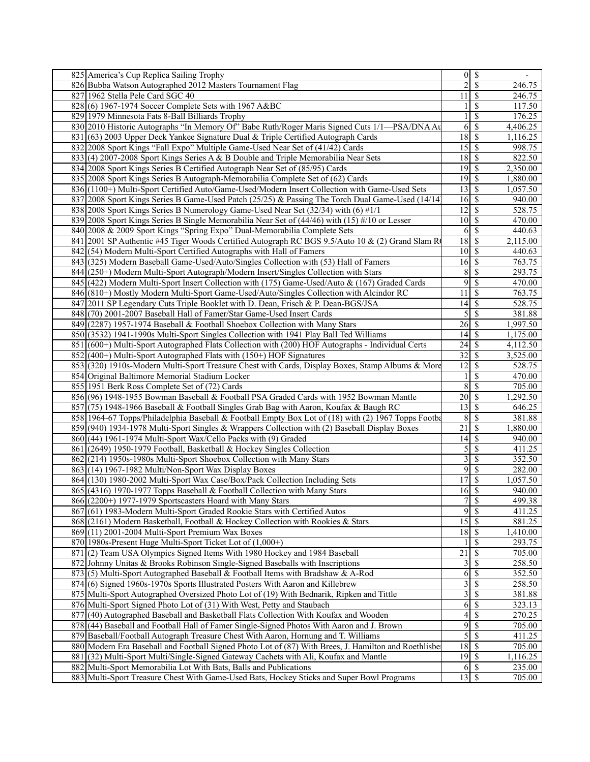| 825 America's Cup Replica Sailing Trophy                                                             |                                             | $0 \mid \text{\$\$}$       | $\overline{\phantom{a}}$ |
|------------------------------------------------------------------------------------------------------|---------------------------------------------|----------------------------|--------------------------|
| 826 Bubba Watson Autographed 2012 Masters Tournament Flag                                            | 2                                           | $\mathcal{S}$              | 246.75                   |
| 827 1962 Stella Pele Card SGC 40                                                                     | 11                                          | $\mathcal{S}$              | 246.75                   |
| 828(6) 1967-1974 Soccer Complete Sets with 1967 A&BC                                                 |                                             | \$                         | 117.50                   |
| 829 1979 Minnesota Fats 8-Ball Billiards Trophy                                                      |                                             | \$                         | 176.25                   |
| 830 2010 Historic Autographs "In Memory Of" Babe Ruth/Roger Maris Signed Cuts 1/1—PSA/DNA Au         |                                             | $6 \mid$ \$                | 4,406.25                 |
| 831 (63) 2003 Upper Deck Yankee Signature Dual & Triple Certified Autograph Cards                    |                                             |                            | 1,116.25                 |
| 832 2008 Sport Kings "Fall Expo" Multiple Game-Used Near Set of (41/42) Cards                        |                                             |                            | 998.75                   |
| 833 (4) 2007-2008 Sport Kings Series A & B Double and Triple Memorabilia Near Sets                   |                                             |                            | 822.50                   |
| 834 2008 Sport Kings Series B Certified Autograph Near Set of (85/95) Cards                          |                                             |                            | 2,350.00                 |
| 835 2008 Sport Kings Series B Autograph-Memorabilia Complete Set of (62) Cards                       |                                             |                            | 1,880.00                 |
| 836 (1100+) Multi-Sport Certified Auto/Game-Used/Modern Insert Collection with Game-Used Sets        | 13                                          | l \$                       | 1,057.50                 |
| 837 2008 Sport Kings Series B Game-Used Patch (25/25) & Passing The Torch Dual Game-Used (14/14      | $16 \mid$ \$                                |                            | 940.00                   |
| 838 2008 Sport Kings Series B Numerology Game-Used Near Set (32/34) with (6) #1/1                    | $12 \mid$ \$                                |                            | 528.75                   |
| 839 2008 Sport Kings Series B Single Memorabilia Near Set of (44/46) with (15) #/10 or Lesser        | $10 \mid$ \$                                |                            | 470.00                   |
| 840 2008 & 2009 Sport Kings "Spring Expo" Dual-Memorabilia Complete Sets                             |                                             |                            | 440.63                   |
| 841 [2001 SP Authentic #45 Tiger Woods Certified Autograph RC BGS 9.5/Auto 10 & (2) Grand Slam R     |                                             |                            | 2,115.00                 |
| 842](54) Modern Multi-Sport Certified Autographs with Hall of Famers                                 | $10 \mid$ \$                                |                            | 440.63                   |
| 843 (325) Modern Baseball Game-Used/Auto/Singles Collection with (53) Hall of Famers                 | $16 \mid$ \$                                |                            | 763.75                   |
| 844 (250+) Modern Multi-Sport Autograph/Modern Insert/Singles Collection with Stars                  |                                             | $8 \mid$ \$                | 293.75                   |
|                                                                                                      | $\overline{9}$                              | $\mathcal{S}$              | 470.00                   |
| 845 (422) Modern Multi-Sport Insert Collection with (175) Game-Used/Auto & (167) Graded Cards        | 11                                          | $\mathcal{S}$              | 763.75                   |
| 846 (810+) Mostly Modern Multi-Sport Game-Used/Auto/Singles Collection with Alcindor RC              | $\overline{14}$ \$                          |                            | 528.75                   |
| 847 [2011 SP Legendary Cuts Triple Booklet with D. Dean, Frisch & P. Dean-BGS/JSA                    |                                             |                            |                          |
| 848 (70) 2001-2007 Baseball Hall of Famer/Star Game-Used Insert Cards                                | 5                                           | <sup>\$</sup>              | 381.88                   |
| 849 (2287) 1957-1974 Baseball & Football Shoebox Collection with Many Stars                          | $26 \mid$ \$<br>$14 \mid$ \$                |                            | 1,997.50                 |
| 850 (3532) 1941-1990s Multi-Sport Singles Collection with 1941 Play Ball Ted Williams                |                                             |                            | 1,175.00                 |
| 851 (600+) Multi-Sport Autographed Flats Collection with (200) HOF Autographs - Individual Certs     |                                             |                            | 4,112.50                 |
| 852 (400+) Multi-Sport Autographed Flats with (150+) HOF Signatures                                  | $32 \mid$ \$<br>$12 \mid$ \$                |                            | 3,525.00                 |
| 853 (320) 1910s-Modern Multi-Sport Treasure Chest with Cards, Display Boxes, Stamp Albums & More     |                                             | -S                         | 528.75                   |
| 854 Original Baltimore Memorial Stadium Locker<br>855 1951 Berk Ross Complete Set of (72) Cards      | $\bf 8$                                     | \$                         | 470.00<br>705.00         |
| 856 (96) 1948-1955 Bowman Baseball & Football PSA Graded Cards with 1952 Bowman Mantle               |                                             |                            | 1,292.50                 |
| 857 (75) 1948-1966 Baseball & Football Singles Grab Bag with Aaron, Koufax & Baugh RC                |                                             |                            | 646.25                   |
| 858 1964-67 Topps/Philadelphia Baseball & Football Empty Box Lot of (18) with (2) 1967 Topps Footba  | 8                                           | - \$                       | 381.88                   |
| 859(940) 1934-1978 Multi-Sport Singles & Wrappers Collection with (2) Baseball Display Boxes         | 21                                          | - \$                       | 1,880.00                 |
| 860 (44) 1961-1974 Multi-Sport Wax/Cello Packs with (9) Graded                                       |                                             |                            | 940.00                   |
| 861 (2649) 1950-1979 Football, Basketball & Hockey Singles Collection                                | 5                                           | \$                         | 411.25                   |
| 862(214) 1950s-1980s Multi-Sport Shoebox Collection with Many Stars                                  | 3                                           | \$                         | 352.50                   |
| 863 (14) 1967-1982 Multi/Non-Sport Wax Display Boxes                                                 | 9                                           | \$                         | 282.00                   |
| 864 (130) 1980-2002 Multi-Sport Wax Case/Box/Pack Collection Including Sets                          | 17                                          | - \$                       | 1,057.50                 |
| 865 (4316) 1970-1977 Topps Baseball & Football Collection with Many Stars                            | $16 \mid$ \$                                |                            | 940.00                   |
| $866$ (2200+) 1977-1979 Sportscasters Hoard with Many Stars                                          |                                             | 7s                         | 499.38                   |
| 867(61) 1983-Modern Multi-Sport Graded Rookie Stars with Certified Autos                             | 9                                           | $\overline{\mathbf{s}}$    | 411.25                   |
| 868 (2161) Modern Basketball, Football & Hockey Collection with Rookies & Stars                      | $15 \mid$ \$                                |                            | 881.25                   |
| $869(11)$ 2001-2004 Multi-Sport Premium Wax Boxes                                                    |                                             |                            | 1,410.00                 |
| 870 1980s-Present Huge Multi-Sport Ticket Lot of (1,000+)                                            |                                             | <sup>S</sup>               | 293.75                   |
| 871 (2) Team USA Olympics Signed Items With 1980 Hockey and 1984 Baseball                            | $\overline{21}$                             | S                          | 705.00                   |
| 872 Johnny Unitas & Brooks Robinson Single-Signed Baseballs with Inscriptions                        | 3                                           | <sup>\$</sup>              | 258.50                   |
| 873 (5) Multi-Sport Autographed Baseball & Football Items with Bradshaw & A-Rod                      | 6                                           | S                          | 352.50                   |
| 874(6) Signed 1960s-1970s Sports Illustrated Posters With Aaron and Killebrew                        | 3                                           | \$                         | 258.50                   |
| 875 Multi-Sport Autographed Oversized Photo Lot of (19) With Bednarik, Ripken and Tittle             | $\overline{\mathbf{3}}$                     | $\boldsymbol{\mathsf{S}}$  | 381.88                   |
| 876 Multi-Sport Signed Photo Lot of (31) With West, Petty and Staubach                               | 6                                           | \$                         | 323.13                   |
| 877 (40) Autographed Baseball and Basketball Flats Collection With Koufax and Wooden                 | 4                                           | $\overline{\mathcal{S}}$   | 270.25                   |
| 878 (44) Baseball and Football Hall of Famer Single-Signed Photos With Aaron and J. Brown            | 9                                           | \$                         | 705.00                   |
| 879 Baseball/Football Autograph Treasure Chest With Aaron, Hornung and T. Williams                   |                                             | $5 \overline{\smash{)}\ }$ | 411.25                   |
| 880 Modern Era Baseball and Football Signed Photo Lot of (87) With Brees, J. Hamilton and Roethlisbe | $18 \overline{\smash{\big)}\, \, \text{S}}$ |                            | 705.00                   |
| 881 (32) Multi-Sport Multi/Single-Signed Gateway Cachets with Ali, Koufax and Mantle                 | $19$ $\overline{\text{S}}$                  |                            | 1,116.25                 |
| 882 Multi-Sport Memorabilia Lot With Bats, Balls and Publications                                    |                                             | $6 \mid S$                 | 235.00                   |
| 883 Multi-Sport Treasure Chest With Game-Used Bats, Hockey Sticks and Super Bowl Programs            | $13 \mid$ \$                                |                            | 705.00                   |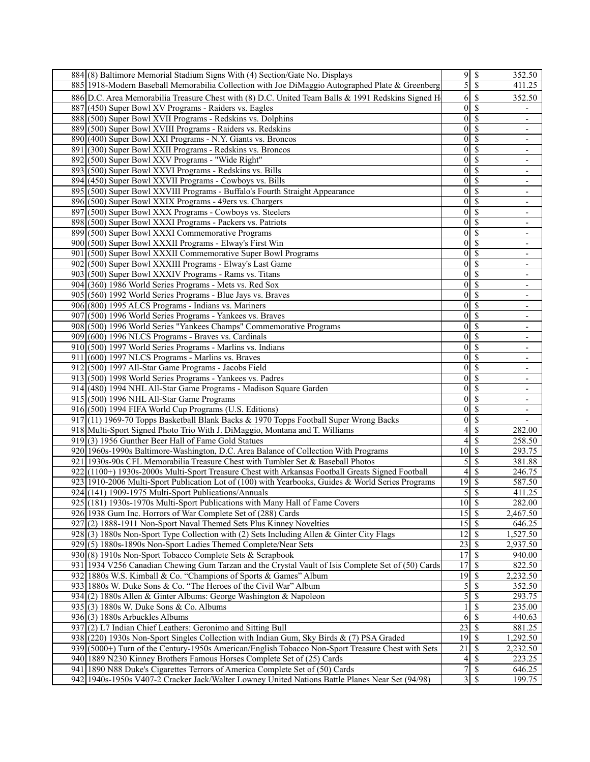| 884 (8) Baltimore Memorial Stadium Signs With (4) Section/Gate No. Displays                        |                                 |                           | 352.50                   |
|----------------------------------------------------------------------------------------------------|---------------------------------|---------------------------|--------------------------|
| 885 1918-Modern Baseball Memorabilia Collection with Joe DiMaggio Autographed Plate & Greenberg    | 5                               | $\mathcal{S}$             | 411.25                   |
| 886 D.C. Area Memorabilia Treasure Chest with (8) D.C. United Team Balls & 1991 Redskins Signed H  | 6                               | $\vert s$                 | 352.50                   |
| 887 (450) Super Bowl XV Programs - Raiders vs. Eagles                                              | $\overline{0}$                  | $\overline{\mathcal{S}}$  |                          |
| 888 (500) Super Bowl XVII Programs - Redskins vs. Dolphins                                         |                                 |                           |                          |
|                                                                                                    | $\boldsymbol{0}$                | $\boldsymbol{\mathsf{S}}$ | $\blacksquare$           |
| 889 (500) Super Bowl XVIII Programs - Raiders vs. Redskins                                         | $\overline{0}$                  | <sup>\$</sup>             | $\overline{\phantom{a}}$ |
| 890 (400) Super Bowl XXI Programs - N.Y. Giants vs. Broncos                                        | $\boldsymbol{0}$                | $\overline{\mathcal{S}}$  | $\blacksquare$           |
| 891 (300) Super Bowl XXII Programs - Redskins vs. Broncos                                          | $\overline{0}$                  | $\overline{\mathcal{S}}$  | $\overline{\phantom{a}}$ |
| 892 (500) Super Bowl XXV Programs - "Wide Right"                                                   | $\boldsymbol{0}$                | $\overline{\mathcal{S}}$  | $\overline{a}$           |
| 893 (500) Super Bowl XXVI Programs - Redskins vs. Bills                                            | $\overline{0}$                  | $\boldsymbol{\mathsf{S}}$ | $\blacksquare$           |
| 894 (450) Super Bowl XXVII Programs - Cowboys vs. Bills                                            | $\overline{0}$                  | \$                        | $\overline{\phantom{a}}$ |
| 895 (500) Super Bowl XXVIII Programs - Buffalo's Fourth Straight Appearance                        | $\boldsymbol{0}$                | $\overline{\mathcal{S}}$  | $\blacksquare$           |
| 896 (500) Super Bowl XXIX Programs - 49ers vs. Chargers                                            | $\overline{0}$                  | $\overline{\mathcal{S}}$  | $\overline{\phantom{a}}$ |
| 897 (500) Super Bowl XXX Programs - Cowboys vs. Steelers                                           | $\overline{0}$                  | \$                        | $\overline{\phantom{a}}$ |
| 898 (500) Super Bowl XXXI Programs - Packers vs. Patriots                                          | $\overline{0}$                  | $\boldsymbol{\mathsf{S}}$ | $\blacksquare$           |
| 899 (500) Super Bowl XXXI Commemorative Programs                                                   | $\overline{0}$                  | \$                        | $\overline{\phantom{a}}$ |
| 900 (500) Super Bowl XXXII Programs - Elway's First Win                                            | $\boldsymbol{0}$                | $\overline{\mathcal{S}}$  | $\blacksquare$           |
| 901 (500) Super Bowl XXXII Commemorative Super Bowl Programs                                       | $\overline{0}$                  | $\overline{\mathcal{S}}$  | $\overline{\phantom{a}}$ |
| 902 (500) Super Bowl XXXIII Programs - Elway's Last Game                                           | $\overline{0}$                  | $\overline{\mathcal{S}}$  | $\overline{\phantom{0}}$ |
| 903 (500) Super Bowl XXXIV Programs - Rams vs. Titans                                              | $\boldsymbol{0}$                | $\mathcal{S}$             | $\blacksquare$           |
| 904 (360) 1986 World Series Programs - Mets vs. Red Sox                                            | $\overline{0}$                  |                           |                          |
|                                                                                                    |                                 | \$                        | $\overline{\phantom{a}}$ |
| 905 (560) 1992 World Series Programs - Blue Jays vs. Braves                                        | $\boldsymbol{0}$                | $\overline{\mathcal{S}}$  | $\overline{\phantom{a}}$ |
| 906 (800) 1995 ALCS Programs - Indians vs. Mariners                                                | $\overline{0}$                  | $\overline{\mathcal{S}}$  | $\overline{\phantom{a}}$ |
| 907 (500) 1996 World Series Programs - Yankees vs. Braves                                          | $\boldsymbol{0}$                | $\mathcal{S}$             | $\overline{\phantom{0}}$ |
| 908 (500) 1996 World Series "Yankees Champs" Commemorative Programs                                | $\boldsymbol{0}$                | $\boldsymbol{\mathsf{S}}$ | $\blacksquare$           |
| $909(600)$ 1996 NLCS Programs - Braves vs. Cardinals                                               | $\overline{0}$                  | \$                        | $\overline{\phantom{a}}$ |
| $910(500)$ 1997 World Series Programs - Marlins vs. Indians                                        | $\boldsymbol{0}$                | $\overline{\mathcal{S}}$  | $\blacksquare$           |
| $911(600)$ 1997 NLCS Programs - Marlins vs. Braves                                                 | $\overline{0}$                  | $\overline{\mathcal{S}}$  | $\overline{\phantom{a}}$ |
| 912 (500) 1997 All-Star Game Programs - Jacobs Field                                               | $\boldsymbol{0}$                | $\mathcal{S}$             | $\overline{a}$           |
| $913(500)$ 1998 World Series Programs - Yankees vs. Padres                                         | $\overline{0}$                  | $\boldsymbol{\mathsf{S}}$ |                          |
| 914 (480) 1994 NHL All-Star Game Programs - Madison Square Garden                                  | $\overline{0}$                  | \$                        | -                        |
| 915 (500) 1996 NHL All-Star Game Programs                                                          | $\boldsymbol{0}$                | $\overline{\mathcal{S}}$  |                          |
| 916 (500) 1994 FIFA World Cup Programs (U.S. Editions)                                             | $\overline{0}$                  | $\overline{\mathcal{S}}$  | $\overline{\phantom{a}}$ |
| 917 (11) 1969-70 Topps Basketball Blank Backs & 1970 Topps Football Super Wrong Backs              | $\boldsymbol{0}$                | $\overline{\mathcal{S}}$  |                          |
| 918 Multi-Sport Signed Photo Trio With J. DiMaggio, Montana and T. Williams                        | 4                               | \$                        | 282.00                   |
| $919(3) 1956$ Gunther Beer Hall of Fame Gold Statues                                               | 4                               | <sup>\$</sup>             | 258.50                   |
| 920 1960s-1990s Baltimore-Washington, D.C. Area Balance of Collection With Programs                | 10                              | \$                        | 293.75                   |
| 921 1930s-90s CFL Memorabilia Treasure Chest with Tumbler Set & Baseball Photos                    | 5                               | $\overline{\mathcal{S}}$  | 381.88                   |
| 922 (1100+) 1930s-2000s Multi-Sport Treasure Chest with Arkansas Football Greats Signed Football   |                                 | $\mathcal{S}$             |                          |
|                                                                                                    | $\overline{\mathcal{L}}$        |                           | 246.75                   |
| 923 1910-2006 Multi-Sport Publication Lot of (100) with Yearbooks, Guides & World Series Programs  | 19                              | $\mathcal{S}$             | 587.50                   |
| 924 (141) 1909-1975 Multi-Sport Publications/Annuals                                               | 5                               | \$                        | 411.25                   |
| 925 (181) 1930s-1970s Multi-Sport Publications with Many Hall of Fame Covers                       | $\overline{10 \mid \mathsf{s}}$ |                           | 282.00                   |
| 926 1938 Gum Inc. Horrors of War Complete Set of (288) Cards                                       |                                 |                           | 2,467.50                 |
| 927(2) 1888-1911 Non-Sport Naval Themed Sets Plus Kinney Novelties                                 | $15 \mid$ \$                    |                           | 646.25                   |
| 928(3) 1880s Non-Sport Type Collection with (2) Sets Including Allen & Ginter City Flags           | $12 \mid$ \$                    |                           | 1,527.50                 |
| 929(5) 1880s-1890s Non-Sport Ladies Themed Complete/Near Sets                                      | 23                              | l \$                      | 2,937.50                 |
| 930 (8) 1910s Non-Sport Tobacco Complete Sets & Scrapbook                                          | $\overline{17}$                 | l \$                      | 940.00                   |
| 931 1934 V256 Canadian Chewing Gum Tarzan and the Crystal Vault of Isis Complete Set of (50) Cards | 17                              | <sup>\$</sup>             | 822.50                   |
| 932 1880s W.S. Kimball & Co. "Champions of Sports & Games" Album                                   | 19                              | $\sqrt{S}$                | 2,232.50                 |
| 933   1880s W. Duke Sons & Co. "The Heroes of the Civil War" Album                                 | 5                               | <sup>\$</sup>             | 352.50                   |
| 934 (2) 1880s Allen & Ginter Albums: George Washington & Napoleon                                  | 5                               | S                         | 293.75                   |
| 935(3) 1880s W. Duke Sons & Co. Albums                                                             |                                 | \$                        | 235.00                   |
| $936(3)$ 1880s Arbuckles Albums                                                                    | 6                               | $\overline{\mathcal{S}}$  | 440.63                   |
| $937(2)$ L7 Indian Chief Leathers: Geronimo and Sitting Bull                                       | 23                              | $\sqrt{S}$                | 881.25                   |
| 938 (220) 1930s Non-Sport Singles Collection with Indian Gum, Sky Birds & (7) PSA Graded           |                                 |                           | 1,292.50                 |
|                                                                                                    |                                 |                           |                          |
| 939 (5000+) Turn of the Century-1950s American/English Tobacco Non-Sport Treasure Chest with Sets  | 21                              | -S                        | 2,232.50                 |
| 940 1889 N230 Kinney Brothers Famous Horses Complete Set of (25) Cards                             |                                 | 4S                        | 223.25                   |
| 941 1890 N88 Duke's Cigarettes Terrors of America Complete Set of (50) Cards                       | $\overline{7}$                  | $\overline{\mathcal{S}}$  | 646.25                   |
| 942   1940s-1950s V407-2 Cracker Jack/Walter Lowney United Nations Battle Planes Near Set (94/98)  |                                 | 3s                        | 199.75                   |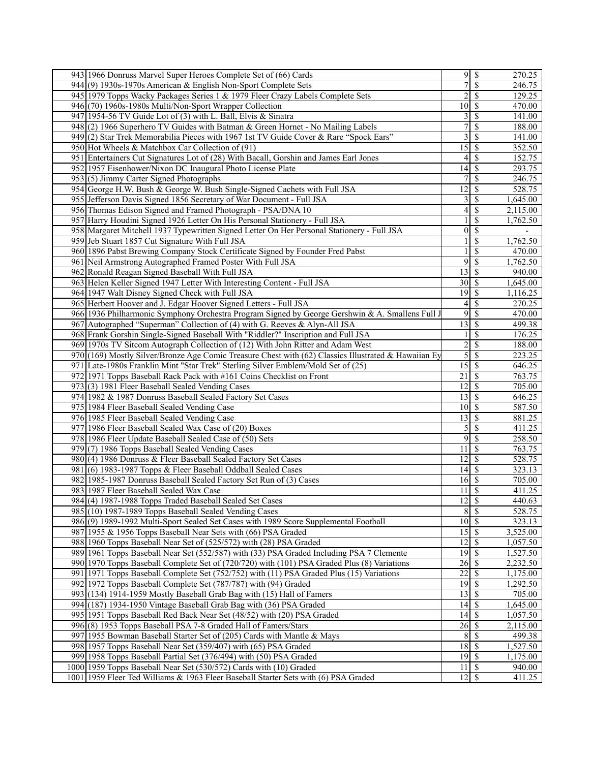| 7<br>$\boldsymbol{\mathsf{S}}$<br>246.75<br>944(9) 1930s-1970s American & English Non-Sport Complete Sets<br>2<br><sup>\$</sup><br>129.25<br>945 1979 Topps Wacky Packages Series 1 & 1979 Fleer Crazy Labels Complete Sets<br>10 <sup>1</sup><br>470.00<br>946 (70) 1960s-1980s Multi/Non-Sport Wrapper Collection<br>l S<br>3<br>947 1954-56 TV Guide Lot of (3) with L. Ball, Elvis & Sinatra<br>-S<br>141.00<br>7<br>\$<br>188.00<br>948 (2) 1966 Superhero TV Guides with Batman & Green Hornet - No Mailing Labels<br>3<br>949 (2) Star Trek Memorabilia Pieces with 1967 1st TV Guide Cover & Rare "Spock Ears"<br>$\mathcal{S}$<br>141.00<br>$\overline{15}$<br>$\mathcal{S}$<br>352.50<br>950 Hot Wheels & Matchbox Car Collection of (91)<br>951 Entertainers Cut Signatures Lot of (28) With Bacall, Gorshin and James Earl Jones<br>4<br>152.75<br>S<br>14<br>952 1957 Eisenhower/Nixon DC Inaugural Photo License Plate<br>-\$<br>293.75<br>$\mathcal{S}$<br>7<br>246.75<br>$953(5)$ Jimmy Carter Signed Photographs<br>954 George H.W. Bush & George W. Bush Single-Signed Cachets with Full JSA<br>12<br><sup>\$</sup><br>528.75<br>3<br>\$<br>1,645.00<br>955 Jefferson Davis Signed 1856 Secretary of War Document - Full JSA<br>$\overline{4}$<br>956 Thomas Edison Signed and Framed Photograph - PSA/DNA 10<br>\$<br>2,115.00<br>\$<br>1,762.50<br>957 Harry Houdini Signed 1926 Letter On His Personal Stationery - Full JSA<br>$\boldsymbol{0}$<br>$\mathcal{S}$<br>958 Margaret Mitchell 1937 Typewritten Signed Letter On Her Personal Stationery - Full JSA<br>$\boldsymbol{\mathsf{S}}$<br>1,762.50<br>959 Jeb Stuart 1857 Cut Signature With Full JSA<br>\$<br>960 1896 Pabst Brewing Company Stock Certificate Signed by Founder Fred Pabst<br>470.00<br>9<br><sup>\$</sup><br>1,762.50<br>961 Neil Armstrong Autographed Framed Poster With Full JSA<br>962 Ronald Reagan Signed Baseball With Full JSA<br>940.00<br>$30 \mid S$<br>1,645.00<br>963 Helen Keller Signed 1947 Letter With Interesting Content - Full JSA<br>$\overline{19}$ \$<br>1,116.25<br>964 1947 Walt Disney Signed Check with Full JSA<br>965 Herbert Hoover and J. Edgar Hoover Signed Letters - Full JSA<br><sup>\$</sup><br>270.25<br>4<br>9<br>470.00<br>966 1936 Philharmonic Symphony Orchestra Program Signed by George Gershwin & A. Smallens Full J<br>S<br>13<br>$\mathcal{S}$<br>967 Autographed "Superman" Collection of (4) with G. Reeves & Alyn-All JSA<br>499.38<br>$\boldsymbol{\mathsf{S}}$<br>968 Frank Gorshin Single-Signed Baseball With "Riddler?" Inscription and Full JSA<br>176.25<br>$\overline{c}$<br>$\boldsymbol{\mathsf{S}}$<br>969 1970s TV Sitcom Autograph Collection of (12) With John Ritter and Adam West<br>188.00<br>5<br>  \$<br>223.25<br>970 (169) Mostly Silver/Bronze Age Comic Treasure Chest with (62) Classics Illustrated & Hawaiian Ey<br>15<br>971 Late-1980s Franklin Mint "Star Trek" Sterling Silver Emblem/Mold Set of (25)<br>  \$<br>646.25<br>21<br>  \$<br>763.75<br>972 1971 Topps Baseball Rack Pack with #161 Coins Checklist on Front<br>$12 \mid$ \$<br>705.00<br>973(3) 1981 Fleer Baseball Sealed Vending Cases<br>13<br>l \$<br>646.25<br>974 1982 & 1987 Donruss Baseball Sealed Factory Set Cases<br>$10 \mid$ \$<br>587.50<br>975 1984 Fleer Baseball Sealed Vending Case<br>13<br>881.25<br>976 1985 Fleer Baseball Sealed Vending Case<br>- \$<br>5<br>977 1986 Fleer Baseball Sealed Wax Case of (20) Boxes<br>$\mathcal{S}$<br>411.25<br>9<br>$\mathcal{S}$<br>978 1986 Fleer Update Baseball Sealed Case of (50) Sets<br>258.50<br>979 (7) 1986 Topps Baseball Sealed Vending Cases<br>  \$<br>763.75<br>11<br>$12 \mid$ \$<br>528.75<br>980 (4) 1986 Donruss & Fleer Baseball Sealed Factory Set Cases<br>981(6) 1983-1987 Topps & Fleer Baseball Oddball Sealed Cases<br>$14 \mid$ \$<br>323.13<br>982 1985-1987 Donruss Baseball Sealed Factory Set Run of (3) Cases<br>705.00<br>$16 \mid S$<br>$\mathcal{S}$<br>983 1987 Fleer Baseball Sealed Wax Case<br>411.25<br>11<br>$\overline{12}$ \$<br>984 (4) 1987-1988 Topps Traded Baseball Sealed Set Cases<br>440.63<br>8S<br>985 (10) 1987-1989 Topps Baseball Sealed Vending Cases<br>528.75<br>$10 \mid S$<br>986(9) 1989-1992 Multi-Sport Sealed Set Cases with 1989 Score Supplemental Football<br>323.13<br>15S<br>987 1955 & 1956 Topps Baseball Near Sets with (66) PSA Graded<br>3,525.00<br>$12 \mid S$<br>988 1960 Topps Baseball Near Set of (525/572) with (28) PSA Graded<br>1,057.50<br>$\overline{19}$ \$<br>989 1961 Topps Baseball Near Set (552/587) with (33) PSA Graded Including PSA 7 Clemente<br>1,527.50<br>$26 \mid$ \$<br>2,232.50<br>990 1970 Topps Baseball Complete Set of (720/720) with (101) PSA Graded Plus (8) Variations<br>$22 \mid$ \$<br>991 1971 Topps Baseball Complete Set (752/752) with (11) PSA Graded Plus (15) Variations<br>1,175.00<br>992 1972 Topps Baseball Complete Set (787/787) with (94) Graded<br>1,292.50<br>993 (134) 1914-1959 Mostly Baseball Grab Bag with (15) Hall of Famers<br>705.00<br>994 (187) 1934-1950 Vintage Baseball Grab Bag with (36) PSA Graded<br>$14 \mid$ \$<br>1,645.00<br>$14 \overline{\smash{)}\,}$<br>995 1951 Topps Baseball Red Back Near Set (48/52) with (20) PSA Graded<br>1,057.50<br>$26 \mid$ \$<br>2,115.00<br>996(8) 1953 Topps Baseball PSA 7-8 Graded Hall of Famers/Stars<br>8S<br>997 1955 Bowman Baseball Starter Set of (205) Cards with Mantle & Mays<br>499.38<br>998 1957 Topps Baseball Near Set (359/407) with (65) PSA Graded<br>1,527.50<br>$19$ $\overline{\text{S}}$<br>1,175.00<br>999 1958 Topps Baseball Partial Set (376/494) with (50) PSA Graded<br>1000 1959 Topps Baseball Near Set (530/572) Cards with (10) Graded<br>$11 \mid S$<br>940.00<br>$12 \mid$ \$<br>1001 1959 Fleer Ted Williams & 1963 Fleer Baseball Starter Sets with (6) PSA Graded<br>411.25 | 943 1966 Donruss Marvel Super Heroes Complete Set of (66) Cards |  | 270.25 |
|-----------------------------------------------------------------------------------------------------------------------------------------------------------------------------------------------------------------------------------------------------------------------------------------------------------------------------------------------------------------------------------------------------------------------------------------------------------------------------------------------------------------------------------------------------------------------------------------------------------------------------------------------------------------------------------------------------------------------------------------------------------------------------------------------------------------------------------------------------------------------------------------------------------------------------------------------------------------------------------------------------------------------------------------------------------------------------------------------------------------------------------------------------------------------------------------------------------------------------------------------------------------------------------------------------------------------------------------------------------------------------------------------------------------------------------------------------------------------------------------------------------------------------------------------------------------------------------------------------------------------------------------------------------------------------------------------------------------------------------------------------------------------------------------------------------------------------------------------------------------------------------------------------------------------------------------------------------------------------------------------------------------------------------------------------------------------------------------------------------------------------------------------------------------------------------------------------------------------------------------------------------------------------------------------------------------------------------------------------------------------------------------------------------------------------------------------------------------------------------------------------------------------------------------------------------------------------------------------------------------------------------------------------------------------------------------------------------------------------------------------------------------------------------------------------------------------------------------------------------------------------------------------------------------------------------------------------------------------------------------------------------------------------------------------------------------------------------------------------------------------------------------------------------------------------------------------------------------------------------------------------------------------------------------------------------------------------------------------------------------------------------------------------------------------------------------------------------------------------------------------------------------------------------------------------------------------------------------------------------------------------------------------------------------------------------------------------------------------------------------------------------------------------------------------------------------------------------------------------------------------------------------------------------------------------------------------------------------------------------------------------------------------------------------------------------------------------------------------------------------------------------------------------------------------------------------------------------------------------------------------------------------------------------------------------------------------------------------------------------------------------------------------------------------------------------------------------------------------------------------------------------------------------------------------------------------------------------------------------------------------------------------------------------------------------------------------------------------------------------------------------------------------------------------------------------------------------------------------------------------------------------------------------------------------------------------------------------------------------------------------------------------------------------------------------------------------------------------------------------------------------------------------------------------------------------------------------------------------------------------------------------------------------------------------------------------------------------------------------------------------------------------------------------------------------------------------------------------------------------------------------------------------------------------------------------------------------------------------------------------------------------------------------------------------------------------------------------------------------------------------------------------------------------------------------------------------------------------------------------------------------------------------------------------------|-----------------------------------------------------------------|--|--------|
|                                                                                                                                                                                                                                                                                                                                                                                                                                                                                                                                                                                                                                                                                                                                                                                                                                                                                                                                                                                                                                                                                                                                                                                                                                                                                                                                                                                                                                                                                                                                                                                                                                                                                                                                                                                                                                                                                                                                                                                                                                                                                                                                                                                                                                                                                                                                                                                                                                                                                                                                                                                                                                                                                                                                                                                                                                                                                                                                                                                                                                                                                                                                                                                                                                                                                                                                                                                                                                                                                                                                                                                                                                                                                                                                                                                                                                                                                                                                                                                                                                                                                                                                                                                                                                                                                                                                                                                                                                                                                                                                                                                                                                                                                                                                                                                                                                                                                                                                                                                                                                                                                                                                                                                                                                                                                                                                                                                                                                                                                                                                                                                                                                                                                                                                                                                                                                                                                                                       |                                                                 |  |        |
|                                                                                                                                                                                                                                                                                                                                                                                                                                                                                                                                                                                                                                                                                                                                                                                                                                                                                                                                                                                                                                                                                                                                                                                                                                                                                                                                                                                                                                                                                                                                                                                                                                                                                                                                                                                                                                                                                                                                                                                                                                                                                                                                                                                                                                                                                                                                                                                                                                                                                                                                                                                                                                                                                                                                                                                                                                                                                                                                                                                                                                                                                                                                                                                                                                                                                                                                                                                                                                                                                                                                                                                                                                                                                                                                                                                                                                                                                                                                                                                                                                                                                                                                                                                                                                                                                                                                                                                                                                                                                                                                                                                                                                                                                                                                                                                                                                                                                                                                                                                                                                                                                                                                                                                                                                                                                                                                                                                                                                                                                                                                                                                                                                                                                                                                                                                                                                                                                                                       |                                                                 |  |        |
|                                                                                                                                                                                                                                                                                                                                                                                                                                                                                                                                                                                                                                                                                                                                                                                                                                                                                                                                                                                                                                                                                                                                                                                                                                                                                                                                                                                                                                                                                                                                                                                                                                                                                                                                                                                                                                                                                                                                                                                                                                                                                                                                                                                                                                                                                                                                                                                                                                                                                                                                                                                                                                                                                                                                                                                                                                                                                                                                                                                                                                                                                                                                                                                                                                                                                                                                                                                                                                                                                                                                                                                                                                                                                                                                                                                                                                                                                                                                                                                                                                                                                                                                                                                                                                                                                                                                                                                                                                                                                                                                                                                                                                                                                                                                                                                                                                                                                                                                                                                                                                                                                                                                                                                                                                                                                                                                                                                                                                                                                                                                                                                                                                                                                                                                                                                                                                                                                                                       |                                                                 |  |        |
|                                                                                                                                                                                                                                                                                                                                                                                                                                                                                                                                                                                                                                                                                                                                                                                                                                                                                                                                                                                                                                                                                                                                                                                                                                                                                                                                                                                                                                                                                                                                                                                                                                                                                                                                                                                                                                                                                                                                                                                                                                                                                                                                                                                                                                                                                                                                                                                                                                                                                                                                                                                                                                                                                                                                                                                                                                                                                                                                                                                                                                                                                                                                                                                                                                                                                                                                                                                                                                                                                                                                                                                                                                                                                                                                                                                                                                                                                                                                                                                                                                                                                                                                                                                                                                                                                                                                                                                                                                                                                                                                                                                                                                                                                                                                                                                                                                                                                                                                                                                                                                                                                                                                                                                                                                                                                                                                                                                                                                                                                                                                                                                                                                                                                                                                                                                                                                                                                                                       |                                                                 |  |        |
|                                                                                                                                                                                                                                                                                                                                                                                                                                                                                                                                                                                                                                                                                                                                                                                                                                                                                                                                                                                                                                                                                                                                                                                                                                                                                                                                                                                                                                                                                                                                                                                                                                                                                                                                                                                                                                                                                                                                                                                                                                                                                                                                                                                                                                                                                                                                                                                                                                                                                                                                                                                                                                                                                                                                                                                                                                                                                                                                                                                                                                                                                                                                                                                                                                                                                                                                                                                                                                                                                                                                                                                                                                                                                                                                                                                                                                                                                                                                                                                                                                                                                                                                                                                                                                                                                                                                                                                                                                                                                                                                                                                                                                                                                                                                                                                                                                                                                                                                                                                                                                                                                                                                                                                                                                                                                                                                                                                                                                                                                                                                                                                                                                                                                                                                                                                                                                                                                                                       |                                                                 |  |        |
|                                                                                                                                                                                                                                                                                                                                                                                                                                                                                                                                                                                                                                                                                                                                                                                                                                                                                                                                                                                                                                                                                                                                                                                                                                                                                                                                                                                                                                                                                                                                                                                                                                                                                                                                                                                                                                                                                                                                                                                                                                                                                                                                                                                                                                                                                                                                                                                                                                                                                                                                                                                                                                                                                                                                                                                                                                                                                                                                                                                                                                                                                                                                                                                                                                                                                                                                                                                                                                                                                                                                                                                                                                                                                                                                                                                                                                                                                                                                                                                                                                                                                                                                                                                                                                                                                                                                                                                                                                                                                                                                                                                                                                                                                                                                                                                                                                                                                                                                                                                                                                                                                                                                                                                                                                                                                                                                                                                                                                                                                                                                                                                                                                                                                                                                                                                                                                                                                                                       |                                                                 |  |        |
|                                                                                                                                                                                                                                                                                                                                                                                                                                                                                                                                                                                                                                                                                                                                                                                                                                                                                                                                                                                                                                                                                                                                                                                                                                                                                                                                                                                                                                                                                                                                                                                                                                                                                                                                                                                                                                                                                                                                                                                                                                                                                                                                                                                                                                                                                                                                                                                                                                                                                                                                                                                                                                                                                                                                                                                                                                                                                                                                                                                                                                                                                                                                                                                                                                                                                                                                                                                                                                                                                                                                                                                                                                                                                                                                                                                                                                                                                                                                                                                                                                                                                                                                                                                                                                                                                                                                                                                                                                                                                                                                                                                                                                                                                                                                                                                                                                                                                                                                                                                                                                                                                                                                                                                                                                                                                                                                                                                                                                                                                                                                                                                                                                                                                                                                                                                                                                                                                                                       |                                                                 |  |        |
|                                                                                                                                                                                                                                                                                                                                                                                                                                                                                                                                                                                                                                                                                                                                                                                                                                                                                                                                                                                                                                                                                                                                                                                                                                                                                                                                                                                                                                                                                                                                                                                                                                                                                                                                                                                                                                                                                                                                                                                                                                                                                                                                                                                                                                                                                                                                                                                                                                                                                                                                                                                                                                                                                                                                                                                                                                                                                                                                                                                                                                                                                                                                                                                                                                                                                                                                                                                                                                                                                                                                                                                                                                                                                                                                                                                                                                                                                                                                                                                                                                                                                                                                                                                                                                                                                                                                                                                                                                                                                                                                                                                                                                                                                                                                                                                                                                                                                                                                                                                                                                                                                                                                                                                                                                                                                                                                                                                                                                                                                                                                                                                                                                                                                                                                                                                                                                                                                                                       |                                                                 |  |        |
|                                                                                                                                                                                                                                                                                                                                                                                                                                                                                                                                                                                                                                                                                                                                                                                                                                                                                                                                                                                                                                                                                                                                                                                                                                                                                                                                                                                                                                                                                                                                                                                                                                                                                                                                                                                                                                                                                                                                                                                                                                                                                                                                                                                                                                                                                                                                                                                                                                                                                                                                                                                                                                                                                                                                                                                                                                                                                                                                                                                                                                                                                                                                                                                                                                                                                                                                                                                                                                                                                                                                                                                                                                                                                                                                                                                                                                                                                                                                                                                                                                                                                                                                                                                                                                                                                                                                                                                                                                                                                                                                                                                                                                                                                                                                                                                                                                                                                                                                                                                                                                                                                                                                                                                                                                                                                                                                                                                                                                                                                                                                                                                                                                                                                                                                                                                                                                                                                                                       |                                                                 |  |        |
|                                                                                                                                                                                                                                                                                                                                                                                                                                                                                                                                                                                                                                                                                                                                                                                                                                                                                                                                                                                                                                                                                                                                                                                                                                                                                                                                                                                                                                                                                                                                                                                                                                                                                                                                                                                                                                                                                                                                                                                                                                                                                                                                                                                                                                                                                                                                                                                                                                                                                                                                                                                                                                                                                                                                                                                                                                                                                                                                                                                                                                                                                                                                                                                                                                                                                                                                                                                                                                                                                                                                                                                                                                                                                                                                                                                                                                                                                                                                                                                                                                                                                                                                                                                                                                                                                                                                                                                                                                                                                                                                                                                                                                                                                                                                                                                                                                                                                                                                                                                                                                                                                                                                                                                                                                                                                                                                                                                                                                                                                                                                                                                                                                                                                                                                                                                                                                                                                                                       |                                                                 |  |        |
|                                                                                                                                                                                                                                                                                                                                                                                                                                                                                                                                                                                                                                                                                                                                                                                                                                                                                                                                                                                                                                                                                                                                                                                                                                                                                                                                                                                                                                                                                                                                                                                                                                                                                                                                                                                                                                                                                                                                                                                                                                                                                                                                                                                                                                                                                                                                                                                                                                                                                                                                                                                                                                                                                                                                                                                                                                                                                                                                                                                                                                                                                                                                                                                                                                                                                                                                                                                                                                                                                                                                                                                                                                                                                                                                                                                                                                                                                                                                                                                                                                                                                                                                                                                                                                                                                                                                                                                                                                                                                                                                                                                                                                                                                                                                                                                                                                                                                                                                                                                                                                                                                                                                                                                                                                                                                                                                                                                                                                                                                                                                                                                                                                                                                                                                                                                                                                                                                                                       |                                                                 |  |        |
|                                                                                                                                                                                                                                                                                                                                                                                                                                                                                                                                                                                                                                                                                                                                                                                                                                                                                                                                                                                                                                                                                                                                                                                                                                                                                                                                                                                                                                                                                                                                                                                                                                                                                                                                                                                                                                                                                                                                                                                                                                                                                                                                                                                                                                                                                                                                                                                                                                                                                                                                                                                                                                                                                                                                                                                                                                                                                                                                                                                                                                                                                                                                                                                                                                                                                                                                                                                                                                                                                                                                                                                                                                                                                                                                                                                                                                                                                                                                                                                                                                                                                                                                                                                                                                                                                                                                                                                                                                                                                                                                                                                                                                                                                                                                                                                                                                                                                                                                                                                                                                                                                                                                                                                                                                                                                                                                                                                                                                                                                                                                                                                                                                                                                                                                                                                                                                                                                                                       |                                                                 |  |        |
|                                                                                                                                                                                                                                                                                                                                                                                                                                                                                                                                                                                                                                                                                                                                                                                                                                                                                                                                                                                                                                                                                                                                                                                                                                                                                                                                                                                                                                                                                                                                                                                                                                                                                                                                                                                                                                                                                                                                                                                                                                                                                                                                                                                                                                                                                                                                                                                                                                                                                                                                                                                                                                                                                                                                                                                                                                                                                                                                                                                                                                                                                                                                                                                                                                                                                                                                                                                                                                                                                                                                                                                                                                                                                                                                                                                                                                                                                                                                                                                                                                                                                                                                                                                                                                                                                                                                                                                                                                                                                                                                                                                                                                                                                                                                                                                                                                                                                                                                                                                                                                                                                                                                                                                                                                                                                                                                                                                                                                                                                                                                                                                                                                                                                                                                                                                                                                                                                                                       |                                                                 |  |        |
|                                                                                                                                                                                                                                                                                                                                                                                                                                                                                                                                                                                                                                                                                                                                                                                                                                                                                                                                                                                                                                                                                                                                                                                                                                                                                                                                                                                                                                                                                                                                                                                                                                                                                                                                                                                                                                                                                                                                                                                                                                                                                                                                                                                                                                                                                                                                                                                                                                                                                                                                                                                                                                                                                                                                                                                                                                                                                                                                                                                                                                                                                                                                                                                                                                                                                                                                                                                                                                                                                                                                                                                                                                                                                                                                                                                                                                                                                                                                                                                                                                                                                                                                                                                                                                                                                                                                                                                                                                                                                                                                                                                                                                                                                                                                                                                                                                                                                                                                                                                                                                                                                                                                                                                                                                                                                                                                                                                                                                                                                                                                                                                                                                                                                                                                                                                                                                                                                                                       |                                                                 |  |        |
|                                                                                                                                                                                                                                                                                                                                                                                                                                                                                                                                                                                                                                                                                                                                                                                                                                                                                                                                                                                                                                                                                                                                                                                                                                                                                                                                                                                                                                                                                                                                                                                                                                                                                                                                                                                                                                                                                                                                                                                                                                                                                                                                                                                                                                                                                                                                                                                                                                                                                                                                                                                                                                                                                                                                                                                                                                                                                                                                                                                                                                                                                                                                                                                                                                                                                                                                                                                                                                                                                                                                                                                                                                                                                                                                                                                                                                                                                                                                                                                                                                                                                                                                                                                                                                                                                                                                                                                                                                                                                                                                                                                                                                                                                                                                                                                                                                                                                                                                                                                                                                                                                                                                                                                                                                                                                                                                                                                                                                                                                                                                                                                                                                                                                                                                                                                                                                                                                                                       |                                                                 |  |        |
|                                                                                                                                                                                                                                                                                                                                                                                                                                                                                                                                                                                                                                                                                                                                                                                                                                                                                                                                                                                                                                                                                                                                                                                                                                                                                                                                                                                                                                                                                                                                                                                                                                                                                                                                                                                                                                                                                                                                                                                                                                                                                                                                                                                                                                                                                                                                                                                                                                                                                                                                                                                                                                                                                                                                                                                                                                                                                                                                                                                                                                                                                                                                                                                                                                                                                                                                                                                                                                                                                                                                                                                                                                                                                                                                                                                                                                                                                                                                                                                                                                                                                                                                                                                                                                                                                                                                                                                                                                                                                                                                                                                                                                                                                                                                                                                                                                                                                                                                                                                                                                                                                                                                                                                                                                                                                                                                                                                                                                                                                                                                                                                                                                                                                                                                                                                                                                                                                                                       |                                                                 |  |        |
|                                                                                                                                                                                                                                                                                                                                                                                                                                                                                                                                                                                                                                                                                                                                                                                                                                                                                                                                                                                                                                                                                                                                                                                                                                                                                                                                                                                                                                                                                                                                                                                                                                                                                                                                                                                                                                                                                                                                                                                                                                                                                                                                                                                                                                                                                                                                                                                                                                                                                                                                                                                                                                                                                                                                                                                                                                                                                                                                                                                                                                                                                                                                                                                                                                                                                                                                                                                                                                                                                                                                                                                                                                                                                                                                                                                                                                                                                                                                                                                                                                                                                                                                                                                                                                                                                                                                                                                                                                                                                                                                                                                                                                                                                                                                                                                                                                                                                                                                                                                                                                                                                                                                                                                                                                                                                                                                                                                                                                                                                                                                                                                                                                                                                                                                                                                                                                                                                                                       |                                                                 |  |        |
|                                                                                                                                                                                                                                                                                                                                                                                                                                                                                                                                                                                                                                                                                                                                                                                                                                                                                                                                                                                                                                                                                                                                                                                                                                                                                                                                                                                                                                                                                                                                                                                                                                                                                                                                                                                                                                                                                                                                                                                                                                                                                                                                                                                                                                                                                                                                                                                                                                                                                                                                                                                                                                                                                                                                                                                                                                                                                                                                                                                                                                                                                                                                                                                                                                                                                                                                                                                                                                                                                                                                                                                                                                                                                                                                                                                                                                                                                                                                                                                                                                                                                                                                                                                                                                                                                                                                                                                                                                                                                                                                                                                                                                                                                                                                                                                                                                                                                                                                                                                                                                                                                                                                                                                                                                                                                                                                                                                                                                                                                                                                                                                                                                                                                                                                                                                                                                                                                                                       |                                                                 |  |        |
|                                                                                                                                                                                                                                                                                                                                                                                                                                                                                                                                                                                                                                                                                                                                                                                                                                                                                                                                                                                                                                                                                                                                                                                                                                                                                                                                                                                                                                                                                                                                                                                                                                                                                                                                                                                                                                                                                                                                                                                                                                                                                                                                                                                                                                                                                                                                                                                                                                                                                                                                                                                                                                                                                                                                                                                                                                                                                                                                                                                                                                                                                                                                                                                                                                                                                                                                                                                                                                                                                                                                                                                                                                                                                                                                                                                                                                                                                                                                                                                                                                                                                                                                                                                                                                                                                                                                                                                                                                                                                                                                                                                                                                                                                                                                                                                                                                                                                                                                                                                                                                                                                                                                                                                                                                                                                                                                                                                                                                                                                                                                                                                                                                                                                                                                                                                                                                                                                                                       |                                                                 |  |        |
|                                                                                                                                                                                                                                                                                                                                                                                                                                                                                                                                                                                                                                                                                                                                                                                                                                                                                                                                                                                                                                                                                                                                                                                                                                                                                                                                                                                                                                                                                                                                                                                                                                                                                                                                                                                                                                                                                                                                                                                                                                                                                                                                                                                                                                                                                                                                                                                                                                                                                                                                                                                                                                                                                                                                                                                                                                                                                                                                                                                                                                                                                                                                                                                                                                                                                                                                                                                                                                                                                                                                                                                                                                                                                                                                                                                                                                                                                                                                                                                                                                                                                                                                                                                                                                                                                                                                                                                                                                                                                                                                                                                                                                                                                                                                                                                                                                                                                                                                                                                                                                                                                                                                                                                                                                                                                                                                                                                                                                                                                                                                                                                                                                                                                                                                                                                                                                                                                                                       |                                                                 |  |        |
|                                                                                                                                                                                                                                                                                                                                                                                                                                                                                                                                                                                                                                                                                                                                                                                                                                                                                                                                                                                                                                                                                                                                                                                                                                                                                                                                                                                                                                                                                                                                                                                                                                                                                                                                                                                                                                                                                                                                                                                                                                                                                                                                                                                                                                                                                                                                                                                                                                                                                                                                                                                                                                                                                                                                                                                                                                                                                                                                                                                                                                                                                                                                                                                                                                                                                                                                                                                                                                                                                                                                                                                                                                                                                                                                                                                                                                                                                                                                                                                                                                                                                                                                                                                                                                                                                                                                                                                                                                                                                                                                                                                                                                                                                                                                                                                                                                                                                                                                                                                                                                                                                                                                                                                                                                                                                                                                                                                                                                                                                                                                                                                                                                                                                                                                                                                                                                                                                                                       |                                                                 |  |        |
|                                                                                                                                                                                                                                                                                                                                                                                                                                                                                                                                                                                                                                                                                                                                                                                                                                                                                                                                                                                                                                                                                                                                                                                                                                                                                                                                                                                                                                                                                                                                                                                                                                                                                                                                                                                                                                                                                                                                                                                                                                                                                                                                                                                                                                                                                                                                                                                                                                                                                                                                                                                                                                                                                                                                                                                                                                                                                                                                                                                                                                                                                                                                                                                                                                                                                                                                                                                                                                                                                                                                                                                                                                                                                                                                                                                                                                                                                                                                                                                                                                                                                                                                                                                                                                                                                                                                                                                                                                                                                                                                                                                                                                                                                                                                                                                                                                                                                                                                                                                                                                                                                                                                                                                                                                                                                                                                                                                                                                                                                                                                                                                                                                                                                                                                                                                                                                                                                                                       |                                                                 |  |        |
|                                                                                                                                                                                                                                                                                                                                                                                                                                                                                                                                                                                                                                                                                                                                                                                                                                                                                                                                                                                                                                                                                                                                                                                                                                                                                                                                                                                                                                                                                                                                                                                                                                                                                                                                                                                                                                                                                                                                                                                                                                                                                                                                                                                                                                                                                                                                                                                                                                                                                                                                                                                                                                                                                                                                                                                                                                                                                                                                                                                                                                                                                                                                                                                                                                                                                                                                                                                                                                                                                                                                                                                                                                                                                                                                                                                                                                                                                                                                                                                                                                                                                                                                                                                                                                                                                                                                                                                                                                                                                                                                                                                                                                                                                                                                                                                                                                                                                                                                                                                                                                                                                                                                                                                                                                                                                                                                                                                                                                                                                                                                                                                                                                                                                                                                                                                                                                                                                                                       |                                                                 |  |        |
|                                                                                                                                                                                                                                                                                                                                                                                                                                                                                                                                                                                                                                                                                                                                                                                                                                                                                                                                                                                                                                                                                                                                                                                                                                                                                                                                                                                                                                                                                                                                                                                                                                                                                                                                                                                                                                                                                                                                                                                                                                                                                                                                                                                                                                                                                                                                                                                                                                                                                                                                                                                                                                                                                                                                                                                                                                                                                                                                                                                                                                                                                                                                                                                                                                                                                                                                                                                                                                                                                                                                                                                                                                                                                                                                                                                                                                                                                                                                                                                                                                                                                                                                                                                                                                                                                                                                                                                                                                                                                                                                                                                                                                                                                                                                                                                                                                                                                                                                                                                                                                                                                                                                                                                                                                                                                                                                                                                                                                                                                                                                                                                                                                                                                                                                                                                                                                                                                                                       |                                                                 |  |        |
|                                                                                                                                                                                                                                                                                                                                                                                                                                                                                                                                                                                                                                                                                                                                                                                                                                                                                                                                                                                                                                                                                                                                                                                                                                                                                                                                                                                                                                                                                                                                                                                                                                                                                                                                                                                                                                                                                                                                                                                                                                                                                                                                                                                                                                                                                                                                                                                                                                                                                                                                                                                                                                                                                                                                                                                                                                                                                                                                                                                                                                                                                                                                                                                                                                                                                                                                                                                                                                                                                                                                                                                                                                                                                                                                                                                                                                                                                                                                                                                                                                                                                                                                                                                                                                                                                                                                                                                                                                                                                                                                                                                                                                                                                                                                                                                                                                                                                                                                                                                                                                                                                                                                                                                                                                                                                                                                                                                                                                                                                                                                                                                                                                                                                                                                                                                                                                                                                                                       |                                                                 |  |        |
|                                                                                                                                                                                                                                                                                                                                                                                                                                                                                                                                                                                                                                                                                                                                                                                                                                                                                                                                                                                                                                                                                                                                                                                                                                                                                                                                                                                                                                                                                                                                                                                                                                                                                                                                                                                                                                                                                                                                                                                                                                                                                                                                                                                                                                                                                                                                                                                                                                                                                                                                                                                                                                                                                                                                                                                                                                                                                                                                                                                                                                                                                                                                                                                                                                                                                                                                                                                                                                                                                                                                                                                                                                                                                                                                                                                                                                                                                                                                                                                                                                                                                                                                                                                                                                                                                                                                                                                                                                                                                                                                                                                                                                                                                                                                                                                                                                                                                                                                                                                                                                                                                                                                                                                                                                                                                                                                                                                                                                                                                                                                                                                                                                                                                                                                                                                                                                                                                                                       |                                                                 |  |        |
|                                                                                                                                                                                                                                                                                                                                                                                                                                                                                                                                                                                                                                                                                                                                                                                                                                                                                                                                                                                                                                                                                                                                                                                                                                                                                                                                                                                                                                                                                                                                                                                                                                                                                                                                                                                                                                                                                                                                                                                                                                                                                                                                                                                                                                                                                                                                                                                                                                                                                                                                                                                                                                                                                                                                                                                                                                                                                                                                                                                                                                                                                                                                                                                                                                                                                                                                                                                                                                                                                                                                                                                                                                                                                                                                                                                                                                                                                                                                                                                                                                                                                                                                                                                                                                                                                                                                                                                                                                                                                                                                                                                                                                                                                                                                                                                                                                                                                                                                                                                                                                                                                                                                                                                                                                                                                                                                                                                                                                                                                                                                                                                                                                                                                                                                                                                                                                                                                                                       |                                                                 |  |        |
|                                                                                                                                                                                                                                                                                                                                                                                                                                                                                                                                                                                                                                                                                                                                                                                                                                                                                                                                                                                                                                                                                                                                                                                                                                                                                                                                                                                                                                                                                                                                                                                                                                                                                                                                                                                                                                                                                                                                                                                                                                                                                                                                                                                                                                                                                                                                                                                                                                                                                                                                                                                                                                                                                                                                                                                                                                                                                                                                                                                                                                                                                                                                                                                                                                                                                                                                                                                                                                                                                                                                                                                                                                                                                                                                                                                                                                                                                                                                                                                                                                                                                                                                                                                                                                                                                                                                                                                                                                                                                                                                                                                                                                                                                                                                                                                                                                                                                                                                                                                                                                                                                                                                                                                                                                                                                                                                                                                                                                                                                                                                                                                                                                                                                                                                                                                                                                                                                                                       |                                                                 |  |        |
|                                                                                                                                                                                                                                                                                                                                                                                                                                                                                                                                                                                                                                                                                                                                                                                                                                                                                                                                                                                                                                                                                                                                                                                                                                                                                                                                                                                                                                                                                                                                                                                                                                                                                                                                                                                                                                                                                                                                                                                                                                                                                                                                                                                                                                                                                                                                                                                                                                                                                                                                                                                                                                                                                                                                                                                                                                                                                                                                                                                                                                                                                                                                                                                                                                                                                                                                                                                                                                                                                                                                                                                                                                                                                                                                                                                                                                                                                                                                                                                                                                                                                                                                                                                                                                                                                                                                                                                                                                                                                                                                                                                                                                                                                                                                                                                                                                                                                                                                                                                                                                                                                                                                                                                                                                                                                                                                                                                                                                                                                                                                                                                                                                                                                                                                                                                                                                                                                                                       |                                                                 |  |        |
|                                                                                                                                                                                                                                                                                                                                                                                                                                                                                                                                                                                                                                                                                                                                                                                                                                                                                                                                                                                                                                                                                                                                                                                                                                                                                                                                                                                                                                                                                                                                                                                                                                                                                                                                                                                                                                                                                                                                                                                                                                                                                                                                                                                                                                                                                                                                                                                                                                                                                                                                                                                                                                                                                                                                                                                                                                                                                                                                                                                                                                                                                                                                                                                                                                                                                                                                                                                                                                                                                                                                                                                                                                                                                                                                                                                                                                                                                                                                                                                                                                                                                                                                                                                                                                                                                                                                                                                                                                                                                                                                                                                                                                                                                                                                                                                                                                                                                                                                                                                                                                                                                                                                                                                                                                                                                                                                                                                                                                                                                                                                                                                                                                                                                                                                                                                                                                                                                                                       |                                                                 |  |        |
|                                                                                                                                                                                                                                                                                                                                                                                                                                                                                                                                                                                                                                                                                                                                                                                                                                                                                                                                                                                                                                                                                                                                                                                                                                                                                                                                                                                                                                                                                                                                                                                                                                                                                                                                                                                                                                                                                                                                                                                                                                                                                                                                                                                                                                                                                                                                                                                                                                                                                                                                                                                                                                                                                                                                                                                                                                                                                                                                                                                                                                                                                                                                                                                                                                                                                                                                                                                                                                                                                                                                                                                                                                                                                                                                                                                                                                                                                                                                                                                                                                                                                                                                                                                                                                                                                                                                                                                                                                                                                                                                                                                                                                                                                                                                                                                                                                                                                                                                                                                                                                                                                                                                                                                                                                                                                                                                                                                                                                                                                                                                                                                                                                                                                                                                                                                                                                                                                                                       |                                                                 |  |        |
|                                                                                                                                                                                                                                                                                                                                                                                                                                                                                                                                                                                                                                                                                                                                                                                                                                                                                                                                                                                                                                                                                                                                                                                                                                                                                                                                                                                                                                                                                                                                                                                                                                                                                                                                                                                                                                                                                                                                                                                                                                                                                                                                                                                                                                                                                                                                                                                                                                                                                                                                                                                                                                                                                                                                                                                                                                                                                                                                                                                                                                                                                                                                                                                                                                                                                                                                                                                                                                                                                                                                                                                                                                                                                                                                                                                                                                                                                                                                                                                                                                                                                                                                                                                                                                                                                                                                                                                                                                                                                                                                                                                                                                                                                                                                                                                                                                                                                                                                                                                                                                                                                                                                                                                                                                                                                                                                                                                                                                                                                                                                                                                                                                                                                                                                                                                                                                                                                                                       |                                                                 |  |        |
|                                                                                                                                                                                                                                                                                                                                                                                                                                                                                                                                                                                                                                                                                                                                                                                                                                                                                                                                                                                                                                                                                                                                                                                                                                                                                                                                                                                                                                                                                                                                                                                                                                                                                                                                                                                                                                                                                                                                                                                                                                                                                                                                                                                                                                                                                                                                                                                                                                                                                                                                                                                                                                                                                                                                                                                                                                                                                                                                                                                                                                                                                                                                                                                                                                                                                                                                                                                                                                                                                                                                                                                                                                                                                                                                                                                                                                                                                                                                                                                                                                                                                                                                                                                                                                                                                                                                                                                                                                                                                                                                                                                                                                                                                                                                                                                                                                                                                                                                                                                                                                                                                                                                                                                                                                                                                                                                                                                                                                                                                                                                                                                                                                                                                                                                                                                                                                                                                                                       |                                                                 |  |        |
|                                                                                                                                                                                                                                                                                                                                                                                                                                                                                                                                                                                                                                                                                                                                                                                                                                                                                                                                                                                                                                                                                                                                                                                                                                                                                                                                                                                                                                                                                                                                                                                                                                                                                                                                                                                                                                                                                                                                                                                                                                                                                                                                                                                                                                                                                                                                                                                                                                                                                                                                                                                                                                                                                                                                                                                                                                                                                                                                                                                                                                                                                                                                                                                                                                                                                                                                                                                                                                                                                                                                                                                                                                                                                                                                                                                                                                                                                                                                                                                                                                                                                                                                                                                                                                                                                                                                                                                                                                                                                                                                                                                                                                                                                                                                                                                                                                                                                                                                                                                                                                                                                                                                                                                                                                                                                                                                                                                                                                                                                                                                                                                                                                                                                                                                                                                                                                                                                                                       |                                                                 |  |        |
|                                                                                                                                                                                                                                                                                                                                                                                                                                                                                                                                                                                                                                                                                                                                                                                                                                                                                                                                                                                                                                                                                                                                                                                                                                                                                                                                                                                                                                                                                                                                                                                                                                                                                                                                                                                                                                                                                                                                                                                                                                                                                                                                                                                                                                                                                                                                                                                                                                                                                                                                                                                                                                                                                                                                                                                                                                                                                                                                                                                                                                                                                                                                                                                                                                                                                                                                                                                                                                                                                                                                                                                                                                                                                                                                                                                                                                                                                                                                                                                                                                                                                                                                                                                                                                                                                                                                                                                                                                                                                                                                                                                                                                                                                                                                                                                                                                                                                                                                                                                                                                                                                                                                                                                                                                                                                                                                                                                                                                                                                                                                                                                                                                                                                                                                                                                                                                                                                                                       |                                                                 |  |        |
|                                                                                                                                                                                                                                                                                                                                                                                                                                                                                                                                                                                                                                                                                                                                                                                                                                                                                                                                                                                                                                                                                                                                                                                                                                                                                                                                                                                                                                                                                                                                                                                                                                                                                                                                                                                                                                                                                                                                                                                                                                                                                                                                                                                                                                                                                                                                                                                                                                                                                                                                                                                                                                                                                                                                                                                                                                                                                                                                                                                                                                                                                                                                                                                                                                                                                                                                                                                                                                                                                                                                                                                                                                                                                                                                                                                                                                                                                                                                                                                                                                                                                                                                                                                                                                                                                                                                                                                                                                                                                                                                                                                                                                                                                                                                                                                                                                                                                                                                                                                                                                                                                                                                                                                                                                                                                                                                                                                                                                                                                                                                                                                                                                                                                                                                                                                                                                                                                                                       |                                                                 |  |        |
|                                                                                                                                                                                                                                                                                                                                                                                                                                                                                                                                                                                                                                                                                                                                                                                                                                                                                                                                                                                                                                                                                                                                                                                                                                                                                                                                                                                                                                                                                                                                                                                                                                                                                                                                                                                                                                                                                                                                                                                                                                                                                                                                                                                                                                                                                                                                                                                                                                                                                                                                                                                                                                                                                                                                                                                                                                                                                                                                                                                                                                                                                                                                                                                                                                                                                                                                                                                                                                                                                                                                                                                                                                                                                                                                                                                                                                                                                                                                                                                                                                                                                                                                                                                                                                                                                                                                                                                                                                                                                                                                                                                                                                                                                                                                                                                                                                                                                                                                                                                                                                                                                                                                                                                                                                                                                                                                                                                                                                                                                                                                                                                                                                                                                                                                                                                                                                                                                                                       |                                                                 |  |        |
|                                                                                                                                                                                                                                                                                                                                                                                                                                                                                                                                                                                                                                                                                                                                                                                                                                                                                                                                                                                                                                                                                                                                                                                                                                                                                                                                                                                                                                                                                                                                                                                                                                                                                                                                                                                                                                                                                                                                                                                                                                                                                                                                                                                                                                                                                                                                                                                                                                                                                                                                                                                                                                                                                                                                                                                                                                                                                                                                                                                                                                                                                                                                                                                                                                                                                                                                                                                                                                                                                                                                                                                                                                                                                                                                                                                                                                                                                                                                                                                                                                                                                                                                                                                                                                                                                                                                                                                                                                                                                                                                                                                                                                                                                                                                                                                                                                                                                                                                                                                                                                                                                                                                                                                                                                                                                                                                                                                                                                                                                                                                                                                                                                                                                                                                                                                                                                                                                                                       |                                                                 |  |        |
|                                                                                                                                                                                                                                                                                                                                                                                                                                                                                                                                                                                                                                                                                                                                                                                                                                                                                                                                                                                                                                                                                                                                                                                                                                                                                                                                                                                                                                                                                                                                                                                                                                                                                                                                                                                                                                                                                                                                                                                                                                                                                                                                                                                                                                                                                                                                                                                                                                                                                                                                                                                                                                                                                                                                                                                                                                                                                                                                                                                                                                                                                                                                                                                                                                                                                                                                                                                                                                                                                                                                                                                                                                                                                                                                                                                                                                                                                                                                                                                                                                                                                                                                                                                                                                                                                                                                                                                                                                                                                                                                                                                                                                                                                                                                                                                                                                                                                                                                                                                                                                                                                                                                                                                                                                                                                                                                                                                                                                                                                                                                                                                                                                                                                                                                                                                                                                                                                                                       |                                                                 |  |        |
|                                                                                                                                                                                                                                                                                                                                                                                                                                                                                                                                                                                                                                                                                                                                                                                                                                                                                                                                                                                                                                                                                                                                                                                                                                                                                                                                                                                                                                                                                                                                                                                                                                                                                                                                                                                                                                                                                                                                                                                                                                                                                                                                                                                                                                                                                                                                                                                                                                                                                                                                                                                                                                                                                                                                                                                                                                                                                                                                                                                                                                                                                                                                                                                                                                                                                                                                                                                                                                                                                                                                                                                                                                                                                                                                                                                                                                                                                                                                                                                                                                                                                                                                                                                                                                                                                                                                                                                                                                                                                                                                                                                                                                                                                                                                                                                                                                                                                                                                                                                                                                                                                                                                                                                                                                                                                                                                                                                                                                                                                                                                                                                                                                                                                                                                                                                                                                                                                                                       |                                                                 |  |        |
|                                                                                                                                                                                                                                                                                                                                                                                                                                                                                                                                                                                                                                                                                                                                                                                                                                                                                                                                                                                                                                                                                                                                                                                                                                                                                                                                                                                                                                                                                                                                                                                                                                                                                                                                                                                                                                                                                                                                                                                                                                                                                                                                                                                                                                                                                                                                                                                                                                                                                                                                                                                                                                                                                                                                                                                                                                                                                                                                                                                                                                                                                                                                                                                                                                                                                                                                                                                                                                                                                                                                                                                                                                                                                                                                                                                                                                                                                                                                                                                                                                                                                                                                                                                                                                                                                                                                                                                                                                                                                                                                                                                                                                                                                                                                                                                                                                                                                                                                                                                                                                                                                                                                                                                                                                                                                                                                                                                                                                                                                                                                                                                                                                                                                                                                                                                                                                                                                                                       |                                                                 |  |        |
|                                                                                                                                                                                                                                                                                                                                                                                                                                                                                                                                                                                                                                                                                                                                                                                                                                                                                                                                                                                                                                                                                                                                                                                                                                                                                                                                                                                                                                                                                                                                                                                                                                                                                                                                                                                                                                                                                                                                                                                                                                                                                                                                                                                                                                                                                                                                                                                                                                                                                                                                                                                                                                                                                                                                                                                                                                                                                                                                                                                                                                                                                                                                                                                                                                                                                                                                                                                                                                                                                                                                                                                                                                                                                                                                                                                                                                                                                                                                                                                                                                                                                                                                                                                                                                                                                                                                                                                                                                                                                                                                                                                                                                                                                                                                                                                                                                                                                                                                                                                                                                                                                                                                                                                                                                                                                                                                                                                                                                                                                                                                                                                                                                                                                                                                                                                                                                                                                                                       |                                                                 |  |        |
|                                                                                                                                                                                                                                                                                                                                                                                                                                                                                                                                                                                                                                                                                                                                                                                                                                                                                                                                                                                                                                                                                                                                                                                                                                                                                                                                                                                                                                                                                                                                                                                                                                                                                                                                                                                                                                                                                                                                                                                                                                                                                                                                                                                                                                                                                                                                                                                                                                                                                                                                                                                                                                                                                                                                                                                                                                                                                                                                                                                                                                                                                                                                                                                                                                                                                                                                                                                                                                                                                                                                                                                                                                                                                                                                                                                                                                                                                                                                                                                                                                                                                                                                                                                                                                                                                                                                                                                                                                                                                                                                                                                                                                                                                                                                                                                                                                                                                                                                                                                                                                                                                                                                                                                                                                                                                                                                                                                                                                                                                                                                                                                                                                                                                                                                                                                                                                                                                                                       |                                                                 |  |        |
|                                                                                                                                                                                                                                                                                                                                                                                                                                                                                                                                                                                                                                                                                                                                                                                                                                                                                                                                                                                                                                                                                                                                                                                                                                                                                                                                                                                                                                                                                                                                                                                                                                                                                                                                                                                                                                                                                                                                                                                                                                                                                                                                                                                                                                                                                                                                                                                                                                                                                                                                                                                                                                                                                                                                                                                                                                                                                                                                                                                                                                                                                                                                                                                                                                                                                                                                                                                                                                                                                                                                                                                                                                                                                                                                                                                                                                                                                                                                                                                                                                                                                                                                                                                                                                                                                                                                                                                                                                                                                                                                                                                                                                                                                                                                                                                                                                                                                                                                                                                                                                                                                                                                                                                                                                                                                                                                                                                                                                                                                                                                                                                                                                                                                                                                                                                                                                                                                                                       |                                                                 |  |        |
|                                                                                                                                                                                                                                                                                                                                                                                                                                                                                                                                                                                                                                                                                                                                                                                                                                                                                                                                                                                                                                                                                                                                                                                                                                                                                                                                                                                                                                                                                                                                                                                                                                                                                                                                                                                                                                                                                                                                                                                                                                                                                                                                                                                                                                                                                                                                                                                                                                                                                                                                                                                                                                                                                                                                                                                                                                                                                                                                                                                                                                                                                                                                                                                                                                                                                                                                                                                                                                                                                                                                                                                                                                                                                                                                                                                                                                                                                                                                                                                                                                                                                                                                                                                                                                                                                                                                                                                                                                                                                                                                                                                                                                                                                                                                                                                                                                                                                                                                                                                                                                                                                                                                                                                                                                                                                                                                                                                                                                                                                                                                                                                                                                                                                                                                                                                                                                                                                                                       |                                                                 |  |        |
|                                                                                                                                                                                                                                                                                                                                                                                                                                                                                                                                                                                                                                                                                                                                                                                                                                                                                                                                                                                                                                                                                                                                                                                                                                                                                                                                                                                                                                                                                                                                                                                                                                                                                                                                                                                                                                                                                                                                                                                                                                                                                                                                                                                                                                                                                                                                                                                                                                                                                                                                                                                                                                                                                                                                                                                                                                                                                                                                                                                                                                                                                                                                                                                                                                                                                                                                                                                                                                                                                                                                                                                                                                                                                                                                                                                                                                                                                                                                                                                                                                                                                                                                                                                                                                                                                                                                                                                                                                                                                                                                                                                                                                                                                                                                                                                                                                                                                                                                                                                                                                                                                                                                                                                                                                                                                                                                                                                                                                                                                                                                                                                                                                                                                                                                                                                                                                                                                                                       |                                                                 |  |        |
|                                                                                                                                                                                                                                                                                                                                                                                                                                                                                                                                                                                                                                                                                                                                                                                                                                                                                                                                                                                                                                                                                                                                                                                                                                                                                                                                                                                                                                                                                                                                                                                                                                                                                                                                                                                                                                                                                                                                                                                                                                                                                                                                                                                                                                                                                                                                                                                                                                                                                                                                                                                                                                                                                                                                                                                                                                                                                                                                                                                                                                                                                                                                                                                                                                                                                                                                                                                                                                                                                                                                                                                                                                                                                                                                                                                                                                                                                                                                                                                                                                                                                                                                                                                                                                                                                                                                                                                                                                                                                                                                                                                                                                                                                                                                                                                                                                                                                                                                                                                                                                                                                                                                                                                                                                                                                                                                                                                                                                                                                                                                                                                                                                                                                                                                                                                                                                                                                                                       |                                                                 |  |        |
|                                                                                                                                                                                                                                                                                                                                                                                                                                                                                                                                                                                                                                                                                                                                                                                                                                                                                                                                                                                                                                                                                                                                                                                                                                                                                                                                                                                                                                                                                                                                                                                                                                                                                                                                                                                                                                                                                                                                                                                                                                                                                                                                                                                                                                                                                                                                                                                                                                                                                                                                                                                                                                                                                                                                                                                                                                                                                                                                                                                                                                                                                                                                                                                                                                                                                                                                                                                                                                                                                                                                                                                                                                                                                                                                                                                                                                                                                                                                                                                                                                                                                                                                                                                                                                                                                                                                                                                                                                                                                                                                                                                                                                                                                                                                                                                                                                                                                                                                                                                                                                                                                                                                                                                                                                                                                                                                                                                                                                                                                                                                                                                                                                                                                                                                                                                                                                                                                                                       |                                                                 |  |        |
|                                                                                                                                                                                                                                                                                                                                                                                                                                                                                                                                                                                                                                                                                                                                                                                                                                                                                                                                                                                                                                                                                                                                                                                                                                                                                                                                                                                                                                                                                                                                                                                                                                                                                                                                                                                                                                                                                                                                                                                                                                                                                                                                                                                                                                                                                                                                                                                                                                                                                                                                                                                                                                                                                                                                                                                                                                                                                                                                                                                                                                                                                                                                                                                                                                                                                                                                                                                                                                                                                                                                                                                                                                                                                                                                                                                                                                                                                                                                                                                                                                                                                                                                                                                                                                                                                                                                                                                                                                                                                                                                                                                                                                                                                                                                                                                                                                                                                                                                                                                                                                                                                                                                                                                                                                                                                                                                                                                                                                                                                                                                                                                                                                                                                                                                                                                                                                                                                                                       |                                                                 |  |        |
|                                                                                                                                                                                                                                                                                                                                                                                                                                                                                                                                                                                                                                                                                                                                                                                                                                                                                                                                                                                                                                                                                                                                                                                                                                                                                                                                                                                                                                                                                                                                                                                                                                                                                                                                                                                                                                                                                                                                                                                                                                                                                                                                                                                                                                                                                                                                                                                                                                                                                                                                                                                                                                                                                                                                                                                                                                                                                                                                                                                                                                                                                                                                                                                                                                                                                                                                                                                                                                                                                                                                                                                                                                                                                                                                                                                                                                                                                                                                                                                                                                                                                                                                                                                                                                                                                                                                                                                                                                                                                                                                                                                                                                                                                                                                                                                                                                                                                                                                                                                                                                                                                                                                                                                                                                                                                                                                                                                                                                                                                                                                                                                                                                                                                                                                                                                                                                                                                                                       |                                                                 |  |        |
|                                                                                                                                                                                                                                                                                                                                                                                                                                                                                                                                                                                                                                                                                                                                                                                                                                                                                                                                                                                                                                                                                                                                                                                                                                                                                                                                                                                                                                                                                                                                                                                                                                                                                                                                                                                                                                                                                                                                                                                                                                                                                                                                                                                                                                                                                                                                                                                                                                                                                                                                                                                                                                                                                                                                                                                                                                                                                                                                                                                                                                                                                                                                                                                                                                                                                                                                                                                                                                                                                                                                                                                                                                                                                                                                                                                                                                                                                                                                                                                                                                                                                                                                                                                                                                                                                                                                                                                                                                                                                                                                                                                                                                                                                                                                                                                                                                                                                                                                                                                                                                                                                                                                                                                                                                                                                                                                                                                                                                                                                                                                                                                                                                                                                                                                                                                                                                                                                                                       |                                                                 |  |        |
|                                                                                                                                                                                                                                                                                                                                                                                                                                                                                                                                                                                                                                                                                                                                                                                                                                                                                                                                                                                                                                                                                                                                                                                                                                                                                                                                                                                                                                                                                                                                                                                                                                                                                                                                                                                                                                                                                                                                                                                                                                                                                                                                                                                                                                                                                                                                                                                                                                                                                                                                                                                                                                                                                                                                                                                                                                                                                                                                                                                                                                                                                                                                                                                                                                                                                                                                                                                                                                                                                                                                                                                                                                                                                                                                                                                                                                                                                                                                                                                                                                                                                                                                                                                                                                                                                                                                                                                                                                                                                                                                                                                                                                                                                                                                                                                                                                                                                                                                                                                                                                                                                                                                                                                                                                                                                                                                                                                                                                                                                                                                                                                                                                                                                                                                                                                                                                                                                                                       |                                                                 |  |        |
|                                                                                                                                                                                                                                                                                                                                                                                                                                                                                                                                                                                                                                                                                                                                                                                                                                                                                                                                                                                                                                                                                                                                                                                                                                                                                                                                                                                                                                                                                                                                                                                                                                                                                                                                                                                                                                                                                                                                                                                                                                                                                                                                                                                                                                                                                                                                                                                                                                                                                                                                                                                                                                                                                                                                                                                                                                                                                                                                                                                                                                                                                                                                                                                                                                                                                                                                                                                                                                                                                                                                                                                                                                                                                                                                                                                                                                                                                                                                                                                                                                                                                                                                                                                                                                                                                                                                                                                                                                                                                                                                                                                                                                                                                                                                                                                                                                                                                                                                                                                                                                                                                                                                                                                                                                                                                                                                                                                                                                                                                                                                                                                                                                                                                                                                                                                                                                                                                                                       |                                                                 |  |        |
|                                                                                                                                                                                                                                                                                                                                                                                                                                                                                                                                                                                                                                                                                                                                                                                                                                                                                                                                                                                                                                                                                                                                                                                                                                                                                                                                                                                                                                                                                                                                                                                                                                                                                                                                                                                                                                                                                                                                                                                                                                                                                                                                                                                                                                                                                                                                                                                                                                                                                                                                                                                                                                                                                                                                                                                                                                                                                                                                                                                                                                                                                                                                                                                                                                                                                                                                                                                                                                                                                                                                                                                                                                                                                                                                                                                                                                                                                                                                                                                                                                                                                                                                                                                                                                                                                                                                                                                                                                                                                                                                                                                                                                                                                                                                                                                                                                                                                                                                                                                                                                                                                                                                                                                                                                                                                                                                                                                                                                                                                                                                                                                                                                                                                                                                                                                                                                                                                                                       |                                                                 |  |        |
|                                                                                                                                                                                                                                                                                                                                                                                                                                                                                                                                                                                                                                                                                                                                                                                                                                                                                                                                                                                                                                                                                                                                                                                                                                                                                                                                                                                                                                                                                                                                                                                                                                                                                                                                                                                                                                                                                                                                                                                                                                                                                                                                                                                                                                                                                                                                                                                                                                                                                                                                                                                                                                                                                                                                                                                                                                                                                                                                                                                                                                                                                                                                                                                                                                                                                                                                                                                                                                                                                                                                                                                                                                                                                                                                                                                                                                                                                                                                                                                                                                                                                                                                                                                                                                                                                                                                                                                                                                                                                                                                                                                                                                                                                                                                                                                                                                                                                                                                                                                                                                                                                                                                                                                                                                                                                                                                                                                                                                                                                                                                                                                                                                                                                                                                                                                                                                                                                                                       |                                                                 |  |        |
|                                                                                                                                                                                                                                                                                                                                                                                                                                                                                                                                                                                                                                                                                                                                                                                                                                                                                                                                                                                                                                                                                                                                                                                                                                                                                                                                                                                                                                                                                                                                                                                                                                                                                                                                                                                                                                                                                                                                                                                                                                                                                                                                                                                                                                                                                                                                                                                                                                                                                                                                                                                                                                                                                                                                                                                                                                                                                                                                                                                                                                                                                                                                                                                                                                                                                                                                                                                                                                                                                                                                                                                                                                                                                                                                                                                                                                                                                                                                                                                                                                                                                                                                                                                                                                                                                                                                                                                                                                                                                                                                                                                                                                                                                                                                                                                                                                                                                                                                                                                                                                                                                                                                                                                                                                                                                                                                                                                                                                                                                                                                                                                                                                                                                                                                                                                                                                                                                                                       |                                                                 |  |        |
|                                                                                                                                                                                                                                                                                                                                                                                                                                                                                                                                                                                                                                                                                                                                                                                                                                                                                                                                                                                                                                                                                                                                                                                                                                                                                                                                                                                                                                                                                                                                                                                                                                                                                                                                                                                                                                                                                                                                                                                                                                                                                                                                                                                                                                                                                                                                                                                                                                                                                                                                                                                                                                                                                                                                                                                                                                                                                                                                                                                                                                                                                                                                                                                                                                                                                                                                                                                                                                                                                                                                                                                                                                                                                                                                                                                                                                                                                                                                                                                                                                                                                                                                                                                                                                                                                                                                                                                                                                                                                                                                                                                                                                                                                                                                                                                                                                                                                                                                                                                                                                                                                                                                                                                                                                                                                                                                                                                                                                                                                                                                                                                                                                                                                                                                                                                                                                                                                                                       |                                                                 |  |        |
|                                                                                                                                                                                                                                                                                                                                                                                                                                                                                                                                                                                                                                                                                                                                                                                                                                                                                                                                                                                                                                                                                                                                                                                                                                                                                                                                                                                                                                                                                                                                                                                                                                                                                                                                                                                                                                                                                                                                                                                                                                                                                                                                                                                                                                                                                                                                                                                                                                                                                                                                                                                                                                                                                                                                                                                                                                                                                                                                                                                                                                                                                                                                                                                                                                                                                                                                                                                                                                                                                                                                                                                                                                                                                                                                                                                                                                                                                                                                                                                                                                                                                                                                                                                                                                                                                                                                                                                                                                                                                                                                                                                                                                                                                                                                                                                                                                                                                                                                                                                                                                                                                                                                                                                                                                                                                                                                                                                                                                                                                                                                                                                                                                                                                                                                                                                                                                                                                                                       |                                                                 |  |        |
|                                                                                                                                                                                                                                                                                                                                                                                                                                                                                                                                                                                                                                                                                                                                                                                                                                                                                                                                                                                                                                                                                                                                                                                                                                                                                                                                                                                                                                                                                                                                                                                                                                                                                                                                                                                                                                                                                                                                                                                                                                                                                                                                                                                                                                                                                                                                                                                                                                                                                                                                                                                                                                                                                                                                                                                                                                                                                                                                                                                                                                                                                                                                                                                                                                                                                                                                                                                                                                                                                                                                                                                                                                                                                                                                                                                                                                                                                                                                                                                                                                                                                                                                                                                                                                                                                                                                                                                                                                                                                                                                                                                                                                                                                                                                                                                                                                                                                                                                                                                                                                                                                                                                                                                                                                                                                                                                                                                                                                                                                                                                                                                                                                                                                                                                                                                                                                                                                                                       |                                                                 |  |        |
|                                                                                                                                                                                                                                                                                                                                                                                                                                                                                                                                                                                                                                                                                                                                                                                                                                                                                                                                                                                                                                                                                                                                                                                                                                                                                                                                                                                                                                                                                                                                                                                                                                                                                                                                                                                                                                                                                                                                                                                                                                                                                                                                                                                                                                                                                                                                                                                                                                                                                                                                                                                                                                                                                                                                                                                                                                                                                                                                                                                                                                                                                                                                                                                                                                                                                                                                                                                                                                                                                                                                                                                                                                                                                                                                                                                                                                                                                                                                                                                                                                                                                                                                                                                                                                                                                                                                                                                                                                                                                                                                                                                                                                                                                                                                                                                                                                                                                                                                                                                                                                                                                                                                                                                                                                                                                                                                                                                                                                                                                                                                                                                                                                                                                                                                                                                                                                                                                                                       |                                                                 |  |        |
|                                                                                                                                                                                                                                                                                                                                                                                                                                                                                                                                                                                                                                                                                                                                                                                                                                                                                                                                                                                                                                                                                                                                                                                                                                                                                                                                                                                                                                                                                                                                                                                                                                                                                                                                                                                                                                                                                                                                                                                                                                                                                                                                                                                                                                                                                                                                                                                                                                                                                                                                                                                                                                                                                                                                                                                                                                                                                                                                                                                                                                                                                                                                                                                                                                                                                                                                                                                                                                                                                                                                                                                                                                                                                                                                                                                                                                                                                                                                                                                                                                                                                                                                                                                                                                                                                                                                                                                                                                                                                                                                                                                                                                                                                                                                                                                                                                                                                                                                                                                                                                                                                                                                                                                                                                                                                                                                                                                                                                                                                                                                                                                                                                                                                                                                                                                                                                                                                                                       |                                                                 |  |        |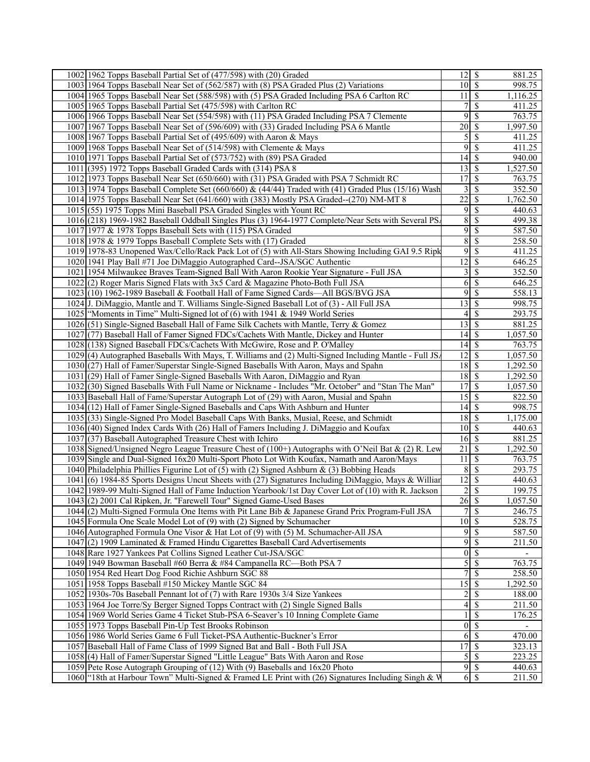| 1002 1962 Topps Baseball Partial Set of (477/598) with (20) Graded                                    | $12$   \$               |                                                  | 881.25   |
|-------------------------------------------------------------------------------------------------------|-------------------------|--------------------------------------------------|----------|
| 1003 1964 Topps Baseball Near Set of (562/587) with (8) PSA Graded Plus (2) Variations                | $10\sqrt{S}$            |                                                  | 998.75   |
| 1004 1965 Topps Baseball Near Set (588/598) with (5) PSA Graded Including PSA 6 Carlton RC            | 11                      | \$                                               | 1,116.25 |
| 1005 1965 Topps Baseball Partial Set (475/598) with Carlton RC                                        | $\boldsymbol{7}$        | \$                                               | 411.25   |
| 1006 1966 Topps Baseball Near Set (554/598) with (11) PSA Graded Including PSA 7 Clemente             | 9                       | $\mathcal{S}$                                    | 763.75   |
| 1007 1967 Topps Baseball Near Set of (596/609) with (33) Graded Including PSA 6 Mantle                | $\overline{20}$ \$      |                                                  | 1,997.50 |
|                                                                                                       | 5                       | \$                                               |          |
| 1008 1967 Topps Baseball Partial Set of (495/609) with Aaron & Mays                                   |                         |                                                  | 411.25   |
| 1009 1968 Topps Baseball Near Set of (514/598) with Clemente & Mays                                   | 9                       | $\overline{\mathcal{S}}$                         | 411.25   |
| 1010 1971 Topps Baseball Partial Set of (573/752) with (89) PSA Graded                                | 14                      | $\mathcal{S}$                                    | 940.00   |
| 1011 (395) 1972 Topps Baseball Graded Cards with (314) PSA 8                                          |                         |                                                  | 1,527.50 |
| 1012 1973 Topps Baseball Near Set (650/660) with (31) PSA Graded with PSA 7 Schmidt RC                | 17                      | $\mathcal{S}$                                    | 763.75   |
| 1013 1974 Topps Baseball Complete Set (660/660) & (44/44) Traded with (41) Graded Plus (15/16) Wash   | 3                       | <sup>\$</sup>                                    | 352.50   |
| 1014 1975 Topps Baseball Near Set (641/660) with (383) Mostly PSA Graded--(270) NM-MT 8               | 22                      | $\boldsymbol{\mathsf{S}}$                        | 1,762.50 |
| 1015 (55) 1975 Topps Mini Baseball PSA Graded Singles with Yount RC                                   | 9                       | \$                                               | 440.63   |
| 1016 (218) 1969-1982 Baseball Oddball Singles Plus (3) 1964-1977 Complete/Near Sets with Several PS.  | 8                       | \$                                               | 499.38   |
| 1017 1977 & 1978 Topps Baseball Sets with (115) PSA Graded                                            | 9                       | $\mathcal{S}$                                    | 587.50   |
| 1018 1978 & 1979 Topps Baseball Complete Sets with (17) Graded                                        | 8                       | \$                                               | 258.50   |
| 1019 1978-83 Unopened Wax/Cello/Rack Pack Lot of (5) with All-Stars Showing Including GAI 9.5 Ripk    | 9                       | $\overline{\mathcal{S}}$                         | 411.25   |
| 1020 1941 Play Ball #71 Joe DiMaggio Autographed Card--JSA/SGC Authentic                              | 12                      | \$                                               | 646.25   |
| 1021 1954 Milwaukee Braves Team-Signed Ball With Aaron Rookie Year Signature - Full JSA               | 3                       | - \$                                             | 352.50   |
| 1022(2) Roger Maris Signed Flats with 3x5 Card & Magazine Photo-Both Full JSA                         |                         | $6 \mid$ \$                                      | 646.25   |
| 1023 (10) 1962-1989 Baseball & Football Hall of Fame Signed Cards—All BGS/BVG JSA                     | 9                       | \$                                               | 558.13   |
| 1024 J. DiMaggio, Mantle and T. Williams Single-Signed Baseball Lot of (3) - All Full JSA             | 13                      | $\overline{\mathcal{S}}$                         | 998.75   |
| 1025   "Moments in Time" Multi-Signed lot of (6) with 1941 & 1949 World Series                        | 4                       | \$                                               | 293.75   |
| 1026 (51) Single-Signed Baseball Hall of Fame Silk Cachets with Mantle, Terry & Gomez                 | 13                      | \$                                               | 881.25   |
|                                                                                                       |                         |                                                  |          |
| 1027 (77) Baseball Hall of Famer Signed FDCs/Cachets With Mantle, Dickey and Hunter                   |                         |                                                  | 1,057.50 |
| 1028 (138) Signed Baseball FDCs/Cachets With McGwire, Rose and P. O'Malley                            | $14 \mid$ \$            |                                                  | 763.75   |
| 1029(4) Autographed Baseballs With Mays, T. Williams and (2) Multi-Signed Including Mantle - Full JS. | $12 \mid$ \$            |                                                  | 1,057.50 |
| 1030 (27) Hall of Famer/Superstar Single-Signed Baseballs With Aaron, Mays and Spahn                  |                         |                                                  | 1,292.50 |
| 1031 (29) Hall of Famer Single-Signed Baseballs With Aaron, DiMaggio and Ryan                         |                         |                                                  | 1,292.50 |
| 1032(30) Signed Baseballs With Full Name or Nickname - Includes "Mr. October" and "Stan The Man"      | $17 \mid S$             |                                                  | 1,057.50 |
| 1033 Baseball Hall of Fame/Superstar Autograph Lot of (29) with Aaron, Musial and Spahn               | 15                      | l \$                                             | 822.50   |
| 1034 (12) Hall of Famer Single-Signed Baseballs and Caps With Ashburn and Hunter                      | $14 \mid$ \$            |                                                  | 998.75   |
| 1035 (33) Single-Signed Pro Model Baseball Caps With Banks, Musial, Reese, and Schmidt                |                         |                                                  | 1,175.00 |
| 1036 (40) Signed Index Cards With (26) Hall of Famers Including J. DiMaggio and Koufax                | $10 \mid$ \$            |                                                  | 440.63   |
| 1037 (37) Baseball Autographed Treasure Chest with Ichiro                                             | $16\overline{3}$        |                                                  | 881.25   |
| 1038 Signed/Unsigned Negro League Treasure Chest of (100+) Autographs with O'Neil Bat & (2) R. Lew    | 21                      | \$                                               | 1,292.50 |
| 1039 Single and Dual-Signed 16x20 Multi-Sport Photo Lot With Koufax, Namath and Aaron/Mays            | 11                      | -\$                                              | 763.75   |
| 1040 Philadelphia Phillies Figurine Lot of $(5)$ with (2) Signed Ashburn & (3) Bobbing Heads          | 8                       | - \$                                             | 293.75   |
| 1041(6) 1984-85 Sports Designs Uncut Sheets with (27) Signatures Including DiMaggio, Mays & William   | 12                      | - \$                                             | 440.63   |
| 1042 1989-99 Multi-Signed Hall of Fame Induction Yearbook/1st Day Cover Lot of (10) with R. Jackson   | $\overline{c}$          | $\boldsymbol{\mathsf{S}}$                        | 199.75   |
| 1043 (2) 2001 Cal Ripken, Jr. "Farewell Tour" Signed Game-Used Bases                                  | $\overline{26}$ \$      |                                                  | 1,057.50 |
| 1044(2) Multi-Signed Formula One Items with Pit Lane Bib & Japanese Grand Prix Program-Full JSA       | $\overline{7}$          | $\sqrt{s}$                                       | 246.75   |
| 1045 Formula One Scale Model Lot of (9) with (2) Signed by Schumacher                                 | $10 \mid S$             |                                                  | 528.75   |
| 1046 Autographed Formula One Visor & Hat Lot of (9) with (5) M. Schumacher-All JSA                    |                         |                                                  | 587.50   |
| $1047(2)$ 1909 Laminated & Framed Hindu Cigarettes Baseball Card Advertisements                       |                         | $9 \overline{\smash{)}\,}$                       | 211.50   |
| 1048 Rare 1927 Yankees Pat Collins Signed Leather Cut-JSA/SGC                                         | $\boldsymbol{0}$        | $\overline{\mathcal{S}}$                         |          |
|                                                                                                       |                         | 5S                                               | 763.75   |
| 1049 1949 Bowman Baseball #60 Berra & #84 Campanella RC—Both PSA 7                                    | 7                       |                                                  |          |
| 1050 1954 Red Heart Dog Food Richie Ashburn SGC 88                                                    |                         | $\mathcal{S}$                                    | 258.50   |
| 1051 1958 Topps Baseball #150 Mickey Mantle SGC 84                                                    | 15S                     |                                                  | 1,292.50 |
| 1052 1930s-70s Baseball Pennant lot of (7) with Rare 1930s 3/4 Size Yankees                           | $\overline{c}$          | $\mathcal{S}$                                    | 188.00   |
| 1053 1964 Joe Torre/Sy Berger Signed Topps Contract with (2) Single Signed Balls                      | $\overline{\mathbf{r}}$ | $\mathcal{S}$                                    | 211.50   |
| 1054 1969 World Series Game 4 Ticket Stub-PSA 6-Seaver's 10 Inning Complete Game                      |                         | $\overline{\mathcal{S}}$                         | 176.25   |
| 1055 1973 Topps Baseball Pin-Up Test Brooks Robinson                                                  | $\boldsymbol{0}$        | $\mathcal{S}$                                    |          |
| 1056 1986 World Series Game 6 Full Ticket-PSA Authentic-Buckner's Error                               | 6                       | $\vert s$                                        | 470.00   |
| 1057 Baseball Hall of Fame Class of 1999 Signed Bat and Ball - Both Full JSA                          | $17 \mid S$             |                                                  | 323.13   |
| 1058 (4) Hall of Famer/Superstar Signed "Little League" Bats With Aaron and Rose                      |                         | $5 \overline{\smash{)}\, \overline{\smash{)}}\,$ | 223.25   |
| 1059 Pete Rose Autograph Grouping of (12) With (9) Baseballs and 16x20 Photo                          |                         | 95                                               | 440.63   |
| 1060 "18th at Harbour Town" Multi-Signed & Framed LE Print with (26) Signatures Including Singh & W   |                         | $6 \overline{\smash{)}\,}$                       | 211.50   |